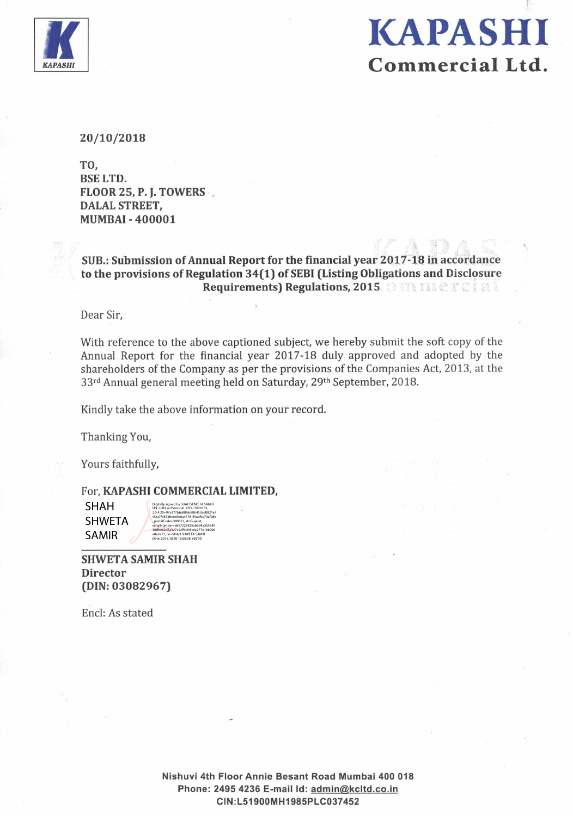

# **KAPASHI** Commercial Ltd.

20/10/2018

TO. **BSE LTD.** FLOOR 25, P. J. TOWERS **DALAL STREET, MUMBAI-400001** 

SUB.: Submission of Annual Report for the financial year 2017-18 in accordance to the provisions of Regulation 34(1) of SEBI (Listing Obligations and Disclosure Requirements) Regulations, 2015 **CONTRACT CALL** 

Dear Sir.

With reference to the above captioned subject, we hereby submit the soft copy of the Annual Report for the financial year 2017-18 duly approved and adopted by the shareholders of the Company as per the provisions of the Companies Act, 2013, at the 33rd Annual general meeting held on Saturday, 29th September, 2018.

Kindly take the above information on your record.

Thanking You,

Yours faithfully,

For, KAPASHI COMMERCIAL LIMITED,

**SHAH SHWETA SAMIR** 

**SHWETA SAMIR SHAH Director**  $(DIN: 03082967)$ 

Encl: As stated

Nishuvi 4th Floor Annie Besant Road Mumbai 400 018 Phone: 2495 4236 E-mail Id: admin@kcltd.co.in CIN:L51900MH1985PLC037452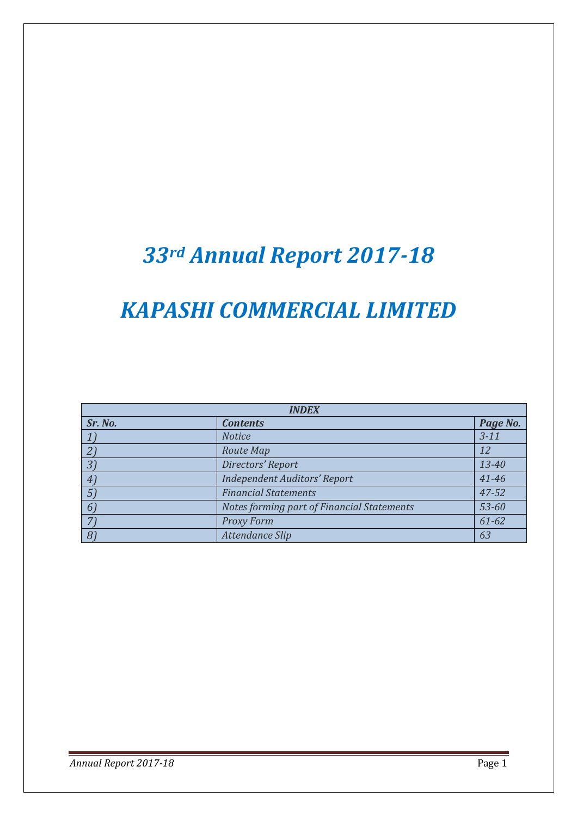# *33rd Annual Report 2017-18*

# *KAPASHI COMMERCIAL LIMITED*

| <b>INDEX</b>   |                                            |           |  |  |  |  |
|----------------|--------------------------------------------|-----------|--|--|--|--|
| Sr. No.        | <b>Contents</b>                            | Page No.  |  |  |  |  |
|                | <b>Notice</b>                              | $3 - 11$  |  |  |  |  |
|                | Route Map                                  | 12        |  |  |  |  |
| $3^{\circ}$    | Directors' Report                          | 13-40     |  |  |  |  |
| $\overline{4}$ | <b>Independent Auditors' Report</b>        | 41-46     |  |  |  |  |
| $\sqrt{5}$     | <b>Financial Statements</b>                | 47-52     |  |  |  |  |
| 6              | Notes forming part of Financial Statements | 53-60     |  |  |  |  |
|                | <b>Proxy Form</b>                          | $61 - 62$ |  |  |  |  |
| 8 <sup>7</sup> | Attendance Slip                            | 63        |  |  |  |  |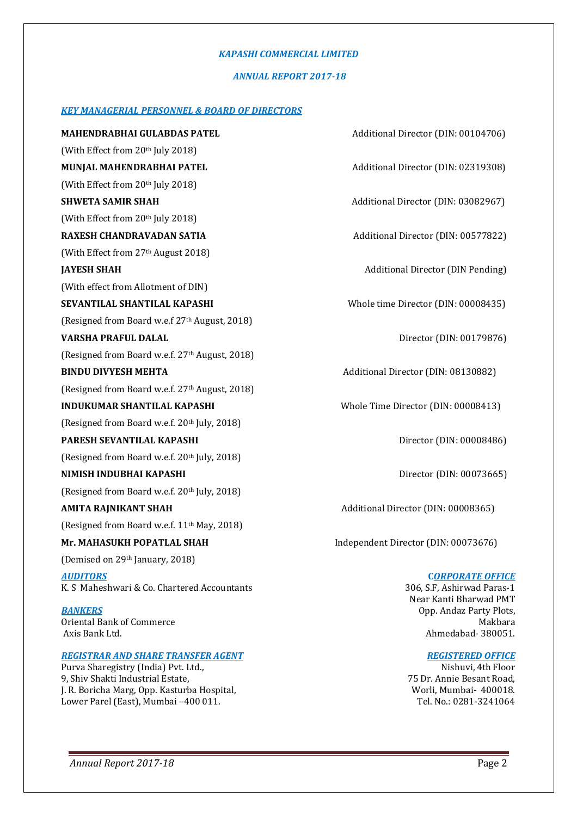#### *KAPASHI COMMERCIAL LIMITED*

#### *ANNUAL REPORT 2017-18*

#### *KEY MANAGERIAL PERSONNEL & BOARD OF DIRECTORS*

**MAHENDRABHAI GULABDAS PATEL** Additional Director (DIN: 00104706) (With Effect from 20<sup>th</sup> July 2018) **MUNJAL MAHENDRABHAI PATEL Additional Director (DIN: 02319308)** (With Effect from 20th July 2018) **SHWETA SAMIR SHAH** And **Additional Director (DIN: 03082967)** (With Effect from  $20<sup>th</sup>$  July 2018) **RAXESH CHANDRAVADAN SATIA Additional Director (DIN: 00577822)** (With Effect from 27th August 2018) **JAYESH SHAH** Additional Director (DIN Pending) (With effect from Allotment of DIN) **SEVANTILAL SHANTILAL KAPASHI** Whole time Director (DIN: 00008435) (Resigned from Board w.e.f 27<sup>th</sup> August, 2018) (Resigned from Board w.e.f. 27<sup>th</sup> August, 2018) **BINDU DIVYESH MEHTA** Additional Director (DIN: 08130882) (Resigned from Board w.e.f. 27<sup>th</sup> August, 2018) **INDUKUMAR SHANTILAL KAPASHI** Whole Time Director (DIN: 00008413) (Resigned from Board w.e.f. 20<sup>th</sup> July, 2018) **PARESH SEVANTILAL KAPASHI** Director (DIN: 00008486) (Resigned from Board w.e.f. 20<sup>th</sup> July, 2018) (Resigned from Board w.e.f. 20th July, 2018) **AMITA RAJNIKANT SHAH** Additional Director (DIN: 00008365) (Resigned from Board w.e.f. 11<sup>th</sup> May, 2018) **Mr. MAHASUKH POPATLAL SHAH** Independent Director (DIN: 00073676) (Demised on 29<sup>th</sup> January, 2018) *AUDITORS* K. S Maheshwari & Co. Chartered Accountants *BANKERS* Oriental Bank of Commerce Axis Bank Ltd.

#### *REGISTRAR AND SHARE TRANSFER AGENT*

Purva Sharegistry (India) Pvt. Ltd., 9, Shiv Shakti Industrial Estate, J. R. Boricha Marg, Opp. Kasturba Hospital, Lower Parel (East), Mumbai –400 011.

**VARSHA PRAFUL DALAL** DIRECTOR (DIN: 00179876) **NIMISH INDUBHAI KAPASHI** Director (DIN: 00073665)  **C***ORPORATE OFFICE* 306, S.F, Ashirwad Paras-1

 Near Kanti Bharwad PMT Opp. Andaz Party Plots, Makbara Ahmedabad- 380051.

#### *REGISTERED OFFICE*

Nishuvi, 4th Floor 75 Dr. Annie Besant Road, Worli, Mumbai- 400018. Tel. No.: 0281-3241064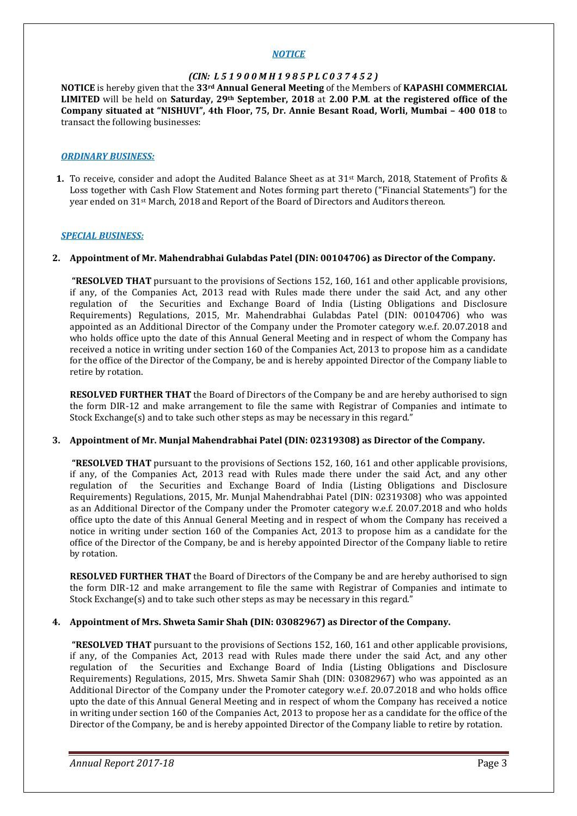#### *NOTICE*

#### *(CIN: L 5 1 9 0 0 M H 1 9 8 5 P L C 0 3 7 4 5 2 )*

**NOTICE** is hereby given that the **33rd Annual General Meeting** of the Members of **KAPASHI COMMERCIAL LIMITED** will be held on **Saturday, 29th September, 2018** at **2.00 P.M**. **at the registered office of the Company situated at "NISHUVI", 4th Floor, 75, Dr. Annie Besant Road, Worli, Mumbai – 400 018** to transact the following businesses:

#### *ORDINARY BUSINESS:*

**1.** To receive, consider and adopt the Audited Balance Sheet as at 31<sup>st</sup> March, 2018, Statement of Profits & Loss together with Cash Flow Statement and Notes forming part thereto ("Financial Statements") for the year ended on 31st March, 2018 and Report of the Board of Directors and Auditors thereon.

#### *SPECIAL BUSINESS:*

#### **2. Appointment of Mr. Mahendrabhai Gulabdas Patel (DIN: 00104706) as Director of the Company.**

 **"RESOLVED THAT** pursuant to the provisions of Sections 152, 160, 161 and other applicable provisions, if any, of the Companies Act, 2013 read with Rules made there under the said Act, and any other regulation of the Securities and Exchange Board of India (Listing Obligations and Disclosure Requirements) Regulations, 2015, Mr. Mahendrabhai Gulabdas Patel (DIN: 00104706) who was appointed as an Additional Director of the Company under the Promoter category w.e.f. 20.07.2018 and who holds office upto the date of this Annual General Meeting and in respect of whom the Company has received a notice in writing under section 160 of the Companies Act, 2013 to propose him as a candidate for the office of the Director of the Company, be and is hereby appointed Director of the Company liable to retire by rotation.

**RESOLVED FURTHER THAT** the Board of Directors of the Company be and are hereby authorised to sign the form DIR-12 and make arrangement to file the same with Registrar of Companies and intimate to Stock Exchange(s) and to take such other steps as may be necessary in this regard."

#### **3. Appointment of Mr. Munjal Mahendrabhai Patel (DIN: 02319308) as Director of the Company.**

 **"RESOLVED THAT** pursuant to the provisions of Sections 152, 160, 161 and other applicable provisions, if any, of the Companies Act, 2013 read with Rules made there under the said Act, and any other regulation of the Securities and Exchange Board of India (Listing Obligations and Disclosure Requirements) Regulations, 2015, Mr. Munjal Mahendrabhai Patel (DIN: 02319308) who was appointed as an Additional Director of the Company under the Promoter category w.e.f. 20.07.2018 and who holds office upto the date of this Annual General Meeting and in respect of whom the Company has received a notice in writing under section 160 of the Companies Act, 2013 to propose him as a candidate for the office of the Director of the Company, be and is hereby appointed Director of the Company liable to retire by rotation.

**RESOLVED FURTHER THAT** the Board of Directors of the Company be and are hereby authorised to sign the form DIR-12 and make arrangement to file the same with Registrar of Companies and intimate to Stock Exchange(s) and to take such other steps as may be necessary in this regard."

#### **4. Appointment of Mrs. Shweta Samir Shah (DIN: 03082967) as Director of the Company.**

 **"RESOLVED THAT** pursuant to the provisions of Sections 152, 160, 161 and other applicable provisions, if any, of the Companies Act, 2013 read with Rules made there under the said Act, and any other regulation of the Securities and Exchange Board of India (Listing Obligations and Disclosure Requirements) Regulations, 2015, Mrs. Shweta Samir Shah (DIN: 03082967) who was appointed as an Additional Director of the Company under the Promoter category w.e.f. 20.07.2018 and who holds office upto the date of this Annual General Meeting and in respect of whom the Company has received a notice in writing under section 160 of the Companies Act, 2013 to propose her as a candidate for the office of the Director of the Company, be and is hereby appointed Director of the Company liable to retire by rotation.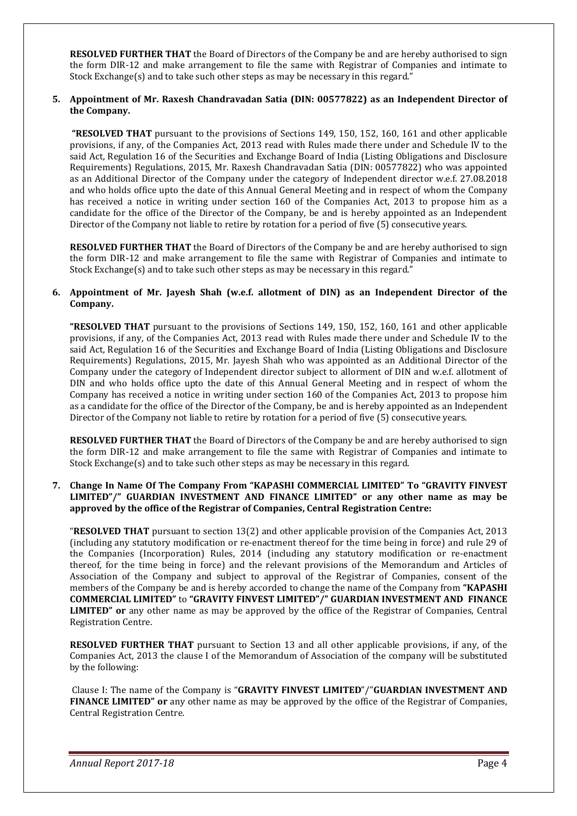**RESOLVED FURTHER THAT** the Board of Directors of the Company be and are hereby authorised to sign the form DIR-12 and make arrangement to file the same with Registrar of Companies and intimate to Stock Exchange(s) and to take such other steps as may be necessary in this regard."

#### **5. Appointment of Mr. Raxesh Chandravadan Satia (DIN: 00577822) as an Independent Director of the Company.**

 **"RESOLVED THAT** pursuant to the provisions of Sections 149, 150, 152, 160, 161 and other applicable provisions, if any, of the Companies Act, 2013 read with Rules made there under and Schedule IV to the said Act, Regulation 16 of the Securities and Exchange Board of India (Listing Obligations and Disclosure Requirements) Regulations, 2015, Mr. Raxesh Chandravadan Satia (DIN: 00577822) who was appointed as an Additional Director of the Company under the category of Independent director w.e.f. 27.08.2018 and who holds office upto the date of this Annual General Meeting and in respect of whom the Company has received a notice in writing under section 160 of the Companies Act, 2013 to propose him as a candidate for the office of the Director of the Company, be and is hereby appointed as an Independent Director of the Company not liable to retire by rotation for a period of five (5) consecutive years.

**RESOLVED FURTHER THAT** the Board of Directors of the Company be and are hereby authorised to sign the form DIR-12 and make arrangement to file the same with Registrar of Companies and intimate to Stock Exchange(s) and to take such other steps as may be necessary in this regard."

#### **6. Appointment of Mr. Jayesh Shah (w.e.f. allotment of DIN) as an Independent Director of the Company.**

**"RESOLVED THAT** pursuant to the provisions of Sections 149, 150, 152, 160, 161 and other applicable provisions, if any, of the Companies Act, 2013 read with Rules made there under and Schedule IV to the said Act, Regulation 16 of the Securities and Exchange Board of India (Listing Obligations and Disclosure Requirements) Regulations, 2015, Mr. Jayesh Shah who was appointed as an Additional Director of the Company under the category of Independent director subject to allorment of DIN and w.e.f. allotment of DIN and who holds office upto the date of this Annual General Meeting and in respect of whom the Company has received a notice in writing under section 160 of the Companies Act, 2013 to propose him as a candidate for the office of the Director of the Company, be and is hereby appointed as an Independent Director of the Company not liable to retire by rotation for a period of five (5) consecutive years.

**RESOLVED FURTHER THAT** the Board of Directors of the Company be and are hereby authorised to sign the form DIR-12 and make arrangement to file the same with Registrar of Companies and intimate to Stock Exchange(s) and to take such other steps as may be necessary in this regard.

#### **7. Change In Name Of The Company From "KAPASHI COMMERCIAL LIMITED" To "GRAVITY FINVEST LIMITED"/" GUARDIAN INVESTMENT AND FINANCE LIMITED" or any other name as may be approved by the office of the Registrar of Companies, Central Registration Centre:**

"**RESOLVED THAT** pursuant to section 13(2) and other applicable provision of the Companies Act, 2013 (including any statutory modification or re-enactment thereof for the time being in force) and rule 29 of the Companies (Incorporation) Rules, 2014 (including any statutory modification or re-enactment thereof, for the time being in force) and the relevant provisions of the Memorandum and Articles of Association of the Company and subject to approval of the Registrar of Companies, consent of the members of the Company be and is hereby accorded to change the name of the Company from **"KAPASHI COMMERCIAL LIMITED"** to **"GRAVITY FINVEST LIMITED"/" GUARDIAN INVESTMENT AND FINANCE LIMITED" or** any other name as may be approved by the office of the Registrar of Companies, Central Registration Centre.

**RESOLVED FURTHER THAT** pursuant to Section 13 and all other applicable provisions, if any, of the Companies Act, 2013 the clause I of the Memorandum of Association of the company will be substituted by the following:

 Clause I: The name of the Company is "**GRAVITY FINVEST LIMITED**"/"**GUARDIAN INVESTMENT AND FINANCE LIMITED" or** any other name as may be approved by the office of the Registrar of Companies, Central Registration Centre.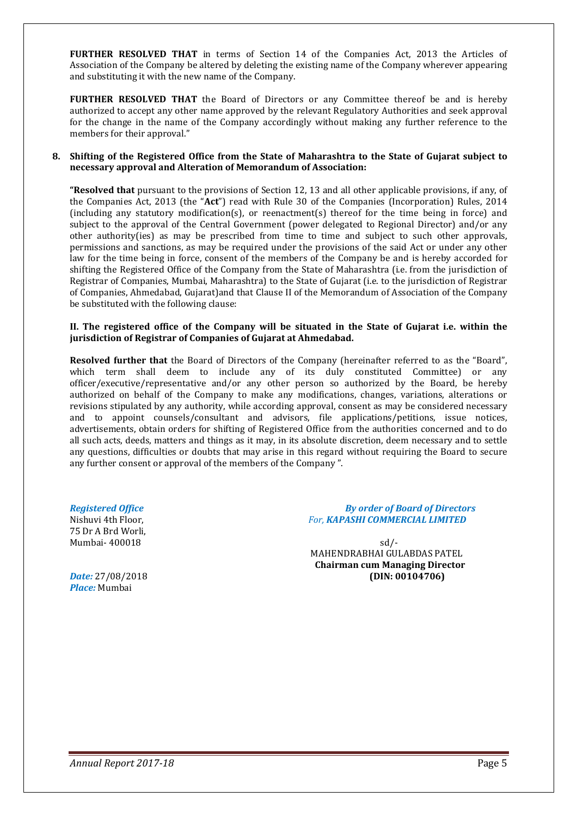**FURTHER RESOLVED THAT** in terms of Section 14 of the Companies Act, 2013 the Articles of Association of the Company be altered by deleting the existing name of the Company wherever appearing and substituting it with the new name of the Company.

**FURTHER RESOLVED THAT** the Board of Directors or any Committee thereof be and is hereby authorized to accept any other name approved by the relevant Regulatory Authorities and seek approval for the change in the name of the Company accordingly without making any further reference to the members for their approval."

#### **8. Shifting of the Registered Office from the State of Maharashtra to the State of Gujarat subject to necessary approval and Alteration of Memorandum of Association:**

**"Resolved that** pursuant to the provisions of Section 12, 13 and all other applicable provisions, if any, of the Companies Act, 2013 (the "**Act**") read with Rule 30 of the Companies (Incorporation) Rules, 2014 (including any statutory modification(s), or reenactment(s) thereof for the time being in force) and subject to the approval of the Central Government (power delegated to Regional Director) and/or any other authority(ies) as may be prescribed from time to time and subject to such other approvals, permissions and sanctions, as may be required under the provisions of the said Act or under any other law for the time being in force, consent of the members of the Company be and is hereby accorded for shifting the Registered Office of the Company from the State of Maharashtra (i.e. from the jurisdiction of Registrar of Companies, Mumbai, Maharashtra) to the State of Gujarat (i.e. to the jurisdiction of Registrar of Companies, Ahmedabad, Gujarat)and that Clause II of the Memorandum of Association of the Company be substituted with the following clause:

#### **II. The registered office of the Company will be situated in the State of Gujarat i.e. within the jurisdiction of Registrar of Companies of Gujarat at Ahmedabad.**

**Resolved further that** the Board of Directors of the Company (hereinafter referred to as the "Board", which term shall deem to include any of its duly constituted Committee) or any officer/executive/representative and/or any other person so authorized by the Board, be hereby authorized on behalf of the Company to make any modifications, changes, variations, alterations or revisions stipulated by any authority, while according approval, consent as may be considered necessary and to appoint counsels/consultant and advisors, file applications/petitions, issue notices, advertisements, obtain orders for shifting of Registered Office from the authorities concerned and to do all such acts, deeds, matters and things as it may, in its absolute discretion, deem necessary and to settle any questions, difficulties or doubts that may arise in this regard without requiring the Board to secure any further consent or approval of the members of the Company ".

75 Dr A Brd Worli,

*Place:* Mumbai

#### *Registered Office**By order of Board of Directors* Nishuvi 4th Floor, *For, KAPASHI COMMERCIAL LIMITED*

Mumbai- 400018 sd/- MAHENDRABHAI GULABDAS PATEL **Chairman cum Managing Director** *Date:* 27/08/2018 **(DIN: 00104706)**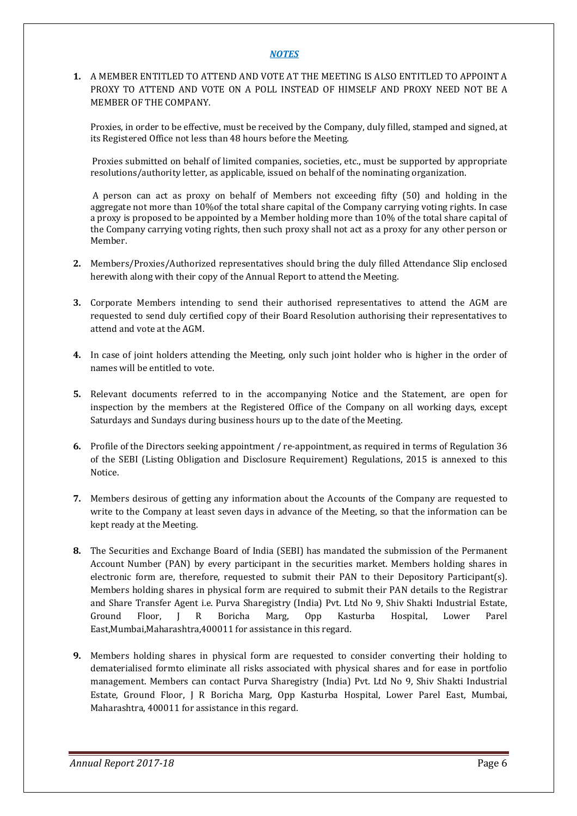#### *NOTES*

**1.** A MEMBER ENTITLED TO ATTEND AND VOTE AT THE MEETING IS ALSO ENTITLED TO APPOINT A PROXY TO ATTEND AND VOTE ON A POLL INSTEAD OF HIMSELF AND PROXY NEED NOT BE A MEMBER OF THE COMPANY.

Proxies, in order to be effective, must be received by the Company, duly filled, stamped and signed, at its Registered Office not less than 48 hours before the Meeting.

 Proxies submitted on behalf of limited companies, societies, etc., must be supported by appropriate resolutions/authority letter, as applicable, issued on behalf of the nominating organization.

 A person can act as proxy on behalf of Members not exceeding fifty (50) and holding in the aggregate not more than 10%of the total share capital of the Company carrying voting rights. In case a proxy is proposed to be appointed by a Member holding more than 10% of the total share capital of the Company carrying voting rights, then such proxy shall not act as a proxy for any other person or Member.

- **2.** Members/Proxies/Authorized representatives should bring the duly filled Attendance Slip enclosed herewith along with their copy of the Annual Report to attend the Meeting.
- **3.** Corporate Members intending to send their authorised representatives to attend the AGM are requested to send duly certified copy of their Board Resolution authorising their representatives to attend and vote at the AGM.
- **4.** In case of joint holders attending the Meeting, only such joint holder who is higher in the order of names will be entitled to vote.
- **5.** Relevant documents referred to in the accompanying Notice and the Statement, are open for inspection by the members at the Registered Office of the Company on all working days, except Saturdays and Sundays during business hours up to the date of the Meeting.
- **6.** Profile of the Directors seeking appointment / re-appointment, as required in terms of Regulation 36 of the SEBI (Listing Obligation and Disclosure Requirement) Regulations, 2015 is annexed to this Notice.
- **7.** Members desirous of getting any information about the Accounts of the Company are requested to write to the Company at least seven days in advance of the Meeting, so that the information can be kept ready at the Meeting.
- **8.** The Securities and Exchange Board of India (SEBI) has mandated the submission of the Permanent Account Number (PAN) by every participant in the securities market. Members holding shares in electronic form are, therefore, requested to submit their PAN to their Depository Participant(s). Members holding shares in physical form are required to submit their PAN details to the Registrar and Share Transfer Agent i.e. Purva Sharegistry (India) Pvt. Ltd No 9, Shiv Shakti Industrial Estate, Ground Floor, J R Boricha Marg, Opp Kasturba Hospital, Lower Parel East,Mumbai,Maharashtra,400011 for assistance in this regard.
- **9.** Members holding shares in physical form are requested to consider converting their holding to dematerialised formto eliminate all risks associated with physical shares and for ease in portfolio management. Members can contact Purva Sharegistry (India) Pvt. Ltd No 9, Shiv Shakti Industrial Estate, Ground Floor, J R Boricha Marg, Opp Kasturba Hospital, Lower Parel East, Mumbai, Maharashtra, 400011 for assistance in this regard.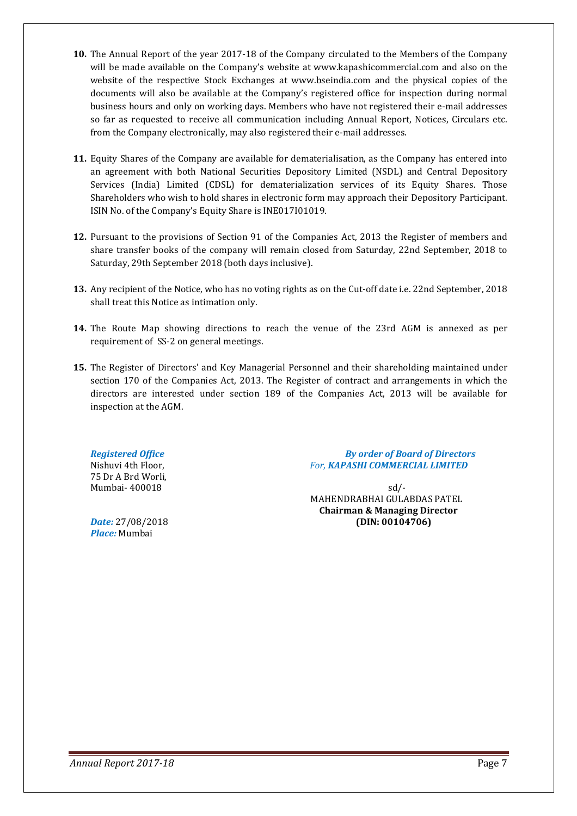- **10.** The Annual Report of the year 2017-18 of the Company circulated to the Members of the Company will be made available on the Company's website at www.kapashicommercial.com and also on the website of the respective Stock Exchanges at www.bseindia.com and the physical copies of the documents will also be available at the Company's registered office for inspection during normal business hours and only on working days. Members who have not registered their e-mail addresses so far as requested to receive all communication including Annual Report, Notices, Circulars etc. from the Company electronically, may also registered their e-mail addresses.
- **11.** Equity Shares of the Company are available for dematerialisation, as the Company has entered into an agreement with both National Securities Depository Limited (NSDL) and Central Depository Services (India) Limited (CDSL) for dematerialization services of its Equity Shares. Those Shareholders who wish to hold shares in electronic form may approach their Depository Participant. ISIN No. of the Company's Equity Share is INE017I01019.
- **12.** Pursuant to the provisions of Section 91 of the Companies Act, 2013 the Register of members and share transfer books of the company will remain closed from Saturday, 22nd September, 2018 to Saturday, 29th September 2018 (both days inclusive).
- **13.** Any recipient of the Notice, who has no voting rights as on the Cut-off date i.e. 22nd September, 2018 shall treat this Notice as intimation only.
- **14.** The Route Map showing directions to reach the venue of the 23rd AGM is annexed as per requirement of SS-2 on general meetings.
- **15.** The Register of Directors' and Key Managerial Personnel and their shareholding maintained under section 170 of the Companies Act, 2013. The Register of contract and arrangements in which the directors are interested under section 189 of the Companies Act, 2013 will be available for inspection at the AGM.

75 Dr A Brd Worli,

*Place:* Mumbai

*Registered Office**By order of Board of Directors* Nishuvi 4th Floor, *For, KAPASHI COMMERCIAL LIMITED*

Mumbai- 400018 sd/- MAHENDRABHAI GULABDAS PATEL **Chairman & Managing Director** *Date:* 27/08/2018 **(DIN: 00104706)**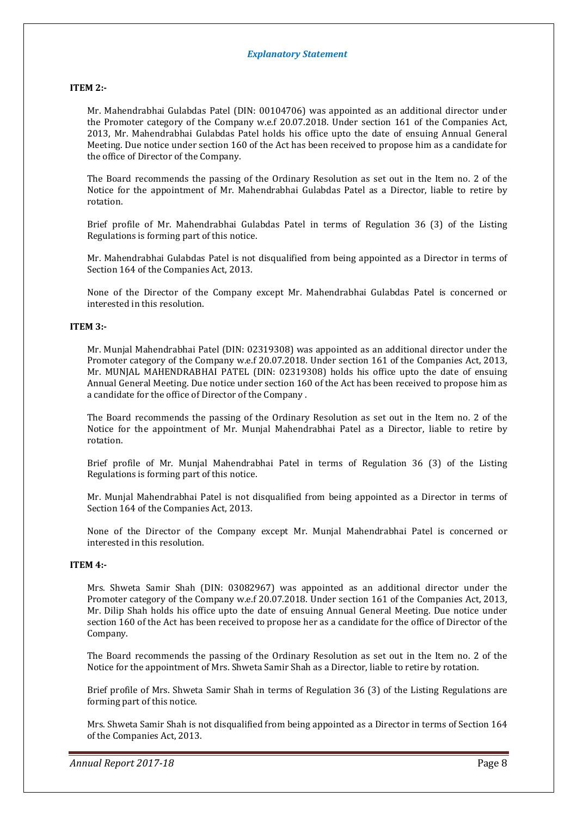#### **ITEM 2:-**

Mr. Mahendrabhai Gulabdas Patel (DIN: 00104706) was appointed as an additional director under the Promoter category of the Company w.e.f 20.07.2018. Under section 161 of the Companies Act, 2013, Mr. Mahendrabhai Gulabdas Patel holds his office upto the date of ensuing Annual General Meeting. Due notice under section 160 of the Act has been received to propose him as a candidate for the office of Director of the Company.

The Board recommends the passing of the Ordinary Resolution as set out in the Item no. 2 of the Notice for the appointment of Mr. Mahendrabhai Gulabdas Patel as a Director, liable to retire by rotation.

Brief profile of Mr. Mahendrabhai Gulabdas Patel in terms of Regulation 36 (3) of the Listing Regulations is forming part of this notice.

Mr. Mahendrabhai Gulabdas Patel is not disqualified from being appointed as a Director in terms of Section 164 of the Companies Act, 2013.

None of the Director of the Company except Mr. Mahendrabhai Gulabdas Patel is concerned or interested in this resolution.

#### **ITEM 3:-**

Mr. Munjal Mahendrabhai Patel (DIN: 02319308) was appointed as an additional director under the Promoter category of the Company w.e.f 20.07.2018. Under section 161 of the Companies Act, 2013, Mr. MUNJAL MAHENDRABHAI PATEL (DIN: 02319308) holds his office upto the date of ensuing Annual General Meeting. Due notice under section 160 of the Act has been received to propose him as a candidate for the office of Director of the Company .

The Board recommends the passing of the Ordinary Resolution as set out in the Item no. 2 of the Notice for the appointment of Mr. Munjal Mahendrabhai Patel as a Director, liable to retire by rotation.

Brief profile of Mr. Munjal Mahendrabhai Patel in terms of Regulation 36 (3) of the Listing Regulations is forming part of this notice.

Mr. Munjal Mahendrabhai Patel is not disqualified from being appointed as a Director in terms of Section 164 of the Companies Act, 2013.

None of the Director of the Company except Mr. Munjal Mahendrabhai Patel is concerned or interested in this resolution.

#### **ITEM 4:-**

Mrs. Shweta Samir Shah (DIN: 03082967) was appointed as an additional director under the Promoter category of the Company w.e.f 20.07.2018. Under section 161 of the Companies Act, 2013, Mr. Dilip Shah holds his office upto the date of ensuing Annual General Meeting. Due notice under section 160 of the Act has been received to propose her as a candidate for the office of Director of the Company.

The Board recommends the passing of the Ordinary Resolution as set out in the Item no. 2 of the Notice for the appointment of Mrs. Shweta Samir Shah as a Director, liable to retire by rotation.

Brief profile of Mrs. Shweta Samir Shah in terms of Regulation 36 (3) of the Listing Regulations are forming part of this notice.

Mrs. Shweta Samir Shah is not disqualified from being appointed as a Director in terms of Section 164 of the Companies Act, 2013.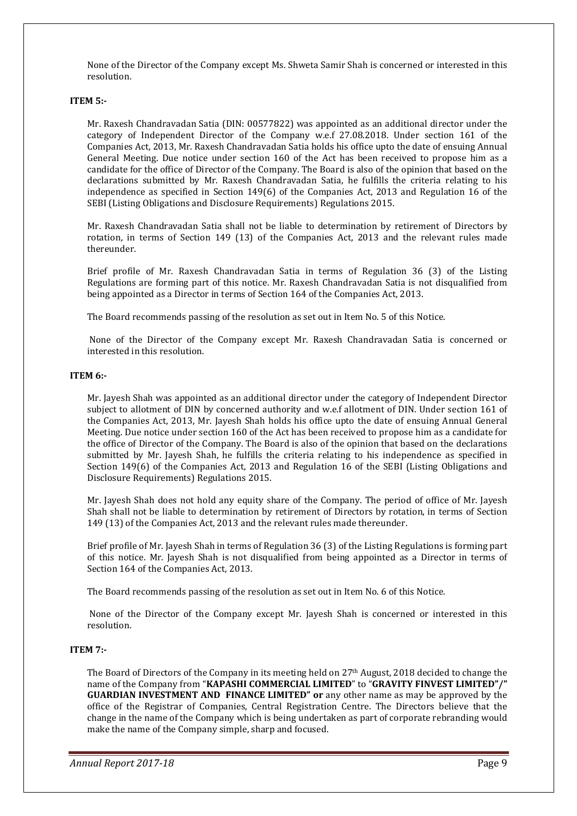None of the Director of the Company except Ms. Shweta Samir Shah is concerned or interested in this resolution.

#### **ITEM 5:-**

Mr. Raxesh Chandravadan Satia (DIN: 00577822) was appointed as an additional director under the category of Independent Director of the Company w.e.f 27.08.2018. Under section 161 of the Companies Act, 2013, Mr. Raxesh Chandravadan Satia holds his office upto the date of ensuing Annual General Meeting. Due notice under section 160 of the Act has been received to propose him as a candidate for the office of Director of the Company. The Board is also of the opinion that based on the declarations submitted by Mr. Raxesh Chandravadan Satia, he fulfills the criteria relating to his independence as specified in Section 149(6) of the Companies Act, 2013 and Regulation 16 of the SEBI (Listing Obligations and Disclosure Requirements) Regulations 2015.

Mr. Raxesh Chandravadan Satia shall not be liable to determination by retirement of Directors by rotation, in terms of Section 149 (13) of the Companies Act, 2013 and the relevant rules made thereunder.

Brief profile of Mr. Raxesh Chandravadan Satia in terms of Regulation 36 (3) of the Listing Regulations are forming part of this notice. Mr. Raxesh Chandravadan Satia is not disqualified from being appointed as a Director in terms of Section 164 of the Companies Act, 2013.

The Board recommends passing of the resolution as set out in Item No. 5 of this Notice.

 None of the Director of the Company except Mr. Raxesh Chandravadan Satia is concerned or interested in this resolution.

#### **ITEM 6:-**

Mr. Jayesh Shah was appointed as an additional director under the category of Independent Director subject to allotment of DIN by concerned authority and w.e.f allotment of DIN. Under section 161 of the Companies Act, 2013, Mr. Jayesh Shah holds his office upto the date of ensuing Annual General Meeting. Due notice under section 160 of the Act has been received to propose him as a candidate for the office of Director of the Company. The Board is also of the opinion that based on the declarations submitted by Mr. Jayesh Shah, he fulfills the criteria relating to his independence as specified in Section 149(6) of the Companies Act, 2013 and Regulation 16 of the SEBI (Listing Obligations and Disclosure Requirements) Regulations 2015.

Mr. Jayesh Shah does not hold any equity share of the Company. The period of office of Mr. Jayesh Shah shall not be liable to determination by retirement of Directors by rotation, in terms of Section 149 (13) of the Companies Act, 2013 and the relevant rules made thereunder.

Brief profile of Mr. Jayesh Shah in terms of Regulation 36 (3) of the Listing Regulations is forming part of this notice. Mr. Jayesh Shah is not disqualified from being appointed as a Director in terms of Section 164 of the Companies Act, 2013.

The Board recommends passing of the resolution as set out in Item No. 6 of this Notice.

 None of the Director of the Company except Mr. Jayesh Shah is concerned or interested in this resolution.

#### **ITEM 7:-**

The Board of Directors of the Company in its meeting held on  $27<sup>th</sup>$  August, 2018 decided to change the name of the Company from "**KAPASHI COMMERCIAL LIMITED**" to "**GRAVITY FINVEST LIMITED"/" GUARDIAN INVESTMENT AND FINANCE LIMITED" or** any other name as may be approved by the office of the Registrar of Companies, Central Registration Centre. The Directors believe that the change in the name of the Company which is being undertaken as part of corporate rebranding would make the name of the Company simple, sharp and focused.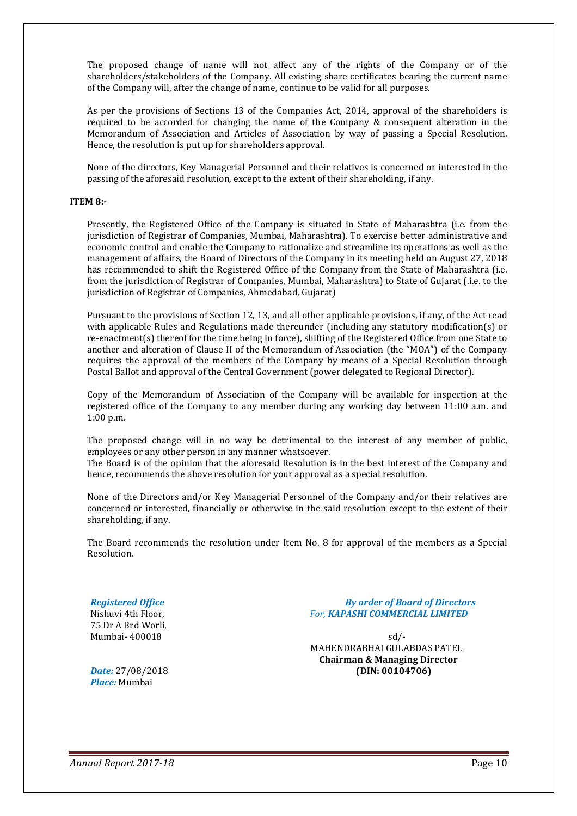The proposed change of name will not affect any of the rights of the Company or of the shareholders/stakeholders of the Company. All existing share certificates bearing the current name of the Company will, after the change of name, continue to be valid for all purposes.

As per the provisions of Sections 13 of the Companies Act, 2014, approval of the shareholders is required to be accorded for changing the name of the Company & consequent alteration in the Memorandum of Association and Articles of Association by way of passing a Special Resolution. Hence, the resolution is put up for shareholders approval.

None of the directors, Key Managerial Personnel and their relatives is concerned or interested in the passing of the aforesaid resolution, except to the extent of their shareholding, if any.

#### **ITEM 8:-**

Presently, the Registered Office of the Company is situated in State of Maharashtra (i.e. from the jurisdiction of Registrar of Companies, Mumbai, Maharashtra). To exercise better administrative and economic control and enable the Company to rationalize and streamline its operations as well as the management of affairs, the Board of Directors of the Company in its meeting held on August 27, 2018 has recommended to shift the Registered Office of the Company from the State of Maharashtra (i.e. from the jurisdiction of Registrar of Companies, Mumbai, Maharashtra) to State of Gujarat (.i.e. to the jurisdiction of Registrar of Companies, Ahmedabad, Gujarat)

Pursuant to the provisions of Section 12, 13, and all other applicable provisions, if any, of the Act read with applicable Rules and Regulations made thereunder (including any statutory modification(s) or re-enactment(s) thereof for the time being in force), shifting of the Registered Office from one State to another and alteration of Clause II of the Memorandum of Association (the "MOA") of the Company requires the approval of the members of the Company by means of a Special Resolution through Postal Ballot and approval of the Central Government (power delegated to Regional Director).

Copy of the Memorandum of Association of the Company will be available for inspection at the registered office of the Company to any member during any working day between 11:00 a.m. and 1:00 p.m.

The proposed change will in no way be detrimental to the interest of any member of public, employees or any other person in any manner whatsoever.

The Board is of the opinion that the aforesaid Resolution is in the best interest of the Company and hence, recommends the above resolution for your approval as a special resolution.

None of the Directors and/or Key Managerial Personnel of the Company and/or their relatives are concerned or interested, financially or otherwise in the said resolution except to the extent of their shareholding, if any.

The Board recommends the resolution under Item No. 8 for approval of the members as a Special Resolution.

75 Dr A Brd Worli,

*Registered Office**By order of Board of Directors* Nishuvi 4th Floor, *For, KAPASHI COMMERCIAL LIMITED*

Mumbai- 400018 sd/- MAHENDRABHAI GULABDAS PATEL **Chairman & Managing Director** *Date:* 27/08/2018 **(DIN: 00104706)**

*Place:* Mumbai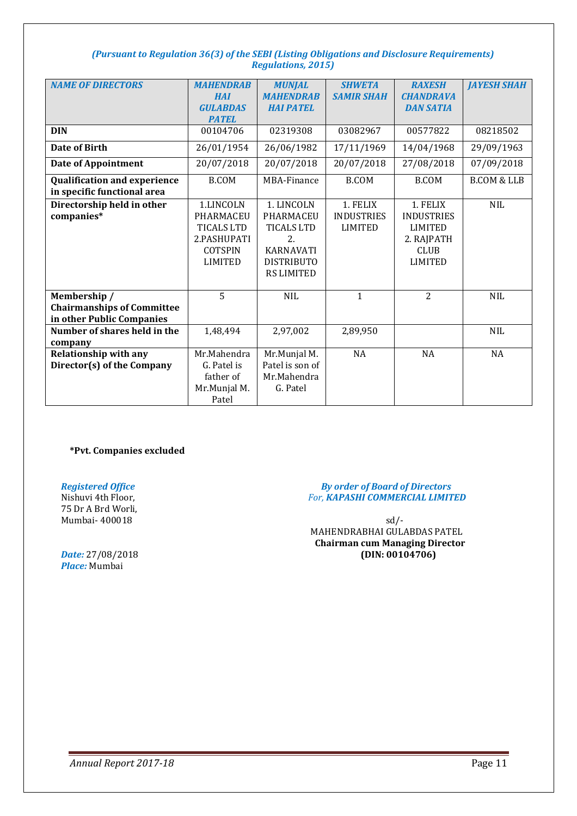#### *(Pursuant to Regulation 36(3) of the SEBI (Listing Obligations and Disclosure Requirements) Regulations, 2015)*

| <b>NAME OF DIRECTORS</b>            | <b>MAHENDRAB</b>  | <b>MUNJAL</b>     | <b>SHWETA</b>     | <b>RAXESH</b>     | <b>JAYESH SHAH</b>     |
|-------------------------------------|-------------------|-------------------|-------------------|-------------------|------------------------|
|                                     | <b>HAI</b>        | <b>MAHENDRAB</b>  | <b>SAMIR SHAH</b> | <b>CHANDRAVA</b>  |                        |
|                                     | <b>GULABDAS</b>   | <b>HAI PATEL</b>  |                   | <b>DAN SATIA</b>  |                        |
|                                     | <b>PATEL</b>      |                   |                   |                   |                        |
| <b>DIN</b>                          | 00104706          | 02319308          | 03082967          | 00577822          | 08218502               |
| <b>Date of Birth</b>                | 26/01/1954        | 26/06/1982        | 17/11/1969        | 14/04/1968        | 29/09/1963             |
| <b>Date of Appointment</b>          | 20/07/2018        | 20/07/2018        | 20/07/2018        | 27/08/2018        | 07/09/2018             |
| <b>Qualification and experience</b> | <b>B.COM</b>      | MBA-Finance       | <b>B.COM</b>      | <b>B.COM</b>      | <b>B.COM &amp; LLB</b> |
| in specific functional area         |                   |                   |                   |                   |                        |
| Directorship held in other          | 1.LINCOLN         | 1. LINCOLN        | 1. FELIX          | 1. FELIX          | <b>NIL</b>             |
| companies*                          | PHARMACEU         | PHARMACEU         | <b>INDUSTRIES</b> | <b>INDUSTRIES</b> |                        |
|                                     | <b>TICALS LTD</b> | <b>TICALS LTD</b> | <b>LIMITED</b>    | <b>LIMITED</b>    |                        |
|                                     |                   |                   |                   |                   |                        |
|                                     | 2.PASHUPATI       | 2.                |                   | 2. RAJPATH        |                        |
|                                     | <b>COTSPIN</b>    | <b>KARNAVATI</b>  |                   | <b>CLUB</b>       |                        |
|                                     | <b>LIMITED</b>    | <b>DISTRIBUTO</b> |                   | <b>LIMITED</b>    |                        |
|                                     |                   | <b>RS LIMITED</b> |                   |                   |                        |
|                                     |                   |                   |                   |                   |                        |
| Membership /                        | 5                 | <b>NIL</b>        | $\mathbf{1}$      | $\overline{2}$    | <b>NIL</b>             |
| <b>Chairmanships of Committee</b>   |                   |                   |                   |                   |                        |
| in other Public Companies           |                   |                   |                   |                   |                        |
| Number of shares held in the        | 1,48,494          | 2,97,002          | 2,89,950          |                   | <b>NIL</b>             |
| company                             |                   |                   |                   |                   |                        |
| <b>Relationship with any</b>        | Mr.Mahendra       | Mr.Munjal M.      | NA                | <b>NA</b>         | <b>NA</b>              |
| Director(s) of the Company          | G. Patel is       | Patel is son of   |                   |                   |                        |
|                                     | father of         | Mr.Mahendra       |                   |                   |                        |
|                                     | Mr.Munjal M.      | G. Patel          |                   |                   |                        |
|                                     | Patel             |                   |                   |                   |                        |

**\*Pvt. Companies excluded** 

75 Dr A Brd Worli,

*Place:* Mumbai

#### *Registered Office**By order of Board of Directors* For, **KAPASHI COMMERCIAL LIMITED**

Mumbai- 400018 sd/- MAHENDRABHAI GULABDAS PATEL **Chairman cum Managing Director** *Date:* 27/08/2018 **(DIN: 00104706)**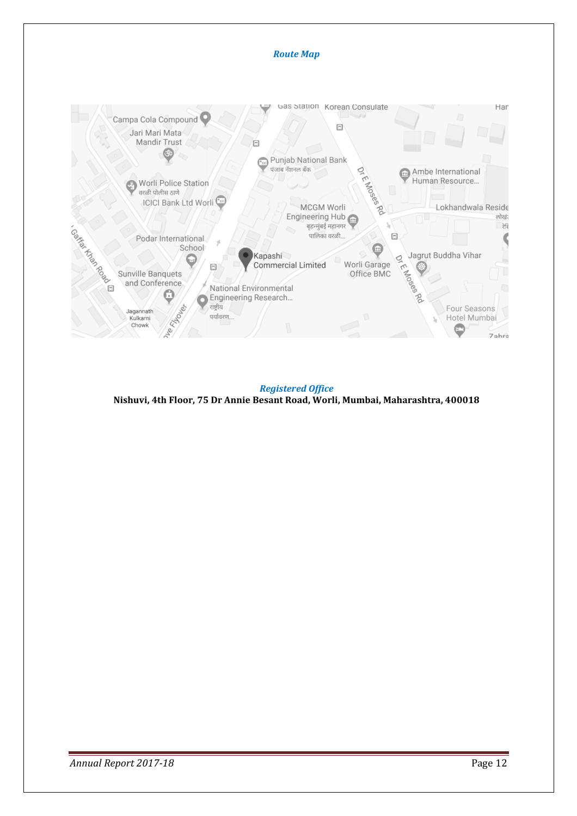

**Nishuvi, 4th Floor, 75 Dr Annie Besant Road, Worli, Mumbai, Maharashtra, 400018** *Registered Office*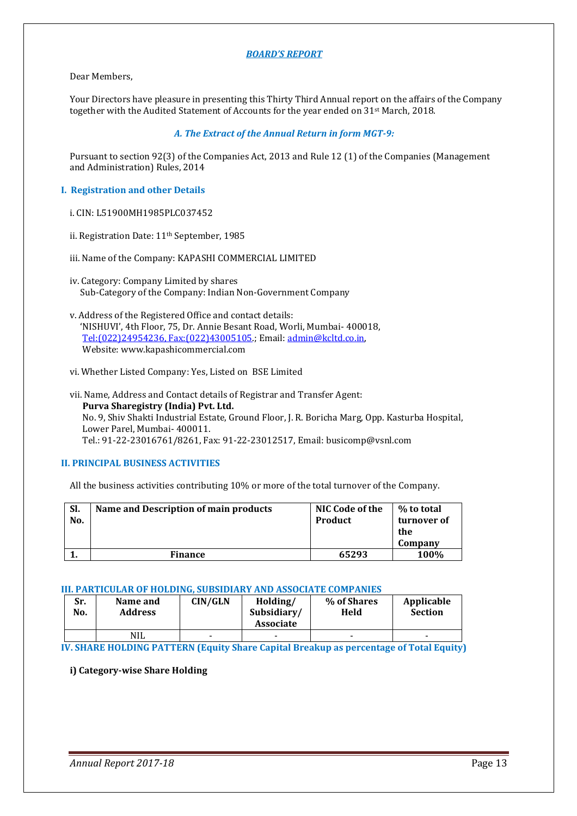#### *BOARD'S REPORT*

#### Dear Members,

Your Directors have pleasure in presenting this Thirty Third Annual report on the affairs of the Company together with the Audited Statement of Accounts for the year ended on 31st March, 2018.

#### *A. The Extract of the Annual Return in form MGT-9:*

Pursuant to section 92(3) of the Companies Act, 2013 and Rule 12 (1) of the Companies (Management and Administration) Rules, 2014

#### **I. Registration and other Details**

- i. CIN: L51900MH1985PLC037452
- ii. Registration Date: 11<sup>th</sup> September, 1985
- iii. Name of the Company: KAPASHI COMMERCIAL LIMITED
- iv. Category: Company Limited by shares Sub-Category of the Company: Indian Non-Government Company
- v. Address of the Registered Office and contact details: 'NISHUVI', 4th Floor, 75, Dr. Annie Besant Road, Worli, Mumbai- 400018, Tel:(022)24954236, Fax:(022)43005105.; Email: admin@kcltd.co.in, Website: www.kapashicommercial.com
- vi. Whether Listed Company: Yes, Listed on BSE Limited
- vii. Name, Address and Contact details of Registrar and Transfer Agent: **Purva Sharegistry (India) Pvt. Ltd.**  No. 9, Shiv Shakti Industrial Estate, Ground Floor, J. R. Boricha Marg, Opp. Kasturba Hospital, Lower Parel, Mumbai- 400011. Tel.: 91-22-23016761/8261, Fax: 91-22-23012517, Email: busicomp@vsnl.com

#### **II. PRINCIPAL BUSINESS ACTIVITIES**

All the business activities contributing 10% or more of the total turnover of the Company.

| SI.<br>No. | Name and Description of main products | NIC Code of the<br><b>Product</b> | % to total<br>turnover of<br>the<br>Company |
|------------|---------------------------------------|-----------------------------------|---------------------------------------------|
|            | <b>Finance</b>                        | 65293                             | 100%                                        |

#### **III. PARTICULAR OF HOLDING, SUBSIDIARY AND ASSOCIATE COMPANIES**

| Sr.<br>No. | Name and<br><b>Address</b> | CIN/GLN | Holding/<br>Subsidiary/<br><b>Associate</b> | % of Shares<br>Held | Applicable<br><b>Section</b> |
|------------|----------------------------|---------|---------------------------------------------|---------------------|------------------------------|
|            | <b>NIL</b>                 | -       | -                                           |                     | $\overline{\phantom{0}}$     |

**IV. SHARE HOLDING PATTERN (Equity Share Capital Breakup as percentage of Total Equity)** 

#### **i) Category-wise Share Holding**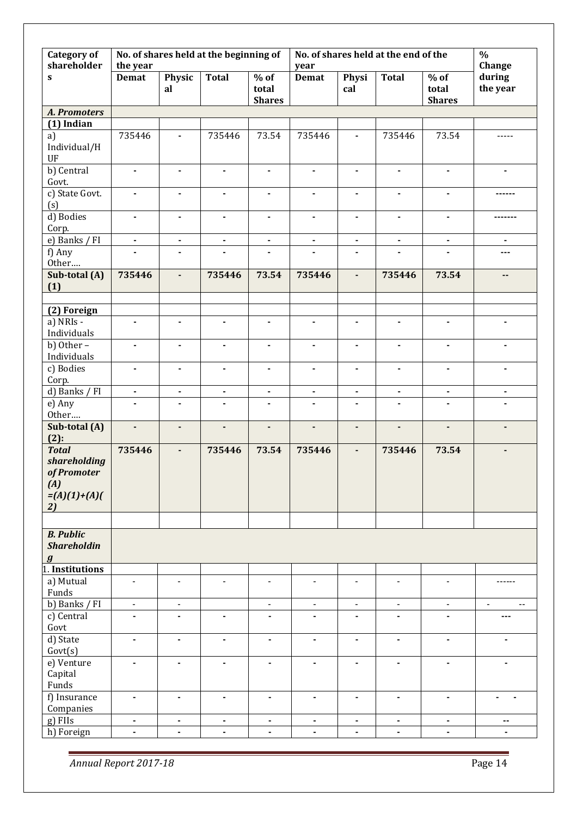| <b>Category of</b><br>shareholder                                          | the year       |                              | No. of shares held at the beginning of |                                  | year           |                | No. of shares held at the end of the |                                  | $\frac{0}{0}$<br>Change                      |
|----------------------------------------------------------------------------|----------------|------------------------------|----------------------------------------|----------------------------------|----------------|----------------|--------------------------------------|----------------------------------|----------------------------------------------|
| $\mathbf{s}$                                                               | <b>Demat</b>   | Physic<br>al                 | <b>Total</b>                           | $%$ of<br>total<br><b>Shares</b> | <b>Demat</b>   | Physi<br>cal   | Total                                | $%$ of<br>total<br><b>Shares</b> | during<br>the year                           |
| A. Promoters                                                               |                |                              |                                        |                                  |                |                |                                      |                                  |                                              |
| $(1)$ Indian                                                               |                |                              |                                        |                                  |                |                |                                      |                                  |                                              |
| a)<br>Individual/H<br>UF                                                   | 735446         | $\blacksquare$               | 735446                                 | 73.54                            | 735446         | $\blacksquare$ | 735446                               | 73.54                            | -----                                        |
| b) Central<br>Govt.                                                        | $\blacksquare$ | $\blacksquare$               | $\blacksquare$                         | $\blacksquare$                   | $\blacksquare$ | ٠              | $\blacksquare$                       | $\blacksquare$                   | $\blacksquare$                               |
| c) State Govt.<br>(s)                                                      | ٠              | $\blacksquare$               | $\blacksquare$                         | $\blacksquare$                   | $\blacksquare$ | ä,             | ۰                                    | $\blacksquare$                   |                                              |
| d) Bodies<br>Corp.                                                         | $\blacksquare$ | $\blacksquare$               | $\blacksquare$                         | $\blacksquare$                   | $\blacksquare$ | ۰              | $\blacksquare$                       | $\blacksquare$                   |                                              |
| e) Banks / FI                                                              | $\blacksquare$ | $\blacksquare$               | $\blacksquare$                         | $\blacksquare$                   | $\blacksquare$ | $\blacksquare$ | $\blacksquare$                       | $\blacksquare$                   | $\blacksquare$                               |
| f) Any<br>Other                                                            |                | $\blacksquare$               |                                        |                                  |                | ٠              |                                      |                                  | ---                                          |
| Sub-total (A)<br>(1)                                                       | 735446         | $\overline{\phantom{a}}$     | 735446                                 | 73.54                            | 735446         | $\blacksquare$ | 735446                               | 73.54                            | --                                           |
|                                                                            |                |                              |                                        |                                  |                |                |                                      |                                  |                                              |
| (2) Foreign                                                                |                |                              |                                        |                                  |                |                |                                      |                                  |                                              |
| a) NRIs -<br>Individuals                                                   | $\blacksquare$ | $\blacksquare$               | $\blacksquare$                         | $\blacksquare$                   | $\blacksquare$ | ۰              | $\blacksquare$                       | $\blacksquare$                   | $\blacksquare$                               |
| b) Other $-$<br>Individuals                                                | $\blacksquare$ | $\blacksquare$               | ٠                                      | $\blacksquare$                   | $\blacksquare$ | ٠              | $\blacksquare$                       | $\blacksquare$                   | $\blacksquare$                               |
| c) Bodies<br>Corp.                                                         | $\blacksquare$ | $\blacksquare$               | $\blacksquare$                         | $\blacksquare$                   | $\blacksquare$ | ۰              | $\blacksquare$                       | $\blacksquare$                   | $\blacksquare$                               |
| d) Banks / FI                                                              | $\blacksquare$ | $\blacksquare$               | $\blacksquare$                         | $\blacksquare$                   | $\blacksquare$ | $\blacksquare$ | $\blacksquare$                       | $\blacksquare$                   | $\blacksquare$                               |
| e) Any<br>Other                                                            | ٠              | $\blacksquare$               | $\blacksquare$                         | $\blacksquare$                   | $\blacksquare$ | ٠              | $\blacksquare$                       | $\blacksquare$                   | $\blacksquare$                               |
| Sub-total (A)<br>$(2)$ :                                                   | ÷,             | $\overline{\phantom{a}}$     | ٠                                      | $\overline{\phantom{a}}$         | $\blacksquare$ | ٠              | $\blacksquare$                       | $\blacksquare$                   | $\overline{\phantom{a}}$                     |
| <b>Total</b><br>shareholding<br>of Promoter<br>(A)<br>$=(A)(1)+(A)($<br>2) | 735446         | $\blacksquare$               | 735446                                 | 73.54                            | 735446         | ä,             | 735446                               | 73.54                            |                                              |
|                                                                            |                |                              |                                        |                                  |                |                |                                      |                                  |                                              |
| <b>B.</b> Public<br><b>Shareholdin</b><br>$\bm{g}$                         |                |                              |                                        |                                  |                |                |                                      |                                  |                                              |
| 1. Institutions                                                            |                |                              |                                        |                                  |                |                |                                      |                                  |                                              |
| a) Mutual<br>Funds                                                         | $\blacksquare$ | $\blacksquare$               | $\overline{a}$                         | ÷,                               | $\blacksquare$ | $\blacksquare$ | $\blacksquare$                       | $\blacksquare$                   | ------                                       |
| b) Banks / FI                                                              | $\blacksquare$ | $\overline{\phantom{a}}$     |                                        | $\frac{1}{2}$                    | $\blacksquare$ | $\blacksquare$ | $\blacksquare$                       | $\blacksquare$                   | $\blacksquare$<br>$\overline{\phantom{a}}$ . |
| c) Central<br>Govt                                                         |                | ä,                           | $\blacksquare$                         | ä,                               |                |                | $\blacksquare$                       |                                  | ---                                          |
| d) State<br>Govt(s)                                                        | $\blacksquare$ | $\blacksquare$               | $\blacksquare$                         | ä,                               | $\blacksquare$ | $\blacksquare$ | $\blacksquare$                       | $\blacksquare$                   | $\blacksquare$                               |
| e) Venture<br>Capital<br>Funds                                             | $\blacksquare$ | ä,                           | $\blacksquare$                         | ä,                               | $\blacksquare$ | ÷,             | $\blacksquare$                       | $\blacksquare$                   | $\blacksquare$                               |
| f) Insurance<br>Companies                                                  | $\blacksquare$ | $\blacksquare$               | $\blacksquare$                         | $\blacksquare$                   | $\blacksquare$ | $\blacksquare$ | $\blacksquare$                       | $\blacksquare$                   | ٠                                            |
| g) FIIs                                                                    | $\blacksquare$ | $\qquad \qquad \blacksquare$ | $\blacksquare$                         | $\blacksquare$                   | $\blacksquare$ | ٠              | $\blacksquare$                       | $\blacksquare$                   | ۰.                                           |
| h) Foreign                                                                 | $\blacksquare$ | $\blacksquare$               |                                        | $\blacksquare$                   | $\blacksquare$ | $\blacksquare$ |                                      | $\blacksquare$                   |                                              |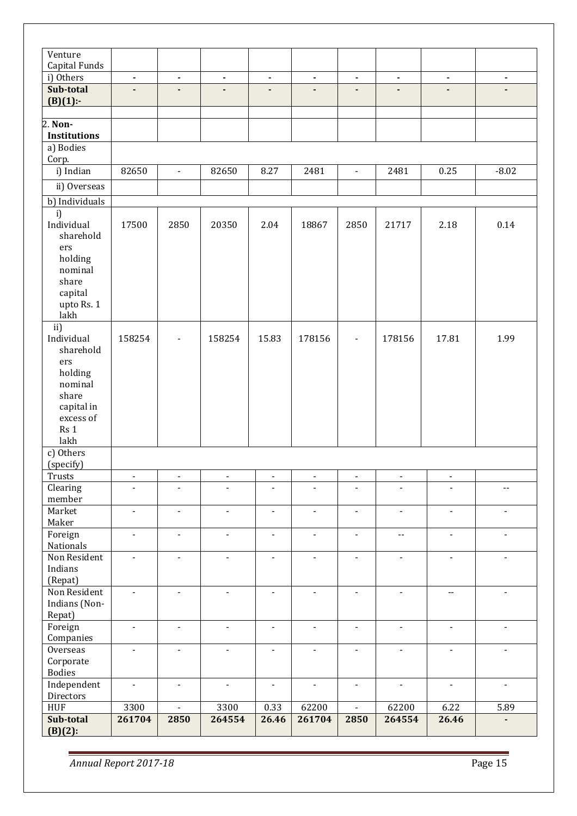| Venture             |                          |                          |                                                |                |                |                |                          |                                  |                            |
|---------------------|--------------------------|--------------------------|------------------------------------------------|----------------|----------------|----------------|--------------------------|----------------------------------|----------------------------|
| Capital Funds       |                          |                          |                                                |                |                |                |                          |                                  |                            |
| i) Others           | $\blacksquare$           | $\blacksquare$           | $\blacksquare$                                 | $\blacksquare$ | $\blacksquare$ | $\blacksquare$ | $\blacksquare$           | $\blacksquare$                   | $\blacksquare$             |
| Sub-total           | $\overline{a}$           | $\blacksquare$           |                                                | $\blacksquare$ |                | $\blacksquare$ |                          |                                  |                            |
| $(B)(1)$ :-         |                          |                          |                                                |                |                |                |                          |                                  |                            |
| 2. Non-             |                          |                          |                                                |                |                |                |                          |                                  |                            |
| <b>Institutions</b> |                          |                          |                                                |                |                |                |                          |                                  |                            |
| a) Bodies           |                          |                          |                                                |                |                |                |                          |                                  |                            |
| Corp.               |                          |                          |                                                |                |                |                |                          |                                  |                            |
| i) Indian           | 82650                    | $\blacksquare$           | 82650                                          | 8.27           | 2481           | $\blacksquare$ | 2481                     | 0.25                             | $-8.02$                    |
| ii) Overseas        |                          |                          |                                                |                |                |                |                          |                                  |                            |
|                     |                          |                          |                                                |                |                |                |                          |                                  |                            |
| b) Individuals      |                          |                          |                                                |                |                |                |                          |                                  |                            |
| i)                  |                          |                          |                                                |                |                |                |                          |                                  |                            |
| Individual          | 17500                    | 2850                     | 20350                                          | 2.04           | 18867          | 2850           | 21717                    | 2.18                             | 0.14                       |
| sharehold           |                          |                          |                                                |                |                |                |                          |                                  |                            |
| ers<br>holding      |                          |                          |                                                |                |                |                |                          |                                  |                            |
| nominal             |                          |                          |                                                |                |                |                |                          |                                  |                            |
| share               |                          |                          |                                                |                |                |                |                          |                                  |                            |
| capital             |                          |                          |                                                |                |                |                |                          |                                  |                            |
| upto Rs. 1          |                          |                          |                                                |                |                |                |                          |                                  |                            |
| lakh                |                          |                          |                                                |                |                |                |                          |                                  |                            |
| ii)                 |                          |                          |                                                |                |                |                |                          |                                  |                            |
| Individual          | 158254                   | $\overline{\phantom{a}}$ | 158254                                         | 15.83          | 178156         | $\overline{a}$ | 178156                   | 17.81                            | 1.99                       |
| sharehold           |                          |                          |                                                |                |                |                |                          |                                  |                            |
| ers                 |                          |                          |                                                |                |                |                |                          |                                  |                            |
| holding             |                          |                          |                                                |                |                |                |                          |                                  |                            |
| nominal             |                          |                          |                                                |                |                |                |                          |                                  |                            |
| share               |                          |                          |                                                |                |                |                |                          |                                  |                            |
| capital in          |                          |                          |                                                |                |                |                |                          |                                  |                            |
| excess of           |                          |                          |                                                |                |                |                |                          |                                  |                            |
| Rs 1                |                          |                          |                                                |                |                |                |                          |                                  |                            |
| lakh                |                          |                          |                                                |                |                |                |                          |                                  |                            |
| c) Others           |                          |                          |                                                |                |                |                |                          |                                  |                            |
| (specify)           |                          |                          |                                                |                |                |                |                          |                                  |                            |
| Trusts              | $\overline{\phantom{a}}$ | $\blacksquare$           | $\qquad \qquad \blacksquare$<br>$\blacksquare$ | $\blacksquare$ | $\blacksquare$ | $\overline{a}$ | $\overline{\phantom{a}}$ | $\blacksquare$<br>$\blacksquare$ |                            |
| Clearing<br>member  | L,                       |                          |                                                |                |                |                | $\blacksquare$           |                                  | $\overline{\phantom{a}}$ . |
| Market              | $\blacksquare$           | $\blacksquare$           | $\blacksquare$                                 | $\blacksquare$ | $\blacksquare$ | $\blacksquare$ | $\blacksquare$           | $\blacksquare$                   | $\blacksquare$             |
| Maker               |                          |                          |                                                |                |                |                |                          |                                  |                            |
| Foreign             | $\blacksquare$           | $\blacksquare$           | $\blacksquare$                                 | $\blacksquare$ | $\blacksquare$ | $\blacksquare$ | $- -$                    | $\blacksquare$                   | $\blacksquare$             |
| Nationals           |                          |                          |                                                |                |                |                |                          |                                  |                            |
| Non Resident        | $\blacksquare$           | $\blacksquare$           | $\blacksquare$                                 | $\blacksquare$ | $\mathbf{r}$   | $\blacksquare$ | $\blacksquare$           | $\blacksquare$                   | $\blacksquare$             |
| Indians             |                          |                          |                                                |                |                |                |                          |                                  |                            |
| (Repat)             |                          |                          |                                                |                |                |                |                          |                                  |                            |
| Non Resident        | $\blacksquare$           | $\blacksquare$           | $\blacksquare$                                 | $\blacksquare$ | $\blacksquare$ | $\blacksquare$ | $\blacksquare$           | $\overline{\phantom{a}}$         | $\blacksquare$             |
| Indians (Non-       |                          |                          |                                                |                |                |                |                          |                                  |                            |
| Repat)              |                          |                          |                                                |                |                |                |                          |                                  |                            |
| Foreign             | $\blacksquare$           | $\blacksquare$           | $\blacksquare$                                 | $\blacksquare$ | $\blacksquare$ | $\blacksquare$ | $\blacksquare$           | $\blacksquare$                   | $\blacksquare$             |
| Companies           |                          |                          |                                                |                |                |                |                          |                                  |                            |
| Overseas            | $\blacksquare$           | $\blacksquare$           | $\blacksquare$                                 | $\blacksquare$ | $\blacksquare$ | $\blacksquare$ | $\blacksquare$           | $\blacksquare$                   | $\blacksquare$             |
| Corporate           |                          |                          |                                                |                |                |                |                          |                                  |                            |
| <b>Bodies</b>       |                          |                          |                                                |                |                |                |                          |                                  |                            |
| Independent         | $\blacksquare$           | $\blacksquare$           | $\blacksquare$                                 | $\blacksquare$ | $\blacksquare$ | $\blacksquare$ | $\blacksquare$           | $\blacksquare$                   | $\blacksquare$             |
| Directors           |                          |                          |                                                |                |                |                |                          |                                  |                            |
| <b>HUF</b>          | 3300                     | $\blacksquare$           | 3300                                           | 0.33           | 62200          | $\blacksquare$ | 62200                    | 6.22                             | 5.89                       |
| Sub-total           | 261704                   | 2850                     | 264554                                         | 26.46          | 261704         | 2850           | 264554                   | 26.46                            |                            |
| $(B)(2)$ :          |                          |                          |                                                |                |                |                |                          |                                  |                            |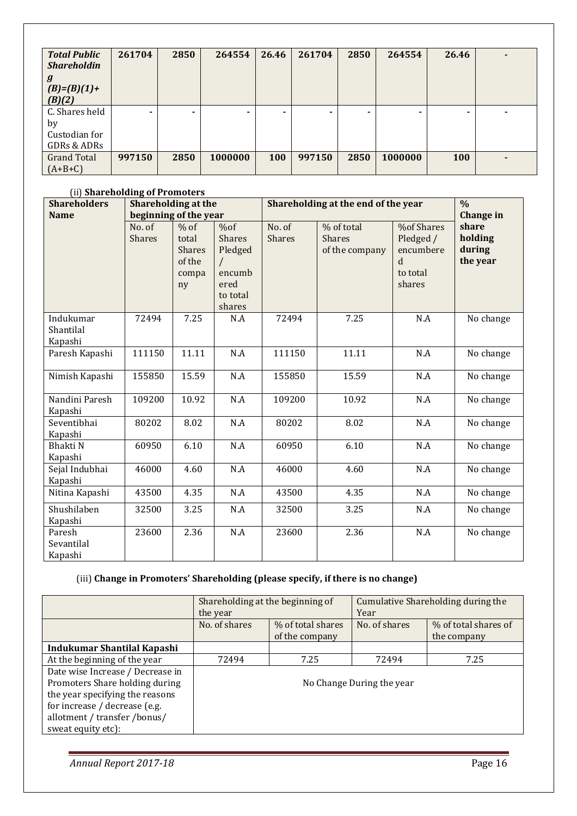| <b>Total Public</b><br><b>Shareholdin</b> | 261704 | 2850 | 264554  | 26.46 | 261704 | 2850 | 264554  | 26.46      |  |
|-------------------------------------------|--------|------|---------|-------|--------|------|---------|------------|--|
| g<br>$(B)=(B)(1)+$<br>(B)(2)              |        |      |         |       |        |      |         |            |  |
| C. Shares held                            | ٠      |      |         |       |        |      | -       |            |  |
| by                                        |        |      |         |       |        |      |         |            |  |
| Custodian for                             |        |      |         |       |        |      |         |            |  |
| GDRs & ADRs                               |        |      |         |       |        |      |         |            |  |
| <b>Grand Total</b>                        | 997150 | 2850 | 1000000 | 100   | 997150 | 2850 | 1000000 | <b>100</b> |  |
| $(A+B+C)$                                 |        |      |         |       |        |      |         |            |  |

#### (ii) **Shareholding of Promoters**

| <b>Shareholders</b>               | <b>Shareholding at the</b> |                                                           |                                                                         |                         | Shareholding at the end of the year           |                                                                                   |                                        |  |  |  |
|-----------------------------------|----------------------------|-----------------------------------------------------------|-------------------------------------------------------------------------|-------------------------|-----------------------------------------------|-----------------------------------------------------------------------------------|----------------------------------------|--|--|--|
| <b>Name</b>                       | beginning of the year      |                                                           |                                                                         |                         |                                               |                                                                                   | <b>Change</b> in                       |  |  |  |
|                                   | No. of<br><b>Shares</b>    | $%$ of<br>total<br><b>Shares</b><br>of the<br>compa<br>ny | %of<br><b>Shares</b><br>Pledged<br>encumb<br>ered<br>to total<br>shares | No. of<br><b>Shares</b> | % of total<br><b>Shares</b><br>of the company | <b>%of Shares</b><br>Pledged /<br>encumbere<br><sub>d</sub><br>to total<br>shares | share<br>holding<br>during<br>the year |  |  |  |
| Indukumar<br>Shantilal<br>Kapashi | 72494                      | 7.25                                                      | N.A                                                                     | 72494                   | 7.25                                          | N.A                                                                               | No change                              |  |  |  |
| Paresh Kapashi                    | 111150                     | 11.11                                                     | N.A                                                                     | 111150                  | 11.11                                         | N.A                                                                               | No change                              |  |  |  |
| Nimish Kapashi                    | 155850                     | 15.59                                                     | N.A                                                                     | 155850                  | 15.59                                         | N.A                                                                               | No change                              |  |  |  |
| Nandini Paresh<br>Kapashi         | 109200                     | 10.92                                                     | N.A                                                                     | 109200                  | 10.92                                         | N.A                                                                               | No change                              |  |  |  |
| Seventibhai<br>Kapashi            | 80202                      | 8.02                                                      | N.A                                                                     | 80202                   | 8.02                                          | N.A                                                                               | No change                              |  |  |  |
| Bhakti N<br>Kapashi               | 60950                      | 6.10                                                      | N.A                                                                     | 60950                   | 6.10                                          | N.A                                                                               | No change                              |  |  |  |
| Sejal Indubhai<br>Kapashi         | 46000                      | 4.60                                                      | N.A                                                                     | 46000                   | 4.60                                          | N.A                                                                               | No change                              |  |  |  |
| Nitina Kapashi                    | 43500                      | 4.35                                                      | N.A                                                                     | 43500                   | 4.35                                          | N.A                                                                               | No change                              |  |  |  |
| Shushilaben<br>Kapashi            | 32500                      | 3.25                                                      | N.A                                                                     | 32500                   | 3.25                                          | N.A                                                                               | No change                              |  |  |  |
| Paresh<br>Sevantilal<br>Kapashi   | 23600                      | 2.36                                                      | N.A                                                                     | 23600                   | 2.36                                          | N.A                                                                               | No change                              |  |  |  |

# (iii) **Change in Promoters' Shareholding (please specify, if there is no change)**

|                                                                                                                                                                                              | Shareholding at the beginning of<br>the year         |      | Year                      | Cumulative Shareholding during the  |  |  |
|----------------------------------------------------------------------------------------------------------------------------------------------------------------------------------------------|------------------------------------------------------|------|---------------------------|-------------------------------------|--|--|
|                                                                                                                                                                                              | % of total shares<br>No. of shares<br>of the company |      | No. of shares             | % of total shares of<br>the company |  |  |
| Indukumar Shantilal Kapashi                                                                                                                                                                  |                                                      |      |                           |                                     |  |  |
| At the beginning of the year                                                                                                                                                                 | 72494                                                | 7.25 | 72494                     | 7.25                                |  |  |
| Date wise Increase / Decrease in<br>Promoters Share holding during<br>the year specifying the reasons<br>for increase / decrease (e.g.<br>allotment / transfer /bonus/<br>sweat equity etc): |                                                      |      | No Change During the year |                                     |  |  |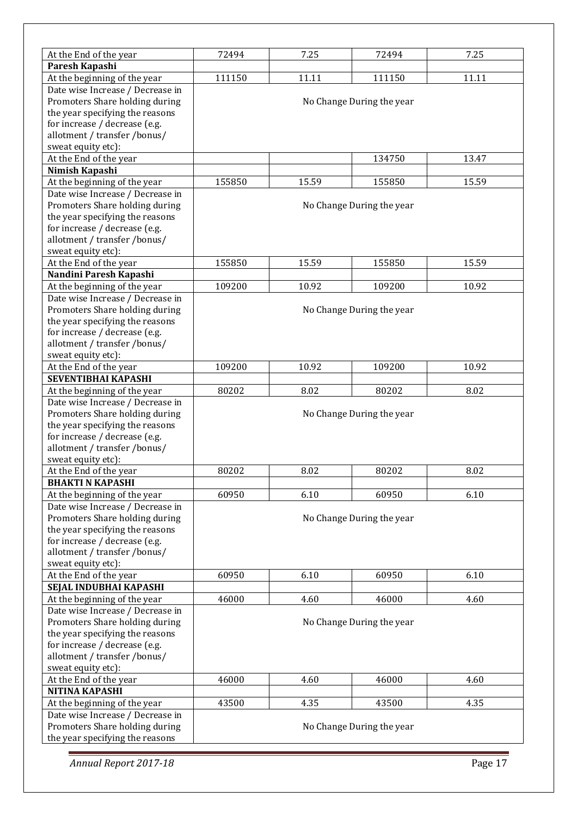| At the End of the year                                                                                                                                                                       | 72494                          | 7.25  | 72494                     | 7.25  |  |  |  |
|----------------------------------------------------------------------------------------------------------------------------------------------------------------------------------------------|--------------------------------|-------|---------------------------|-------|--|--|--|
| Paresh Kapashi                                                                                                                                                                               |                                |       |                           |       |  |  |  |
| At the beginning of the year                                                                                                                                                                 | 111150                         | 11.11 | 111150                    | 11.11 |  |  |  |
| Date wise Increase / Decrease in<br>Promoters Share holding during<br>the year specifying the reasons<br>for increase / decrease (e.g.                                                       | No Change During the year      |       |                           |       |  |  |  |
| allotment / transfer /bonus/<br>sweat equity etc):                                                                                                                                           |                                |       |                           |       |  |  |  |
| At the End of the year                                                                                                                                                                       |                                |       | 134750                    | 13.47 |  |  |  |
| Nimish Kapashi                                                                                                                                                                               |                                |       |                           |       |  |  |  |
| At the beginning of the year                                                                                                                                                                 | 155850                         | 15.59 | 155850                    | 15.59 |  |  |  |
| Date wise Increase / Decrease in                                                                                                                                                             |                                |       |                           |       |  |  |  |
| Promoters Share holding during<br>the year specifying the reasons<br>for increase / decrease (e.g.<br>allotment / transfer /bonus/                                                           |                                |       | No Change During the year |       |  |  |  |
| sweat equity etc):                                                                                                                                                                           |                                |       |                           |       |  |  |  |
| At the End of the year                                                                                                                                                                       | 155850                         | 15.59 | 155850                    | 15.59 |  |  |  |
| Nandini Paresh Kapashi                                                                                                                                                                       |                                |       |                           |       |  |  |  |
| At the beginning of the year                                                                                                                                                                 | 109200                         | 10.92 | 109200                    | 10.92 |  |  |  |
| Date wise Increase / Decrease in<br>Promoters Share holding during<br>the year specifying the reasons<br>for increase / decrease (e.g.<br>allotment / transfer /bonus/<br>sweat equity etc): | No Change During the year      |       |                           |       |  |  |  |
| At the End of the year                                                                                                                                                                       | 109200                         | 10.92 | 109200                    | 10.92 |  |  |  |
| SEVENTIBHAI KAPASHI                                                                                                                                                                          |                                |       |                           |       |  |  |  |
| At the beginning of the year                                                                                                                                                                 | 80202                          | 8.02  | 80202                     | 8.02  |  |  |  |
| Date wise Increase / Decrease in<br>Promoters Share holding during<br>the year specifying the reasons<br>for increase / decrease (e.g.<br>allotment / transfer /bonus/<br>sweat equity etc): | No Change During the year      |       |                           |       |  |  |  |
| At the End of the year                                                                                                                                                                       | 80202                          | 8.02  | 80202                     | 8.02  |  |  |  |
| <b>BHAKTI N KAPASHI</b>                                                                                                                                                                      |                                |       |                           |       |  |  |  |
| At the beginning of the year                                                                                                                                                                 | 60950                          | 6.10  | 60950                     | 6.10  |  |  |  |
| Date wise Increase / Decrease in<br>Promoters Share holding during<br>the year specifying the reasons<br>for increase / decrease (e.g.<br>allotment / transfer /bonus/<br>sweat equity etc): |                                |       | No Change During the year |       |  |  |  |
| At the End of the year                                                                                                                                                                       | 60950                          | 6.10  | 60950                     | 6.10  |  |  |  |
| SEJAL INDUBHAI KAPASHI                                                                                                                                                                       |                                |       |                           |       |  |  |  |
| At the beginning of the year                                                                                                                                                                 | 46000                          | 4.60  | 46000                     | 4.60  |  |  |  |
| Date wise Increase / Decrease in<br>Promoters Share holding during<br>the year specifying the reasons<br>for increase / decrease (e.g.<br>allotment / transfer /bonus/<br>sweat equity etc): | No Change During the year      |       |                           |       |  |  |  |
| At the End of the year                                                                                                                                                                       | 46000<br>4.60<br>46000<br>4.60 |       |                           |       |  |  |  |
| <b>NITINA KAPASHI</b>                                                                                                                                                                        |                                |       |                           |       |  |  |  |
| At the beginning of the year                                                                                                                                                                 | 43500                          | 4.35  | 43500                     | 4.35  |  |  |  |
| Date wise Increase / Decrease in<br>Promoters Share holding during<br>the year specifying the reasons                                                                                        | No Change During the year      |       |                           |       |  |  |  |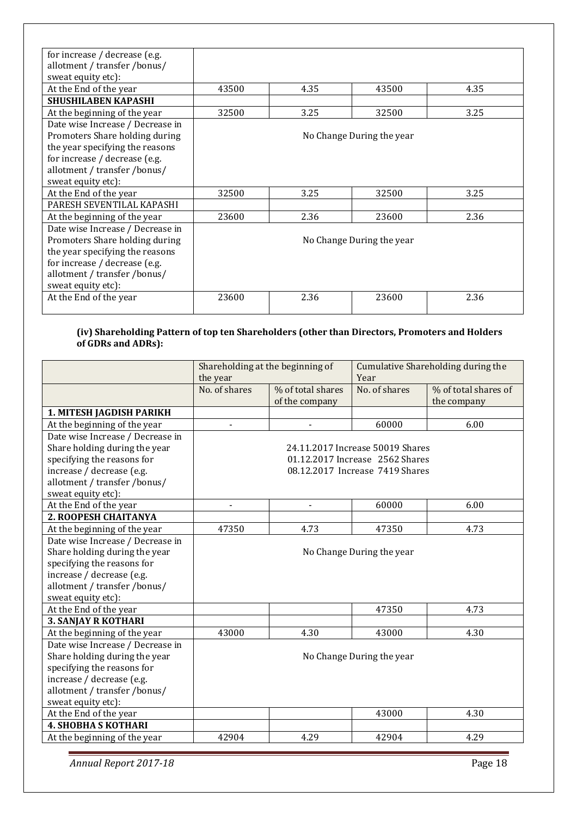| for increase / decrease (e.g.    |       |      |                           |      |
|----------------------------------|-------|------|---------------------------|------|
| allotment / transfer /bonus/     |       |      |                           |      |
| sweat equity etc):               |       |      |                           |      |
| At the End of the year           | 43500 | 4.35 | 43500                     | 4.35 |
| <b>SHUSHILABEN KAPASHI</b>       |       |      |                           |      |
| At the beginning of the year     | 32500 | 3.25 | 32500                     | 3.25 |
| Date wise Increase / Decrease in |       |      |                           |      |
| Promoters Share holding during   |       |      | No Change During the year |      |
| the year specifying the reasons  |       |      |                           |      |
| for increase / decrease (e.g.    |       |      |                           |      |
| allotment / transfer /bonus/     |       |      |                           |      |
| sweat equity etc):               |       |      |                           |      |
| At the End of the year           | 32500 | 3.25 | 32500                     | 3.25 |
| PARESH SEVENTILAL KAPASHI        |       |      |                           |      |
| At the beginning of the year     | 23600 | 2.36 | 23600                     | 2.36 |
| Date wise Increase / Decrease in |       |      |                           |      |
| Promoters Share holding during   |       |      | No Change During the year |      |
| the year specifying the reasons  |       |      |                           |      |
| for increase / decrease (e.g.    |       |      |                           |      |
| allotment / transfer /bonus/     |       |      |                           |      |
| sweat equity etc):               |       |      |                           |      |
| At the End of the year           | 23600 | 2.36 | 23600                     | 2.36 |
|                                  |       |      |                           |      |

#### **(iv) Shareholding Pattern of top ten Shareholders (other than Directors, Promoters and Holders of GDRs and ADRs):**

|                                  | Shareholding at the beginning of |                   | Cumulative Shareholding during the |                      |
|----------------------------------|----------------------------------|-------------------|------------------------------------|----------------------|
|                                  | the year                         |                   | Year                               |                      |
|                                  | No. of shares                    | % of total shares | No. of shares                      | % of total shares of |
|                                  |                                  | of the company    |                                    | the company          |
| 1. MITESH JAGDISH PARIKH         |                                  |                   |                                    |                      |
| At the beginning of the year     |                                  |                   | 60000                              | 6.00                 |
| Date wise Increase / Decrease in |                                  |                   |                                    |                      |
| Share holding during the year    |                                  |                   | 24.11.2017 Increase 50019 Shares   |                      |
| specifying the reasons for       |                                  |                   | 01.12.2017 Increase 2562 Shares    |                      |
| increase / decrease (e.g.        |                                  |                   | 08.12.2017 Increase 7419 Shares    |                      |
| allotment / transfer /bonus/     |                                  |                   |                                    |                      |
| sweat equity etc):               |                                  |                   |                                    |                      |
| At the End of the year           |                                  | -                 | 60000                              | 6.00                 |
| 2. ROOPESH CHAITANYA             |                                  |                   |                                    |                      |
| At the beginning of the year     | 47350                            | 4.73              | 47350                              | 4.73                 |
| Date wise Increase / Decrease in |                                  |                   |                                    |                      |
| Share holding during the year    |                                  |                   | No Change During the year          |                      |
| specifying the reasons for       |                                  |                   |                                    |                      |
| increase / decrease (e.g.        |                                  |                   |                                    |                      |
| allotment / transfer /bonus/     |                                  |                   |                                    |                      |
| sweat equity etc):               |                                  |                   |                                    |                      |
| At the End of the year           |                                  |                   | 47350                              | 4.73                 |
| <b>3. SANJAY R KOTHARI</b>       |                                  |                   |                                    |                      |
| At the beginning of the year     | 43000                            | 4.30              | 43000                              | 4.30                 |
| Date wise Increase / Decrease in |                                  |                   |                                    |                      |
| Share holding during the year    |                                  |                   | No Change During the year          |                      |
| specifying the reasons for       |                                  |                   |                                    |                      |
| increase / decrease (e.g.        |                                  |                   |                                    |                      |
| allotment / transfer /bonus/     |                                  |                   |                                    |                      |
| sweat equity etc):               |                                  |                   |                                    |                      |
| At the End of the year           |                                  |                   | 43000                              | 4.30                 |
| <b>4. SHOBHA S KOTHARI</b>       |                                  |                   |                                    |                      |
| At the beginning of the year     | 42904                            | 4.29              | 42904                              | 4.29                 |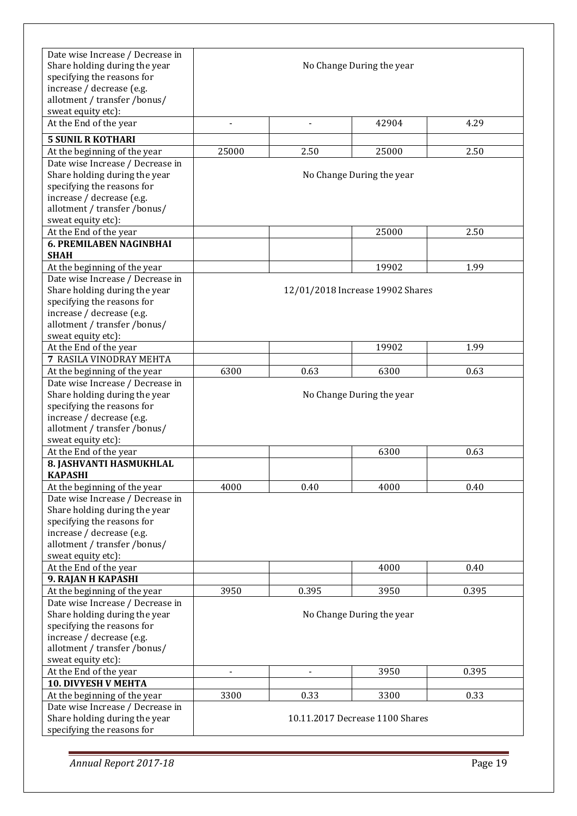| Date wise Increase / Decrease in<br>Share holding during the year<br>specifying the reasons for<br>increase / decrease (e.g.<br>allotment / transfer /bonus/<br>sweat equity etc): |        |                | No Change During the year         |       |
|------------------------------------------------------------------------------------------------------------------------------------------------------------------------------------|--------|----------------|-----------------------------------|-------|
| At the End of the year                                                                                                                                                             | $\sim$ | $\overline{a}$ | 42904                             | 4.29  |
| <b>5 SUNIL R KOTHARI</b>                                                                                                                                                           |        |                |                                   |       |
| At the beginning of the year                                                                                                                                                       | 25000  | 2.50           | 25000                             | 2.50  |
| Date wise Increase / Decrease in<br>Share holding during the year<br>specifying the reasons for<br>increase / decrease (e.g.<br>allotment / transfer /bonus/<br>sweat equity etc): |        |                | No Change During the year         |       |
| At the End of the year                                                                                                                                                             |        |                | 25000                             | 2.50  |
| <b>6. PREMILABEN NAGINBHAI</b>                                                                                                                                                     |        |                |                                   |       |
| <b>SHAH</b>                                                                                                                                                                        |        |                |                                   |       |
| At the beginning of the year                                                                                                                                                       |        |                | 19902                             | 1.99  |
| Date wise Increase / Decrease in<br>Share holding during the year<br>specifying the reasons for<br>increase / decrease (e.g.<br>allotment / transfer /bonus/<br>sweat equity etc): |        |                | 12/01/2018 Increase 19902 Shares  |       |
| At the End of the year                                                                                                                                                             |        |                | 19902                             | 1.99  |
| 7 RASILA VINODRAY MEHTA                                                                                                                                                            |        |                |                                   |       |
| At the beginning of the year                                                                                                                                                       | 6300   | 0.63           | 6300                              | 0.63  |
| Date wise Increase / Decrease in<br>Share holding during the year<br>specifying the reasons for<br>increase / decrease (e.g.<br>allotment / transfer /bonus/<br>sweat equity etc): |        |                | No Change During the year         |       |
| At the End of the year                                                                                                                                                             |        |                | 6300                              | 0.63  |
| 8. JASHVANTI HASMUKHLAL                                                                                                                                                            |        |                |                                   |       |
| <b>KAPASHI</b>                                                                                                                                                                     |        |                |                                   |       |
| At the beginning of the year                                                                                                                                                       | 4000   | 0.40           | 4000                              | 0.40  |
| Date wise Increase / Decrease in<br>Share holding during the year<br>specifying the reasons for<br>increase / decrease (e.g.<br>allotment / transfer /bonus/<br>sweat equity etc): |        |                |                                   |       |
| At the End of the year                                                                                                                                                             |        |                | 4000                              | 0.40  |
| 9. RAJAN H KAPASHI                                                                                                                                                                 |        |                |                                   |       |
| At the beginning of the year<br>Date wise Increase / Decrease in<br>Share holding during the year<br>specifying the reasons for                                                    | 3950   | 0.395          | 3950<br>No Change During the year | 0.395 |
| increase / decrease (e.g.<br>allotment / transfer /bonus/<br>sweat equity etc):                                                                                                    |        |                |                                   |       |
| At the End of the year                                                                                                                                                             |        |                | 3950                              | 0.395 |
| <b>10. DIVYESH V MEHTA</b>                                                                                                                                                         |        |                |                                   |       |
| At the beginning of the year                                                                                                                                                       | 3300   | 0.33           | 3300                              | 0.33  |
| Date wise Increase / Decrease in<br>Share holding during the year<br>specifying the reasons for                                                                                    |        |                | 10.11.2017 Decrease 1100 Shares   |       |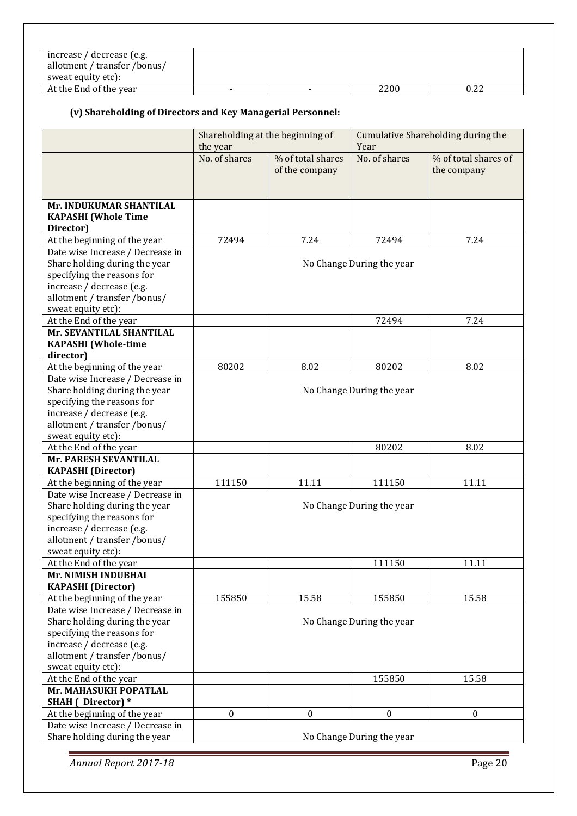| increase / decrease (e.g.<br>allotment / transfer /bonus/<br>sweat equity etc): |  |      |      |
|---------------------------------------------------------------------------------|--|------|------|
| At the End of the year                                                          |  | 2200 | 0.22 |

# **(v) Shareholding of Directors and Key Managerial Personnel:**

|                                                                  |               | Shareholding at the beginning of    | Cumulative Shareholding during the |                                     |  |
|------------------------------------------------------------------|---------------|-------------------------------------|------------------------------------|-------------------------------------|--|
|                                                                  | the year      |                                     | Year                               |                                     |  |
|                                                                  | No. of shares | % of total shares<br>of the company | No. of shares                      | % of total shares of<br>the company |  |
|                                                                  |               |                                     |                                    |                                     |  |
| Mr. INDUKUMAR SHANTILAL                                          |               |                                     |                                    |                                     |  |
| <b>KAPASHI</b> (Whole Time                                       |               |                                     |                                    |                                     |  |
| Director)                                                        |               |                                     |                                    |                                     |  |
| At the beginning of the year                                     | 72494         | 7.24                                | 72494                              | 7.24                                |  |
| Date wise Increase / Decrease in                                 |               |                                     |                                    |                                     |  |
| Share holding during the year<br>specifying the reasons for      |               |                                     | No Change During the year          |                                     |  |
| increase / decrease (e.g.                                        |               |                                     |                                    |                                     |  |
| allotment / transfer /bonus/                                     |               |                                     |                                    |                                     |  |
| sweat equity etc):                                               |               |                                     |                                    |                                     |  |
| At the End of the year                                           |               |                                     | 72494                              | 7.24                                |  |
| Mr. SEVANTILAL SHANTILAL                                         |               |                                     |                                    |                                     |  |
| <b>KAPASHI</b> (Whole-time                                       |               |                                     |                                    |                                     |  |
| director)                                                        |               |                                     |                                    |                                     |  |
| At the beginning of the year                                     | 80202         | 8.02                                | 80202                              | 8.02                                |  |
| Date wise Increase / Decrease in                                 |               |                                     |                                    |                                     |  |
| Share holding during the year                                    |               |                                     | No Change During the year          |                                     |  |
| specifying the reasons for                                       |               |                                     |                                    |                                     |  |
| increase / decrease (e.g.                                        |               |                                     |                                    |                                     |  |
| allotment / transfer /bonus/                                     |               |                                     |                                    |                                     |  |
| sweat equity etc):                                               |               |                                     |                                    |                                     |  |
| At the End of the year                                           |               |                                     | 80202                              | 8.02                                |  |
| Mr. PARESH SEVANTILAL                                            |               |                                     |                                    |                                     |  |
| <b>KAPASHI</b> (Director)                                        |               |                                     |                                    |                                     |  |
| At the beginning of the year                                     | 111150        | 11.11                               | 111150                             | 11.11                               |  |
| Date wise Increase / Decrease in                                 |               |                                     |                                    |                                     |  |
| Share holding during the year                                    |               |                                     | No Change During the year          |                                     |  |
| specifying the reasons for                                       |               |                                     |                                    |                                     |  |
| increase / decrease (e.g.                                        |               |                                     |                                    |                                     |  |
| allotment / transfer /bonus/                                     |               |                                     |                                    |                                     |  |
| sweat equity etc):                                               |               |                                     |                                    |                                     |  |
| At the End of the year                                           |               |                                     | 111150                             | 11.11                               |  |
| Mr. NIMISH INDUBHAI                                              |               |                                     |                                    |                                     |  |
| <b>KAPASHI</b> (Director)                                        |               |                                     |                                    |                                     |  |
| At the beginning of the year<br>Date wise Increase / Decrease in | 155850        | 15.58                               | 155850                             | 15.58                               |  |
| Share holding during the year                                    |               |                                     |                                    |                                     |  |
| specifying the reasons for                                       |               |                                     | No Change During the year          |                                     |  |
| increase / decrease (e.g.                                        |               |                                     |                                    |                                     |  |
| allotment / transfer /bonus/                                     |               |                                     |                                    |                                     |  |
| sweat equity etc):                                               |               |                                     |                                    |                                     |  |
| At the End of the year                                           |               |                                     | 155850                             | 15.58                               |  |
| Mr. MAHASUKH POPATLAL                                            |               |                                     |                                    |                                     |  |
| <b>SHAH</b> ( Director) *                                        |               |                                     |                                    |                                     |  |
| At the beginning of the year                                     | $\mathbf{0}$  | $\mathbf{0}$                        | $\mathbf{0}$                       | $\boldsymbol{0}$                    |  |
| Date wise Increase / Decrease in                                 |               |                                     |                                    |                                     |  |
| Share holding during the year                                    |               |                                     | No Change During the year          |                                     |  |
|                                                                  |               |                                     |                                    |                                     |  |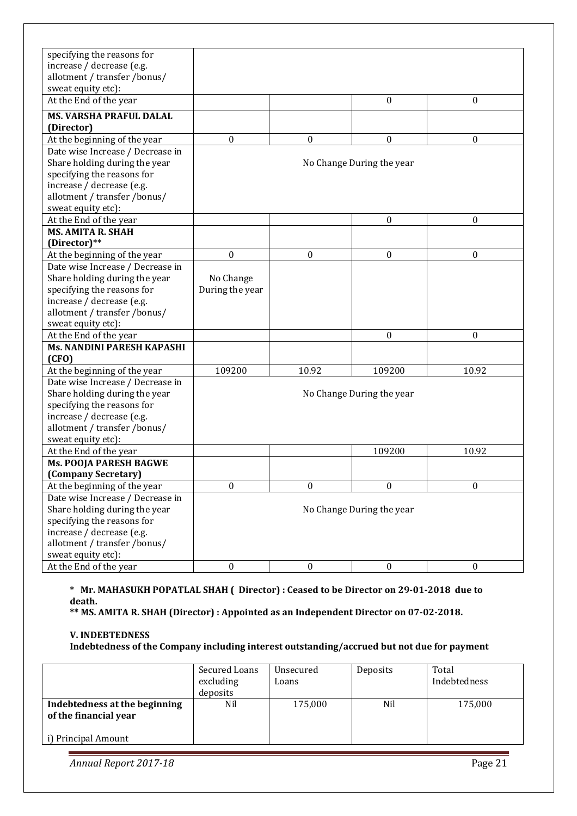| specifying the reasons for       |                  |                  |                           |                  |
|----------------------------------|------------------|------------------|---------------------------|------------------|
| increase / decrease (e.g.        |                  |                  |                           |                  |
| allotment / transfer /bonus/     |                  |                  |                           |                  |
| sweat equity etc):               |                  |                  |                           |                  |
| At the End of the year           |                  |                  | $\boldsymbol{0}$          | $\boldsymbol{0}$ |
| <b>MS. VARSHA PRAFUL DALAL</b>   |                  |                  |                           |                  |
| (Director)                       |                  |                  |                           |                  |
| At the beginning of the year     | $\boldsymbol{0}$ | $\mathbf{0}$     | 0                         | 0                |
| Date wise Increase / Decrease in |                  |                  |                           |                  |
| Share holding during the year    |                  |                  | No Change During the year |                  |
| specifying the reasons for       |                  |                  |                           |                  |
| increase / decrease (e.g.        |                  |                  |                           |                  |
| allotment / transfer /bonus/     |                  |                  |                           |                  |
| sweat equity etc):               |                  |                  |                           |                  |
| At the End of the year           |                  |                  | $\boldsymbol{0}$          | $\boldsymbol{0}$ |
| <b>MS. AMITA R. SHAH</b>         |                  |                  |                           |                  |
| (Director)**                     |                  |                  |                           |                  |
| At the beginning of the year     | $\boldsymbol{0}$ | $\boldsymbol{0}$ | $\boldsymbol{0}$          | $\boldsymbol{0}$ |
| Date wise Increase / Decrease in |                  |                  |                           |                  |
| Share holding during the year    | No Change        |                  |                           |                  |
| specifying the reasons for       | During the year  |                  |                           |                  |
| increase / decrease (e.g.        |                  |                  |                           |                  |
| allotment / transfer /bonus/     |                  |                  |                           |                  |
| sweat equity etc):               |                  |                  |                           |                  |
| At the End of the year           |                  |                  | $\Omega$                  | $\Omega$         |
| Ms. NANDINI PARESH KAPASHI       |                  |                  |                           |                  |
| (CFO)                            |                  |                  |                           |                  |
| At the beginning of the year     | 109200           | 10.92            | 109200                    | 10.92            |
| Date wise Increase / Decrease in |                  |                  |                           |                  |
| Share holding during the year    |                  |                  | No Change During the year |                  |
| specifying the reasons for       |                  |                  |                           |                  |
| increase / decrease (e.g.        |                  |                  |                           |                  |
| allotment / transfer /bonus/     |                  |                  |                           |                  |
| sweat equity etc):               |                  |                  |                           |                  |
| At the End of the year           |                  |                  | 109200                    | 10.92            |
| <b>Ms. POOJA PARESH BAGWE</b>    |                  |                  |                           |                  |
| (Company Secretary)              |                  |                  |                           |                  |
| At the beginning of the year     | $\boldsymbol{0}$ | $\boldsymbol{0}$ | $\boldsymbol{0}$          | 0                |
| Date wise Increase / Decrease in |                  |                  |                           |                  |
| Share holding during the year    |                  |                  | No Change During the year |                  |
| specifying the reasons for       |                  |                  |                           |                  |
| increase / decrease (e.g.        |                  |                  |                           |                  |
| allotment / transfer /bonus/     |                  |                  |                           |                  |
| sweat equity etc):               |                  |                  |                           |                  |
| At the End of the year           | $\boldsymbol{0}$ | $\boldsymbol{0}$ | $\boldsymbol{0}$          | $\boldsymbol{0}$ |

### **\* Mr. MAHASUKH POPATLAL SHAH ( Director) : Ceased to be Director on 29-01-2018 due to death.**

**\*\* MS. AMITA R. SHAH (Director) : Appointed as an Independent Director on 07-02-2018.** 

#### **V. INDEBTEDNESS**

**Indebtedness of the Company including interest outstanding/accrued but not due for payment** 

|                                                        | Secured Loans<br>excluding<br>deposits | Unsecured<br>Loans | Deposits | Total<br>Indebtedness |
|--------------------------------------------------------|----------------------------------------|--------------------|----------|-----------------------|
| Indebtedness at the beginning<br>of the financial year | Nil                                    | 175,000            | Nil      | 175,000               |
| i) Principal Amount                                    |                                        |                    |          |                       |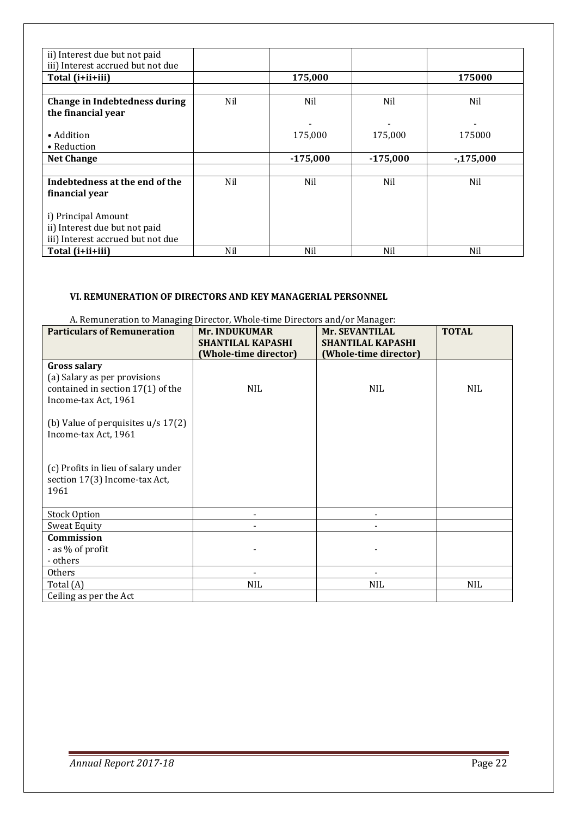| ii) Interest due but not paid     |     |            |            |            |
|-----------------------------------|-----|------------|------------|------------|
| iii) Interest accrued but not due |     |            |            |            |
| Total (i+ii+iii)                  |     | 175,000    |            | 175000     |
|                                   |     |            |            |            |
| Change in Indebtedness during     | Nil | Nil        | Nil        | Nil        |
| the financial year                |     |            |            |            |
|                                   |     |            |            |            |
| • Addition                        |     | 175,000    | 175,000    | 175000     |
| $\bullet$ Reduction               |     |            |            |            |
| <b>Net Change</b>                 |     | $-175,000$ | $-175,000$ | $-175,000$ |
|                                   |     |            |            |            |
| Indebtedness at the end of the    | Nil | Nil        | Nil        | Nil        |
| financial year                    |     |            |            |            |
|                                   |     |            |            |            |
| i) Principal Amount               |     |            |            |            |
| ii) Interest due but not paid     |     |            |            |            |
| iii) Interest accrued but not due |     |            |            |            |
| Total (i+ii+iii)                  | Nil | Nil        | Nil        | Nil        |

### **VI. REMUNERATION OF DIRECTORS AND KEY MANAGERIAL PERSONNEL**

#### A. Remuneration to Managing Director, Whole-time Directors and/or Manager:

| <b>Particulars of Remuneration</b>   | <b>Mr. INDUKUMAR</b>     | <b>Mr. SEVANTILAL</b>    | <b>TOTAL</b> |
|--------------------------------------|--------------------------|--------------------------|--------------|
|                                      | <b>SHANTILAL KAPASHI</b> | <b>SHANTILAL KAPASHI</b> |              |
|                                      | (Whole-time director)    | (Whole-time director)    |              |
| <b>Gross salary</b>                  |                          |                          |              |
| (a) Salary as per provisions         |                          |                          |              |
| contained in section $17(1)$ of the  | <b>NIL</b>               | <b>NIL</b>               | <b>NIL</b>   |
| Income-tax Act, 1961                 |                          |                          |              |
|                                      |                          |                          |              |
| (b) Value of perquisites $u/s$ 17(2) |                          |                          |              |
| Income-tax Act, 1961                 |                          |                          |              |
|                                      |                          |                          |              |
|                                      |                          |                          |              |
| (c) Profits in lieu of salary under  |                          |                          |              |
| section 17(3) Income-tax Act,        |                          |                          |              |
| 1961                                 |                          |                          |              |
| <b>Stock Option</b>                  |                          |                          |              |
| <b>Sweat Equity</b>                  |                          |                          |              |
| Commission                           |                          |                          |              |
| - as % of profit                     |                          |                          |              |
| - others                             |                          |                          |              |
| Others                               |                          |                          |              |
| Total (A)                            | <b>NIL</b>               | <b>NIL</b>               | <b>NIL</b>   |
| Ceiling as per the Act               |                          |                          |              |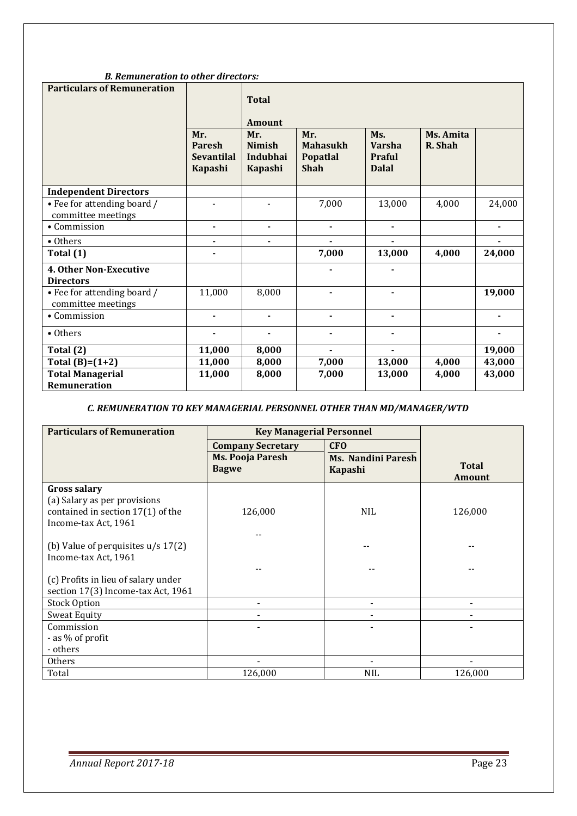|  | <b>B.</b> Remuneration to other directors: |
|--|--------------------------------------------|
|--|--------------------------------------------|

| <b>Particulars of Remuneration</b>                | Mr.<br><b>Paresh</b><br><b>Sevantilal</b><br>Kapashi | <b>Total</b><br><b>Amount</b><br>Mr.<br><b>Nimish</b><br>Indubhai<br>Kapashi | Mr.<br><b>Mahasukh</b><br>Popatlal<br><b>Shah</b> | Ms.<br><b>Varsha</b><br><b>Praful</b><br><b>Dalal</b> | Ms. Amita<br>R. Shah |                |
|---------------------------------------------------|------------------------------------------------------|------------------------------------------------------------------------------|---------------------------------------------------|-------------------------------------------------------|----------------------|----------------|
| <b>Independent Directors</b>                      |                                                      |                                                                              |                                                   |                                                       |                      |                |
| • Fee for attending board /<br>committee meetings |                                                      |                                                                              | 7,000                                             | 13,000                                                | 4,000                | 24,000         |
| • Commission                                      | ٠                                                    | $\blacksquare$                                                               | $\blacksquare$                                    | ٠                                                     |                      | $\blacksquare$ |
| • Others                                          | ٠                                                    |                                                                              |                                                   |                                                       |                      |                |
| Total (1)                                         |                                                      |                                                                              | 7,000                                             | 13,000                                                | 4,000                | 24,000         |
| <b>4. Other Non-Executive</b><br><b>Directors</b> |                                                      |                                                                              |                                                   |                                                       |                      |                |
| • Fee for attending board /<br>committee meetings | 11,000                                               | 8,000                                                                        | $\blacksquare$                                    | ٠                                                     |                      | 19,000         |
| • Commission                                      | ÷.                                                   |                                                                              |                                                   | ۰                                                     |                      |                |
| • Others                                          |                                                      |                                                                              |                                                   |                                                       |                      |                |
| Total (2)                                         | 11,000                                               | 8,000                                                                        | $\blacksquare$                                    |                                                       |                      | 19,000         |
| Total $(B)=(1+2)$                                 | 11,000                                               | 8,000                                                                        | 7,000                                             | 13,000                                                | 4,000                | 43,000         |
| <b>Total Managerial</b><br><b>Remuneration</b>    | 11,000                                               | 8,000                                                                        | 7,000                                             | 13,000                                                | 4,000                | 43,000         |

# *C. REMUNERATION TO KEY MANAGERIAL PERSONNEL OTHER THAN MD/MANAGER/WTD*

| <b>Particulars of Remuneration</b>   | <b>Key Managerial Personnel</b>         |                                             |               |
|--------------------------------------|-----------------------------------------|---------------------------------------------|---------------|
|                                      | <b>Company Secretary</b>                | <b>CFO</b>                                  |               |
|                                      | <b>Ms. Pooja Paresh</b><br><b>Bagwe</b> | <b>Ms. Nandini Paresh</b><br><b>Kapashi</b> | <b>Total</b>  |
|                                      |                                         |                                             | <b>Amount</b> |
| <b>Gross salary</b>                  |                                         |                                             |               |
| (a) Salary as per provisions         |                                         |                                             |               |
| contained in section $17(1)$ of the  | 126,000                                 | <b>NIL</b>                                  | 126,000       |
| Income-tax Act, 1961                 |                                         |                                             |               |
|                                      |                                         |                                             |               |
| (b) Value of perquisites $u/s$ 17(2) |                                         |                                             |               |
| Income-tax Act, 1961                 |                                         |                                             |               |
|                                      |                                         |                                             |               |
| (c) Profits in lieu of salary under  |                                         |                                             |               |
| section 17(3) Income-tax Act, 1961   |                                         |                                             |               |
| <b>Stock Option</b>                  |                                         |                                             |               |
| Sweat Equity                         |                                         |                                             |               |
| Commission                           |                                         |                                             |               |
| - as % of profit                     |                                         |                                             |               |
| - others                             |                                         |                                             |               |
| Others                               |                                         |                                             |               |
| Total                                | 126,000                                 | <b>NIL</b>                                  | 126,000       |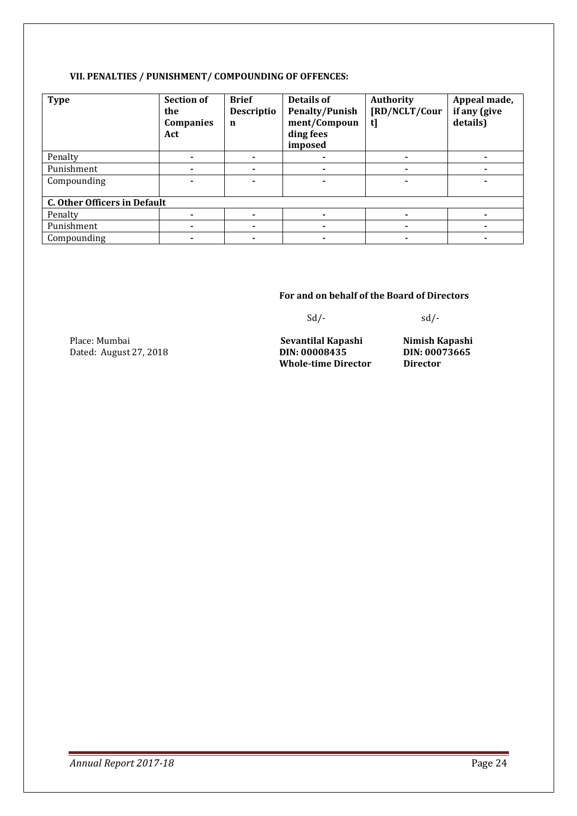#### **VII. PENALTIES / PUNISHMENT/ COMPOUNDING OF OFFENCES:**

| <b>Type</b>                         | <b>Section of</b><br>the<br><b>Companies</b><br>Act | <b>Brief</b><br>Descriptio<br>n | Details of<br><b>Penalty/Punish</b><br>ment/Compoun<br>ding fees<br>imposed | Authority<br>[RD/NCLT/Cour<br>tl | Appeal made,<br>if any (give<br>details) |
|-------------------------------------|-----------------------------------------------------|---------------------------------|-----------------------------------------------------------------------------|----------------------------------|------------------------------------------|
| Penalty                             |                                                     |                                 |                                                                             |                                  |                                          |
| Punishment                          |                                                     |                                 |                                                                             | ۰                                |                                          |
| Compounding                         |                                                     |                                 |                                                                             |                                  |                                          |
| <b>C. Other Officers in Default</b> |                                                     |                                 |                                                                             |                                  |                                          |
| Penalty                             |                                                     |                                 |                                                                             | ۰                                |                                          |
| Punishment                          |                                                     |                                 |                                                                             | ٠                                |                                          |
| Compounding                         |                                                     | ٠                               |                                                                             | ٠                                |                                          |

#### **For and on behalf of the Board of Directors**

 $Sd$ - $Sd$ -

Place: Mumbai **Sevantilal Kapashi Nimish Kapashi Diace: Mumbai Albert Sevantilal Kapashi Nimish Kapashi Diace: Albert Sevantilal Kapashi Diace: Albert Sevantilal Kapashi Diace: Albert Sevantilal Kapashi Diace** 

Dated: August 27, 2018 **DIN: 00008435 DIN: 000**<br>**Whole-time Director Director Whole-time Director**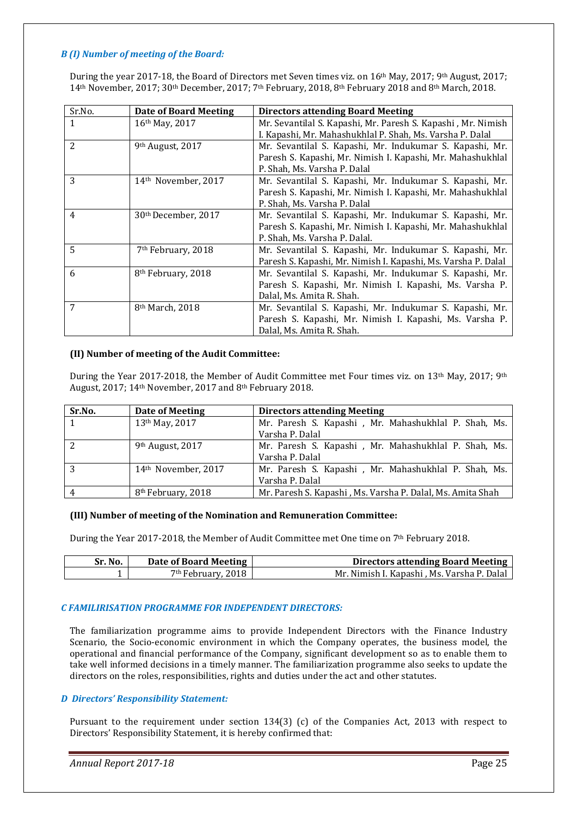#### *B (I) Number of meeting of the Board:*

During the year 2017-18, the Board of Directors met Seven times viz. on 16th May, 2017; 9th August, 2017; 14th November, 2017; 30th December, 2017; 7th February, 2018, 8th February 2018 and 8th March, 2018.

| Sr.No.       | <b>Date of Board Meeting</b>    | <b>Directors attending Board Meeting</b>                      |
|--------------|---------------------------------|---------------------------------------------------------------|
| $\mathbf{1}$ | 16th May, 2017                  | Mr. Sevantilal S. Kapashi, Mr. Paresh S. Kapashi, Mr. Nimish  |
|              |                                 | I. Kapashi, Mr. Mahashukhlal P. Shah, Ms. Varsha P. Dalal     |
| 2            | 9 <sup>th</sup> August, 2017    | Mr. Sevantilal S. Kapashi, Mr. Indukumar S. Kapashi, Mr.      |
|              |                                 | Paresh S. Kapashi, Mr. Nimish I. Kapashi, Mr. Mahashukhlal    |
|              |                                 | P. Shah, Ms. Varsha P. Dalal                                  |
| 3            | 14 <sup>th</sup> November, 2017 | Mr. Sevantilal S. Kapashi, Mr. Indukumar S. Kapashi, Mr.      |
|              |                                 | Paresh S. Kapashi, Mr. Nimish I. Kapashi, Mr. Mahashukhlal    |
|              |                                 | P. Shah, Ms. Varsha P. Dalal                                  |
| 4            | 30 <sup>th</sup> December, 2017 | Mr. Sevantilal S. Kapashi, Mr. Indukumar S. Kapashi, Mr.      |
|              |                                 | Paresh S. Kapashi, Mr. Nimish I. Kapashi, Mr. Mahashukhlal    |
|              |                                 | P. Shah, Ms. Varsha P. Dalal.                                 |
| 5            | 7 <sup>th</sup> February, 2018  | Mr. Sevantilal S. Kapashi, Mr. Indukumar S. Kapashi, Mr.      |
|              |                                 | Paresh S. Kapashi, Mr. Nimish I. Kapashi, Ms. Varsha P. Dalal |
| 6            | 8 <sup>th</sup> February, 2018  | Mr. Sevantilal S. Kapashi, Mr. Indukumar S. Kapashi, Mr.      |
|              |                                 | Paresh S. Kapashi, Mr. Nimish I. Kapashi, Ms. Varsha P.       |
|              |                                 | Dalal, Ms. Amita R. Shah.                                     |
| 7            | 8 <sup>th</sup> March, 2018     | Mr. Sevantilal S. Kapashi, Mr. Indukumar S. Kapashi, Mr.      |
|              |                                 | Paresh S. Kapashi, Mr. Nimish I. Kapashi, Ms. Varsha P.       |
|              |                                 | Dalal, Ms. Amita R. Shah.                                     |

#### **(II) Number of meeting of the Audit Committee:**

During the Year 2017-2018, the Member of Audit Committee met Four times viz. on 13<sup>th</sup> May, 2017; 9<sup>th</sup> August, 2017; 14th November, 2017 and 8th February 2018.

| Sr.No.         | Date of Meeting                 | <b>Directors attending Meeting</b>                         |
|----------------|---------------------------------|------------------------------------------------------------|
|                | 13 <sup>th</sup> May, 2017      | Mr. Paresh S. Kapashi, Mr. Mahashukhlal P. Shah, Ms.       |
|                |                                 | Varsha P. Dalal                                            |
| 2              | 9th August, 2017                | Mr. Paresh S. Kapashi, Mr. Mahashukhlal P. Shah, Ms.       |
|                |                                 | Varsha P. Dalal                                            |
| 3              | 14 <sup>th</sup> November, 2017 | Mr. Paresh S. Kapashi, Mr. Mahashukhlal P. Shah, Ms.       |
|                |                                 | Varsha P. Dalal                                            |
| $\overline{4}$ | 8 <sup>th</sup> February, 2018  | Mr. Paresh S. Kapashi, Ms. Varsha P. Dalal, Ms. Amita Shah |

#### **(III) Number of meeting of the Nomination and Remuneration Committee:**

During the Year 2017-2018, the Member of Audit Committee met One time on 7th February 2018.

| Sr. No. | Date of Board Meeting | <b>Directors attending Board Meeting</b>    |
|---------|-----------------------|---------------------------------------------|
|         | $7th$ February, 2018  | Mr. Nimish I. Kapashi , Ms. Varsha P. Dalal |

#### *C FAMILIRISATION PROGRAMME FOR INDEPENDENT DIRECTORS:*

The familiarization programme aims to provide Independent Directors with the Finance Industry Scenario, the Socio-economic environment in which the Company operates, the business model, the operational and financial performance of the Company, significant development so as to enable them to take well informed decisions in a timely manner. The familiarization programme also seeks to update the directors on the roles, responsibilities, rights and duties under the act and other statutes.

#### *D Directors' Responsibility Statement:*

Pursuant to the requirement under section 134(3) (c) of the Companies Act, 2013 with respect to Directors' Responsibility Statement, it is hereby confirmed that: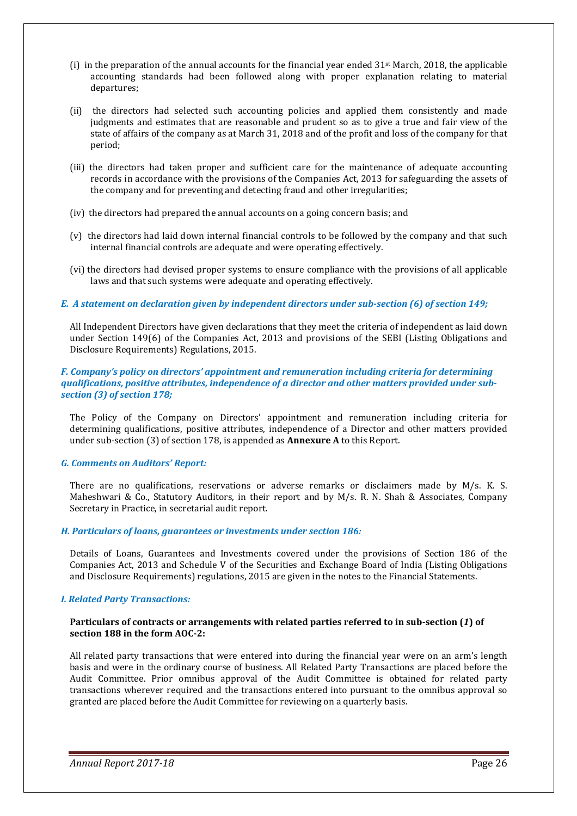- (i) in the preparation of the annual accounts for the financial year ended  $31^{st}$  March, 2018, the applicable accounting standards had been followed along with proper explanation relating to material departures;
- (ii) the directors had selected such accounting policies and applied them consistently and made judgments and estimates that are reasonable and prudent so as to give a true and fair view of the state of affairs of the company as at March 31, 2018 and of the profit and loss of the company for that period;
- (iii) the directors had taken proper and sufficient care for the maintenance of adequate accounting records in accordance with the provisions of the Companies Act, 2013 for safeguarding the assets of the company and for preventing and detecting fraud and other irregularities;
- (iv) the directors had prepared the annual accounts on a going concern basis; and
- (v) the directors had laid down internal financial controls to be followed by the company and that such internal financial controls are adequate and were operating effectively.
- (vi) the directors had devised proper systems to ensure compliance with the provisions of all applicable laws and that such systems were adequate and operating effectively.

#### *E. A statement on declaration given by independent directors under sub-section (6) of section 149;*

All Independent Directors have given declarations that they meet the criteria of independent as laid down under Section 149(6) of the Companies Act, 2013 and provisions of the SEBI (Listing Obligations and Disclosure Requirements) Regulations, 2015.

#### *F. Company's policy on directors' appointment and remuneration including criteria for determining qualifications, positive attributes, independence of a director and other matters provided under subsection (3) of section 178;*

The Policy of the Company on Directors' appointment and remuneration including criteria for determining qualifications, positive attributes, independence of a Director and other matters provided under sub-section (3) of section 178, is appended as **Annexure A** to this Report.

#### *G. Comments on Auditors' Report:*

There are no qualifications, reservations or adverse remarks or disclaimers made by M/s. K. S. Maheshwari & Co., Statutory Auditors, in their report and by M/s. R. N. Shah & Associates, Company Secretary in Practice, in secretarial audit report.

#### *H. Particulars of loans, guarantees or investments under section 186:*

Details of Loans, Guarantees and Investments covered under the provisions of Section 186 of the Companies Act, 2013 and Schedule V of the Securities and Exchange Board of India (Listing Obligations and Disclosure Requirements) regulations, 2015 are given in the notes to the Financial Statements.

#### *I. Related Party Transactions:*

#### **Particulars of contracts or arrangements with related parties referred to in sub-section (***1***) of section 188 in the form AOC-2:**

All related party transactions that were entered into during the financial year were on an arm's length basis and were in the ordinary course of business. All Related Party Transactions are placed before the Audit Committee. Prior omnibus approval of the Audit Committee is obtained for related party transactions wherever required and the transactions entered into pursuant to the omnibus approval so granted are placed before the Audit Committee for reviewing on a quarterly basis.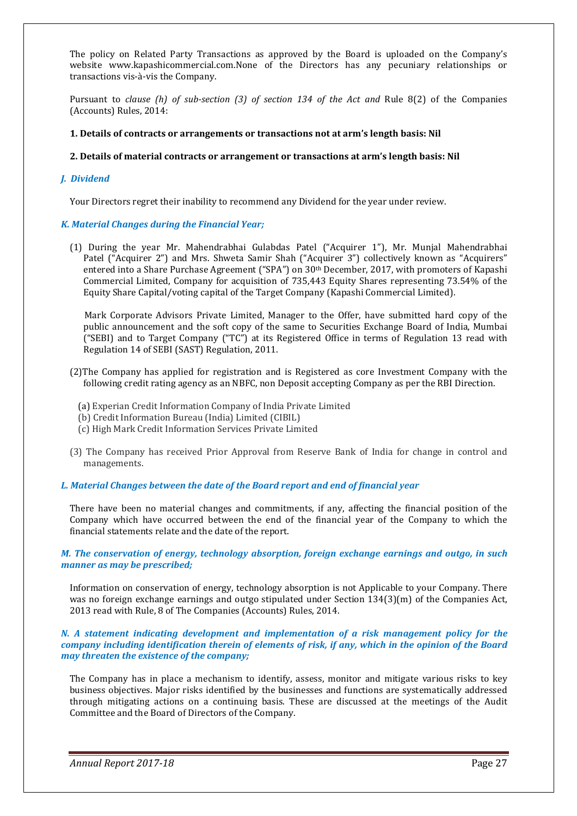The policy on Related Party Transactions as approved by the Board is uploaded on the Company's website www.kapashicommercial.com.None of the Directors has any pecuniary relationships or transactions vis-à-vis the Company.

Pursuant to *clause (h) of sub-section (3) of section 134 of the Act and* Rule 8(2) of the Companies (Accounts) Rules, 2014:

#### **1. Details of contracts or arrangements or transactions not at arm's length basis: Nil**

#### **2. Details of material contracts or arrangement or transactions at arm's length basis: Nil**

#### *J. Dividend*

Your Directors regret their inability to recommend any Dividend for the year under review.

#### *K. Material Changes during the Financial Year;*

(1) During the year Mr. Mahendrabhai Gulabdas Patel ("Acquirer 1"), Mr. Munjal Mahendrabhai Patel ("Acquirer 2") and Mrs. Shweta Samir Shah ("Acquirer 3") collectively known as "Acquirers" entered into a Share Purchase Agreement ("SPA") on 30th December, 2017, with promoters of Kapashi Commercial Limited, Company for acquisition of 735,443 Equity Shares representing 73.54% of the Equity Share Capital/voting capital of the Target Company (Kapashi Commercial Limited).

 Mark Corporate Advisors Private Limited, Manager to the Offer, have submitted hard copy of the public announcement and the soft copy of the same to Securities Exchange Board of India, Mumbai ("SEBI) and to Target Company ("TC") at its Registered Office in terms of Regulation 13 read with Regulation 14 of SEBI (SAST) Regulation, 2011.

- (2)The Company has applied for registration and is Registered as core Investment Company with the following credit rating agency as an NBFC, non Deposit accepting Company as per the RBI Direction.
	- (a) Experian Credit Information Company of India Private Limited
	- (b) Credit Information Bureau (India) Limited (CIBIL)
	- (c) High Mark Credit Information Services Private Limited
- (3) The Company has received Prior Approval from Reserve Bank of India for change in control and managements.

#### *L. Material Changes between the date of the Board report and end of financial year*

There have been no material changes and commitments, if any, affecting the financial position of the Company which have occurred between the end of the financial year of the Company to which the financial statements relate and the date of the report.

*M. The conservation of energy, technology absorption, foreign exchange earnings and outgo, in such manner as may be prescribed;* 

Information on conservation of energy, technology absorption is not Applicable to your Company. There was no foreign exchange earnings and outgo stipulated under Section 134(3)(m) of the Companies Act, 2013 read with Rule, 8 of The Companies (Accounts) Rules, 2014.

#### *N. A statement indicating development and implementation of a risk management policy for the company including identification therein of elements of risk, if any, which in the opinion of the Board may threaten the existence of the company;*

The Company has in place a mechanism to identify, assess, monitor and mitigate various risks to key business objectives. Major risks identified by the businesses and functions are systematically addressed through mitigating actions on a continuing basis. These are discussed at the meetings of the Audit Committee and the Board of Directors of the Company.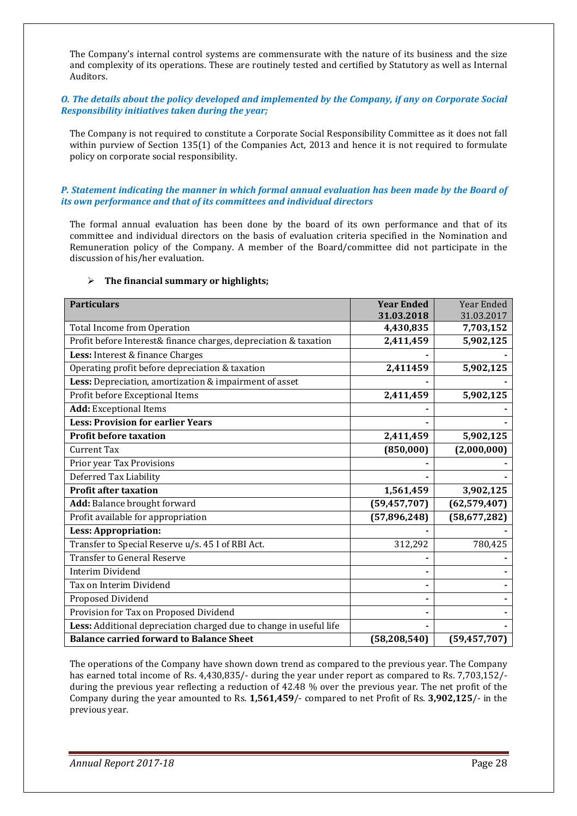The Company's internal control systems are commensurate with the nature of its business and the size and complexity of its operations. These are routinely tested and certified by Statutory as well as Internal Auditors.

#### *O. The details about the policy developed and implemented by the Company, if any on Corporate Social Responsibility initiatives taken during the year;*

The Company is not required to constitute a Corporate Social Responsibility Committee as it does not fall within purview of Section 135(1) of the Companies Act, 2013 and hence it is not required to formulate policy on corporate social responsibility.

#### *P. Statement indicating the manner in which formal annual evaluation has been made by the Board of its own performance and that of its committees and individual directors*

The formal annual evaluation has been done by the board of its own performance and that of its committee and individual directors on the basis of evaluation criteria specified in the Nomination and Remuneration policy of the Company. A member of the Board/committee did not participate in the discussion of his/her evaluation.

| <b>Particulars</b>                                                 | <b>Year Ended</b> | Year Ended     |
|--------------------------------------------------------------------|-------------------|----------------|
|                                                                    | 31.03.2018        | 31.03.2017     |
| <b>Total Income from Operation</b>                                 | 4,430,835         | 7,703,152      |
| Profit before Interest& finance charges, depreciation & taxation   | 2,411,459         | 5,902,125      |
| Less: Interest & finance Charges                                   |                   |                |
| Operating profit before depreciation & taxation                    | 2,411459          | 5,902,125      |
| Less: Depreciation, amortization & impairment of asset             |                   |                |
| Profit before Exceptional Items                                    | 2,411,459         | 5,902,125      |
| <b>Add:</b> Exceptional Items                                      |                   |                |
| <b>Less: Provision for earlier Years</b>                           |                   |                |
| <b>Profit before taxation</b>                                      | 2,411,459         | 5,902,125      |
| <b>Current Tax</b>                                                 | (850,000)         | (2,000,000)    |
| Prior year Tax Provisions                                          |                   |                |
| Deferred Tax Liability                                             |                   |                |
| <b>Profit after taxation</b>                                       | 1,561,459         | 3,902,125      |
| Add: Balance brought forward                                       | (59, 457, 707)    | (62, 579, 407) |
| Profit available for appropriation                                 | (57,896,248)      | (58,677,282)   |
| <b>Less: Appropriation:</b>                                        |                   |                |
| Transfer to Special Reserve u/s. 45 I of RBI Act.                  | 312,292           | 780,425        |
| <b>Transfer to General Reserve</b>                                 |                   |                |
| <b>Interim Dividend</b>                                            |                   |                |
| Tax on Interim Dividend                                            |                   |                |
| Proposed Dividend                                                  |                   |                |
| Provision for Tax on Proposed Dividend                             |                   |                |
| Less: Additional depreciation charged due to change in useful life |                   |                |
| <b>Balance carried forward to Balance Sheet</b>                    | (58, 208, 540)    | (59, 457, 707) |

#### **The financial summary or highlights;**

The operations of the Company have shown down trend as compared to the previous year. The Company has earned total income of Rs. 4,430,835/- during the year under report as compared to Rs. 7,703,152/ during the previous year reflecting a reduction of 42.48 % over the previous year. The net profit of the Company during the year amounted to Rs. **1,561,459**/- compared to net Profit of Rs. **3,902,125**/- in the previous year.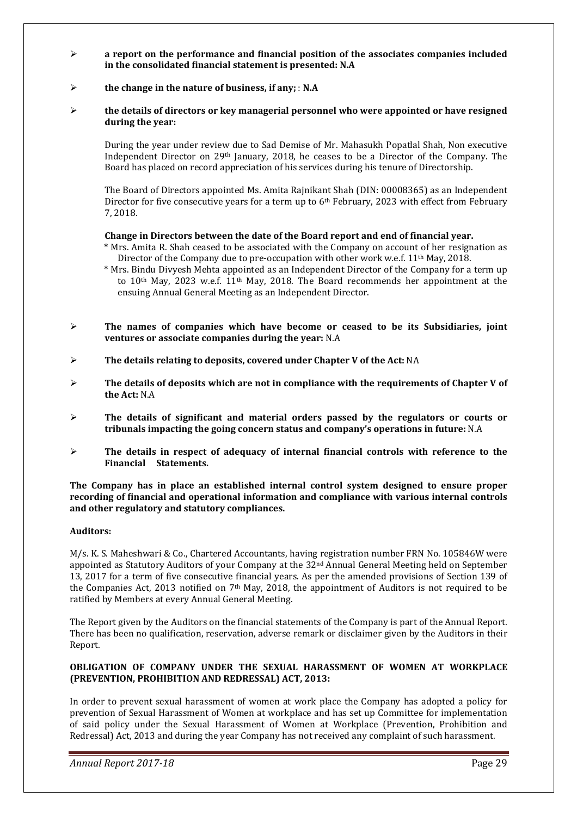- **a report on the performance and financial position of the associates companies included in the consolidated financial statement is presented: N.A**
- **the change in the nature of business, if any;** : **N.A**
- **the details of directors or key managerial personnel who were appointed or have resigned during the year:**

During the year under review due to Sad Demise of Mr. Mahasukh Popatlal Shah, Non executive Independent Director on 29th January, 2018, he ceases to be a Director of the Company. The Board has placed on record appreciation of his services during his tenure of Directorship.

The Board of Directors appointed Ms. Amita Rajnikant Shah (DIN: 00008365) as an Independent Director for five consecutive years for a term up to  $6<sup>th</sup>$  February, 2023 with effect from February 7, 2018.

#### **Change in Directors between the date of the Board report and end of financial year.**

- \* Mrs. Amita R. Shah ceased to be associated with the Company on account of her resignation as Director of the Company due to pre-occupation with other work w.e.f. 11<sup>th</sup> May, 2018.
- \* Mrs. Bindu Divyesh Mehta appointed as an Independent Director of the Company for a term up to 10th May, 2023 w.e.f. 11th May, 2018. The Board recommends her appointment at the ensuing Annual General Meeting as an Independent Director.
- **The names of companies which have become or ceased to be its Subsidiaries, joint ventures or associate companies during the year:** N.A
- **The details relating to deposits, covered under Chapter V of the Act:** NA
- **The details of deposits which are not in compliance with the requirements of Chapter V of the Act:** N.A
- **The details of significant and material orders passed by the regulators or courts or tribunals impacting the going concern status and company's operations in future:** N.A
- **The details in respect of adequacy of internal financial controls with reference to the Financial Statements.**

**The Company has in place an established internal control system designed to ensure proper recording of financial and operational information and compliance with various internal controls and other regulatory and statutory compliances.** 

#### **Auditors:**

M/s. K. S. Maheshwari & Co., Chartered Accountants, having registration number FRN No. 105846W were appointed as Statutory Auditors of your Company at the 32<sup>nd</sup> Annual General Meeting held on September 13, 2017 for a term of five consecutive financial years. As per the amended provisions of Section 139 of the Companies Act, 2013 notified on 7<sup>th</sup> May, 2018, the appointment of Auditors is not required to be ratified by Members at every Annual General Meeting.

The Report given by the Auditors on the financial statements of the Company is part of the Annual Report. There has been no qualification, reservation, adverse remark or disclaimer given by the Auditors in their Report.

#### **OBLIGATION OF COMPANY UNDER THE SEXUAL HARASSMENT OF WOMEN AT WORKPLACE (PREVENTION, PROHIBITION AND REDRESSAL) ACT, 2013:**

In order to prevent sexual harassment of women at work place the Company has adopted a policy for prevention of Sexual Harassment of Women at workplace and has set up Committee for implementation of said policy under the Sexual Harassment of Women at Workplace (Prevention, Prohibition and Redressal) Act, 2013 and during the year Company has not received any complaint of such harassment.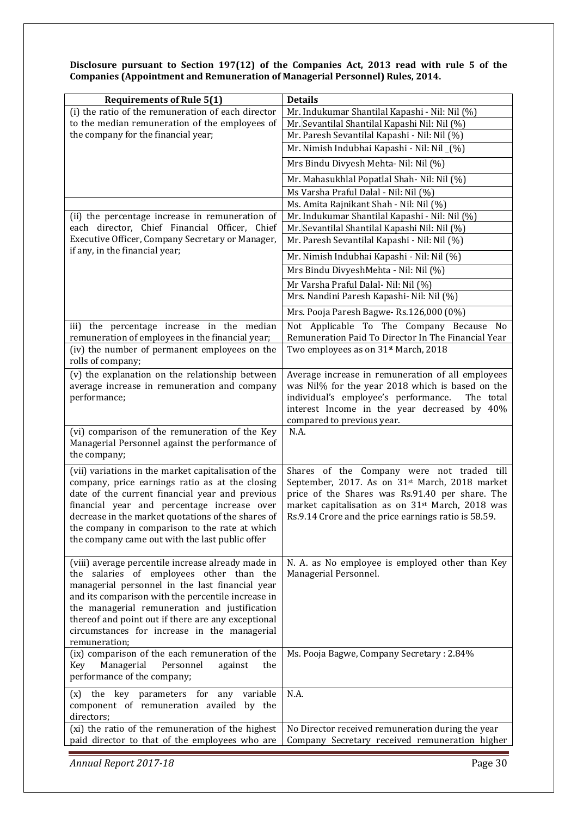**Disclosure pursuant to Section 197(12) of the Companies Act, 2013 read with rule 5 of the Companies (Appointment and Remuneration of Managerial Personnel) Rules, 2014.** 

| <b>Requirements of Rule 5(1)</b>                                                                  | <b>Details</b>                                                                                                  |
|---------------------------------------------------------------------------------------------------|-----------------------------------------------------------------------------------------------------------------|
| (i) the ratio of the remuneration of each director                                                | Mr. Indukumar Shantilal Kapashi - Nil: Nil (%)                                                                  |
| to the median remuneration of the employees of                                                    | Mr. Sevantilal Shantilal Kapashi Nil: Nil (%)                                                                   |
| the company for the financial year;                                                               | Mr. Paresh Sevantilal Kapashi - Nil: Nil (%)                                                                    |
|                                                                                                   | Mr. Nimish Indubhai Kapashi - Nil: Nil (%)                                                                      |
|                                                                                                   | Mrs Bindu Divyesh Mehta- Nil: Nil (%)                                                                           |
|                                                                                                   | Mr. Mahasukhlal Popatlal Shah- Nil: Nil (%)                                                                     |
|                                                                                                   | Ms Varsha Praful Dalal - Nil: Nil (%)                                                                           |
|                                                                                                   | Ms. Amita Rajnikant Shah - Nil: Nil (%)                                                                         |
| (ii) the percentage increase in remuneration of                                                   | Mr. Indukumar Shantilal Kapashi - Nil: Nil (%)                                                                  |
| each director, Chief Financial Officer, Chief<br>Executive Officer, Company Secretary or Manager, | Mr. Sevantilal Shantilal Kapashi Nil: Nil (%)                                                                   |
| if any, in the financial year;                                                                    | Mr. Paresh Sevantilal Kapashi - Nil: Nil (%)                                                                    |
|                                                                                                   | Mr. Nimish Indubhai Kapashi - Nil: Nil (%)                                                                      |
|                                                                                                   | Mrs Bindu DivyeshMehta - Nil: Nil (%)                                                                           |
|                                                                                                   | Mr Varsha Praful Dalal- Nil: Nil (%)                                                                            |
|                                                                                                   | Mrs. Nandini Paresh Kapashi- Nil: Nil (%)                                                                       |
|                                                                                                   | Mrs. Pooja Paresh Bagwe-Rs.126,000 (0%)                                                                         |
| iii) the percentage increase in the median                                                        | Not Applicable To The Company Because No                                                                        |
| remuneration of employees in the financial year;                                                  | Remuneration Paid To Director In The Financial Year                                                             |
| (iv) the number of permanent employees on the<br>rolls of company;                                | Two employees as on 31st March, 2018                                                                            |
| (v) the explanation on the relationship between                                                   | Average increase in remuneration of all employees                                                               |
| average increase in remuneration and company                                                      | was Nil% for the year 2018 which is based on the                                                                |
| performance;                                                                                      | individual's employee's performance.<br>The total<br>interest Income in the year decreased by 40%               |
|                                                                                                   | compared to previous year.                                                                                      |
| (vi) comparison of the remuneration of the Key                                                    | N.A.                                                                                                            |
| Managerial Personnel against the performance of                                                   |                                                                                                                 |
| the company;                                                                                      |                                                                                                                 |
| (vii) variations in the market capitalisation of the                                              | Shares of the Company were not traded till                                                                      |
| company, price earnings ratio as at the closing                                                   | September, 2017. As on 31 <sup>st</sup> March, 2018 market                                                      |
| date of the current financial year and previous<br>financial year and percentage increase over    | price of the Shares was Rs.91.40 per share. The<br>market capitalisation as on 31 <sup>st</sup> March, 2018 was |
| decrease in the market quotations of the shares of                                                | Rs.9.14 Crore and the price earnings ratio is 58.59.                                                            |
| the company in comparison to the rate at which                                                    |                                                                                                                 |
| the company came out with the last public offer                                                   |                                                                                                                 |
|                                                                                                   |                                                                                                                 |
| (viii) average percentile increase already made in<br>the salaries of employees other than the    | N. A. as No employee is employed other than Key<br>Managerial Personnel.                                        |
| managerial personnel in the last financial year                                                   |                                                                                                                 |
| and its comparison with the percentile increase in                                                |                                                                                                                 |
| the managerial remuneration and justification                                                     |                                                                                                                 |
| thereof and point out if there are any exceptional                                                |                                                                                                                 |
| circumstances for increase in the managerial                                                      |                                                                                                                 |
| remuneration;<br>(ix) comparison of the each remuneration of the                                  | Ms. Pooja Bagwe, Company Secretary: 2.84%                                                                       |
| Managerial<br>Personnel<br>the<br>Key<br>against                                                  |                                                                                                                 |
| performance of the company;                                                                       |                                                                                                                 |
| the key parameters for any variable<br>(x)                                                        | N.A.                                                                                                            |
| component of remuneration availed by the                                                          |                                                                                                                 |
| directors;                                                                                        |                                                                                                                 |
| (xi) the ratio of the remuneration of the highest                                                 | No Director received remuneration during the year                                                               |
| paid director to that of the employees who are                                                    | Company Secretary received remuneration higher                                                                  |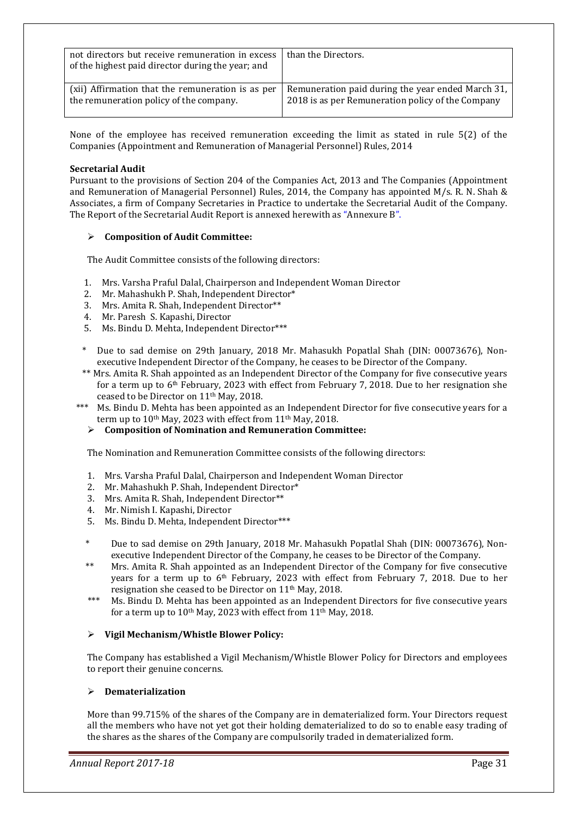| not directors but receive remuneration in excess<br>of the highest paid director during the year; and | than the Directors.                               |
|-------------------------------------------------------------------------------------------------------|---------------------------------------------------|
| (xii) Affirmation that the remuneration is as per                                                     | Remuneration paid during the year ended March 31, |
| the remuneration policy of the company.                                                               | 2018 is as per Remuneration policy of the Company |

None of the employee has received remuneration exceeding the limit as stated in rule 5(2) of the Companies (Appointment and Remuneration of Managerial Personnel) Rules, 2014

#### **Secretarial Audit**

Pursuant to the provisions of Section 204 of the Companies Act, 2013 and The Companies (Appointment and Remuneration of Managerial Personnel) Rules, 2014, the Company has appointed M/s. R. N. Shah & Associates, a firm of Company Secretaries in Practice to undertake the Secretarial Audit of the Company. The Report of the Secretarial Audit Report is annexed herewith as "Annexure B".

#### **Composition of Audit Committee:**

The Audit Committee consists of the following directors:

- 1. Mrs. Varsha Praful Dalal, Chairperson and Independent Woman Director
- 2. Mr. Mahashukh P. Shah, Independent Director\*
- 3. Mrs. Amita R. Shah, Independent Director\*\*
- 4. Mr. Paresh S. Kapashi, Director
- 5. Ms. Bindu D. Mehta, Independent Director\*\*\*
- \* Due to sad demise on 29th January, 2018 Mr. Mahasukh Popatlal Shah (DIN: 00073676), Nonexecutive Independent Director of the Company, he ceases to be Director of the Company.
- \*\* Mrs. Amita R. Shah appointed as an Independent Director of the Company for five consecutive years for a term up to  $6<sup>th</sup>$  February, 2023 with effect from February 7, 2018. Due to her resignation she ceased to be Director on 11th May, 2018.
- \*\*\* Ms. Bindu D. Mehta has been appointed as an Independent Director for five consecutive years for a term up to  $10<sup>th</sup>$  May, 2023 with effect from  $11<sup>th</sup>$  May, 2018.

#### **Composition of Nomination and Remuneration Committee:**

The Nomination and Remuneration Committee consists of the following directors:

- 1. Mrs. Varsha Praful Dalal, Chairperson and Independent Woman Director
- 2. Mr. Mahashukh P. Shah, Independent Director\*
- 3. Mrs. Amita R. Shah, Independent Director\*\*
- 4. Mr. Nimish I. Kapashi, Director
- 5. Ms. Bindu D. Mehta, Independent Director\*\*\*
- \* Due to sad demise on 29th January, 2018 Mr. Mahasukh Popatlal Shah (DIN: 00073676), Nonexecutive Independent Director of the Company, he ceases to be Director of the Company.
- \*\* Mrs. Amita R. Shah appointed as an Independent Director of the Company for five consecutive years for a term up to 6th February, 2023 with effect from February 7, 2018. Due to her resignation she ceased to be Director on 11th May, 2018.
- \*\*\* Ms. Bindu D. Mehta has been appointed as an Independent Directors for five consecutive years for a term up to  $10<sup>th</sup>$  May, 2023 with effect from  $11<sup>th</sup>$  May, 2018.

#### **Vigil Mechanism/Whistle Blower Policy:**

The Company has established a Vigil Mechanism/Whistle Blower Policy for Directors and employees to report their genuine concerns.

#### **Dematerialization**

More than 99.715% of the shares of the Company are in dematerialized form. Your Directors request all the members who have not yet got their holding dematerialized to do so to enable easy trading of the shares as the shares of the Company are compulsorily traded in dematerialized form.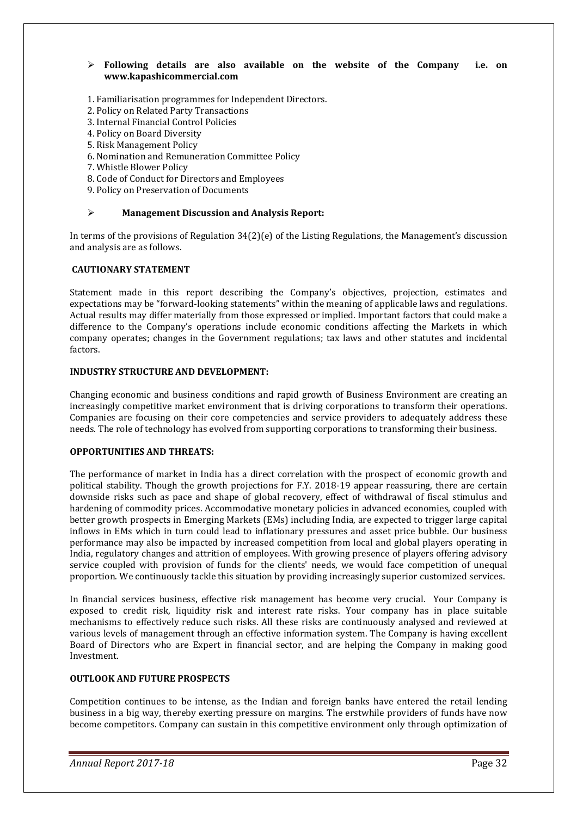#### **Following details are also available on the website of the Company i.e. on www.kapashicommercial.com**

- 1. Familiarisation programmes for Independent Directors.
- 2. Policy on Related Party Transactions
- 3. Internal Financial Control Policies
- 4. Policy on Board Diversity
- 5. Risk Management Policy
- 6. Nomination and Remuneration Committee Policy
- 7. Whistle Blower Policy
- 8. Code of Conduct for Directors and Employees
- 9. Policy on Preservation of Documents

#### **Management Discussion and Analysis Report:**

In terms of the provisions of Regulation 34(2)(e) of the Listing Regulations, the Management's discussion and analysis are as follows.

#### **CAUTIONARY STATEMENT**

Statement made in this report describing the Company's objectives, projection, estimates and expectations may be "forward-looking statements" within the meaning of applicable laws and regulations. Actual results may differ materially from those expressed or implied. Important factors that could make a difference to the Company's operations include economic conditions affecting the Markets in which company operates; changes in the Government regulations; tax laws and other statutes and incidental factors.

#### **INDUSTRY STRUCTURE AND DEVELOPMENT:**

Changing economic and business conditions and rapid growth of Business Environment are creating an increasingly competitive market environment that is driving corporations to transform their operations. Companies are focusing on their core competencies and service providers to adequately address these needs. The role of technology has evolved from supporting corporations to transforming their business.

#### **OPPORTUNITIES AND THREATS:**

The performance of market in India has a direct correlation with the prospect of economic growth and political stability. Though the growth projections for F.Y. 2018-19 appear reassuring, there are certain downside risks such as pace and shape of global recovery, effect of withdrawal of fiscal stimulus and hardening of commodity prices. Accommodative monetary policies in advanced economies, coupled with better growth prospects in Emerging Markets (EMs) including India, are expected to trigger large capital inflows in EMs which in turn could lead to inflationary pressures and asset price bubble. Our business performance may also be impacted by increased competition from local and global players operating in India, regulatory changes and attrition of employees. With growing presence of players offering advisory service coupled with provision of funds for the clients' needs, we would face competition of unequal proportion. We continuously tackle this situation by providing increasingly superior customized services.

In financial services business, effective risk management has become very crucial. Your Company is exposed to credit risk, liquidity risk and interest rate risks. Your company has in place suitable mechanisms to effectively reduce such risks. All these risks are continuously analysed and reviewed at various levels of management through an effective information system. The Company is having excellent Board of Directors who are Expert in financial sector, and are helping the Company in making good Investment.

#### **OUTLOOK AND FUTURE PROSPECTS**

Competition continues to be intense, as the Indian and foreign banks have entered the retail lending business in a big way, thereby exerting pressure on margins. The erstwhile providers of funds have now become competitors. Company can sustain in this competitive environment only through optimization of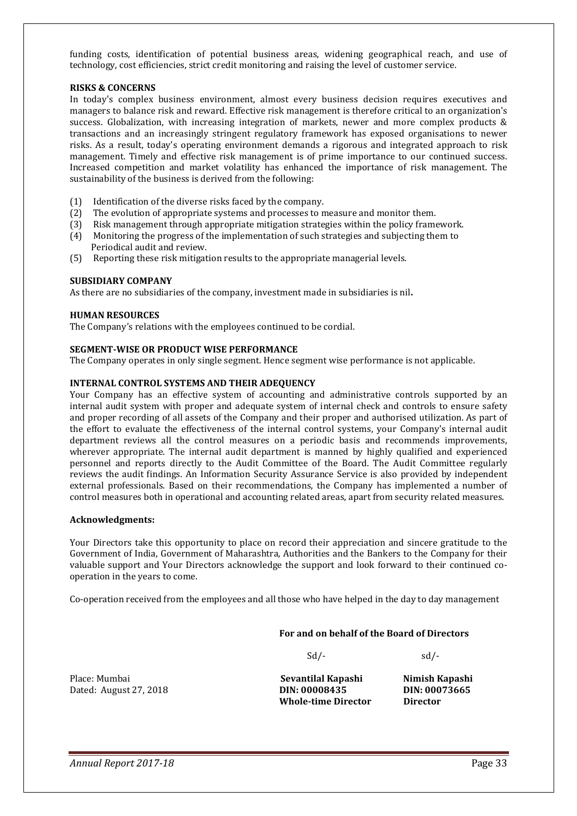funding costs, identification of potential business areas, widening geographical reach, and use of technology, cost efficiencies, strict credit monitoring and raising the level of customer service.

#### **RISKS & CONCERNS**

In today's complex business environment, almost every business decision requires executives and managers to balance risk and reward. Effective risk management is therefore critical to an organization's success. Globalization, with increasing integration of markets, newer and more complex products & transactions and an increasingly stringent regulatory framework has exposed organisations to newer risks. As a result, today's operating environment demands a rigorous and integrated approach to risk management. Timely and effective risk management is of prime importance to our continued success. Increased competition and market volatility has enhanced the importance of risk management. The sustainability of the business is derived from the following:

- (1) Identification of the diverse risks faced by the company.
- (2) The evolution of appropriate systems and processes to measure and monitor them.
- (3) Risk management through appropriate mitigation strategies within the policy framework.
- (4) Monitoring the progress of the implementation of such strategies and subjecting them to Periodical audit and review.
- (5) Reporting these risk mitigation results to the appropriate managerial levels.

#### **SUBSIDIARY COMPANY**

As there are no subsidiaries of the company, investment made in subsidiaries is nil**.** 

#### **HUMAN RESOURCES**

The Company's relations with the employees continued to be cordial.

#### **SEGMENT-WISE OR PRODUCT WISE PERFORMANCE**

The Company operates in only single segment. Hence segment wise performance is not applicable.

#### **INTERNAL CONTROL SYSTEMS AND THEIR ADEQUENCY**

Your Company has an effective system of accounting and administrative controls supported by an internal audit system with proper and adequate system of internal check and controls to ensure safety and proper recording of all assets of the Company and their proper and authorised utilization. As part of the effort to evaluate the effectiveness of the internal control systems, your Company's internal audit department reviews all the control measures on a periodic basis and recommends improvements, wherever appropriate. The internal audit department is manned by highly qualified and experienced personnel and reports directly to the Audit Committee of the Board. The Audit Committee regularly reviews the audit findings. An Information Security Assurance Service is also provided by independent external professionals. Based on their recommendations, the Company has implemented a number of control measures both in operational and accounting related areas, apart from security related measures.

#### **Acknowledgments:**

Your Directors take this opportunity to place on record their appreciation and sincere gratitude to the Government of India, Government of Maharashtra, Authorities and the Bankers to the Company for their valuable support and Your Directors acknowledge the support and look forward to their continued cooperation in the years to come.

Co-operation received from the employees and all those who have helped in the day to day management

#### **For and on behalf of the Board of Directors**

 $Sd$ - $Sd$ -

Place: Mumbai **Sevantilal Kapashi Nimish Kapashi** Dated: August 27, 2018 **DIN: 00008435 DIN: 00073665** 

 **Whole-time Director Director**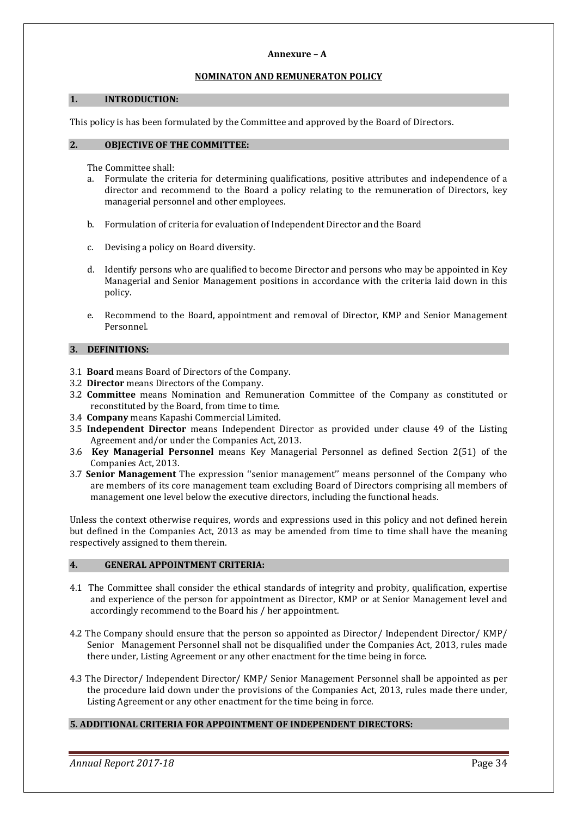#### **Annexure – A**

#### **NOMINATON AND REMUNERATON POLICY**

#### **1. INTRODUCTION:**

This policy is has been formulated by the Committee and approved by the Board of Directors.

#### **2. OBJECTIVE OF THE COMMITTEE:**

The Committee shall:

- a. Formulate the criteria for determining qualifications, positive attributes and independence of a director and recommend to the Board a policy relating to the remuneration of Directors, key managerial personnel and other employees.
- b. Formulation of criteria for evaluation of Independent Director and the Board
- c. Devising a policy on Board diversity.
- d. Identify persons who are qualified to become Director and persons who may be appointed in Key Managerial and Senior Management positions in accordance with the criteria laid down in this policy.
- e. Recommend to the Board, appointment and removal of Director, KMP and Senior Management Personnel.

#### **3. DEFINITIONS:**

- 3.1 **Board** means Board of Directors of the Company.
- 3.2 **Director** means Directors of the Company.
- 3.2 **Committee** means Nomination and Remuneration Committee of the Company as constituted or reconstituted by the Board, from time to time.
- 3.4 **Company** means Kapashi Commercial Limited.
- 3.5 **Independent Director** means Independent Director as provided under clause 49 of the Listing Agreement and/or under the Companies Act, 2013.
- 3.6 **Key Managerial Personnel** means Key Managerial Personnel as defined Section 2(51) of the Companies Act, 2013.
- 3.7 **Senior Management** The expression ''senior management'' means personnel of the Company who are members of its core management team excluding Board of Directors comprising all members of management one level below the executive directors, including the functional heads.

Unless the context otherwise requires, words and expressions used in this policy and not defined herein but defined in the Companies Act, 2013 as may be amended from time to time shall have the meaning respectively assigned to them therein.

#### **4. GENERAL APPOINTMENT CRITERIA:**

- 4.1 The Committee shall consider the ethical standards of integrity and probity, qualification, expertise and experience of the person for appointment as Director, KMP or at Senior Management level and accordingly recommend to the Board his / her appointment.
- 4.2 The Company should ensure that the person so appointed as Director/ Independent Director/ KMP/ Senior Management Personnel shall not be disqualified under the Companies Act, 2013, rules made there under, Listing Agreement or any other enactment for the time being in force.
- 4.3 The Director/ Independent Director/ KMP/ Senior Management Personnel shall be appointed as per the procedure laid down under the provisions of the Companies Act, 2013, rules made there under, Listing Agreement or any other enactment for the time being in force.

#### **5. ADDITIONAL CRITERIA FOR APPOINTMENT OF INDEPENDENT DIRECTORS:**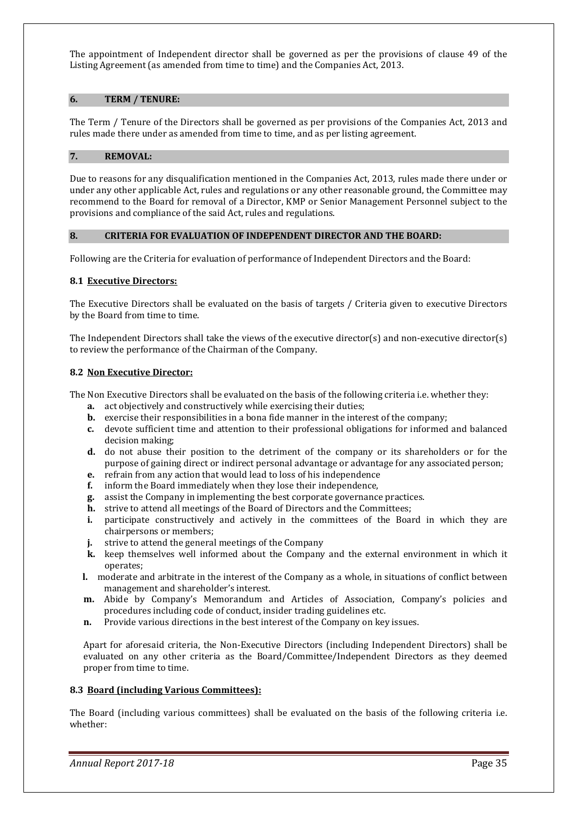The appointment of Independent director shall be governed as per the provisions of clause 49 of the Listing Agreement (as amended from time to time) and the Companies Act, 2013.

#### **6. TERM / TENURE:**

The Term / Tenure of the Directors shall be governed as per provisions of the Companies Act, 2013 and rules made there under as amended from time to time, and as per listing agreement.

#### **7. REMOVAL:**

Due to reasons for any disqualification mentioned in the Companies Act, 2013, rules made there under or under any other applicable Act, rules and regulations or any other reasonable ground, the Committee may recommend to the Board for removal of a Director, KMP or Senior Management Personnel subject to the provisions and compliance of the said Act, rules and regulations.

#### **8. CRITERIA FOR EVALUATION OF INDEPENDENT DIRECTOR AND THE BOARD:**

Following are the Criteria for evaluation of performance of Independent Directors and the Board:

#### **8.1 Executive Directors:**

The Executive Directors shall be evaluated on the basis of targets / Criteria given to executive Directors by the Board from time to time.

The Independent Directors shall take the views of the executive director(s) and non-executive director(s) to review the performance of the Chairman of the Company.

#### **8.2 Non Executive Director:**

The Non Executive Directors shall be evaluated on the basis of the following criteria i.e. whether they:

- **a.** act objectively and constructively while exercising their duties;
- **b.** exercise their responsibilities in a bona fide manner in the interest of the company;
- **c.** devote sufficient time and attention to their professional obligations for informed and balanced decision making;
- **d.** do not abuse their position to the detriment of the company or its shareholders or for the purpose of gaining direct or indirect personal advantage or advantage for any associated person;
- **e.** refrain from any action that would lead to loss of his independence
- 
- **f.** inform the Board immediately when they lose their independence, **g.** assist the Company in implementing the best corporate governance **g.** assist the Company in implementing the best corporate governance practices.
- **h.** strive to attend all meetings of the Board of Directors and the Committees;
- **i.** participate constructively and actively in the committees of the Board in which they are chairpersons or members;
- **j.** strive to attend the general meetings of the Company
- **k.** keep themselves well informed about the Company and the external environment in which it operates;
- **l.** moderate and arbitrate in the interest of the Company as a whole, in situations of conflict between management and shareholder's interest.
- **m.** Abide by Company's Memorandum and Articles of Association, Company's policies and procedures including code of conduct, insider trading guidelines etc.
- **n.** Provide various directions in the best interest of the Company on key issues.

Apart for aforesaid criteria, the Non-Executive Directors (including Independent Directors) shall be evaluated on any other criteria as the Board/Committee/Independent Directors as they deemed proper from time to time.

#### **8.3 Board (including Various Committees):**

The Board (including various committees) shall be evaluated on the basis of the following criteria i.e. whether: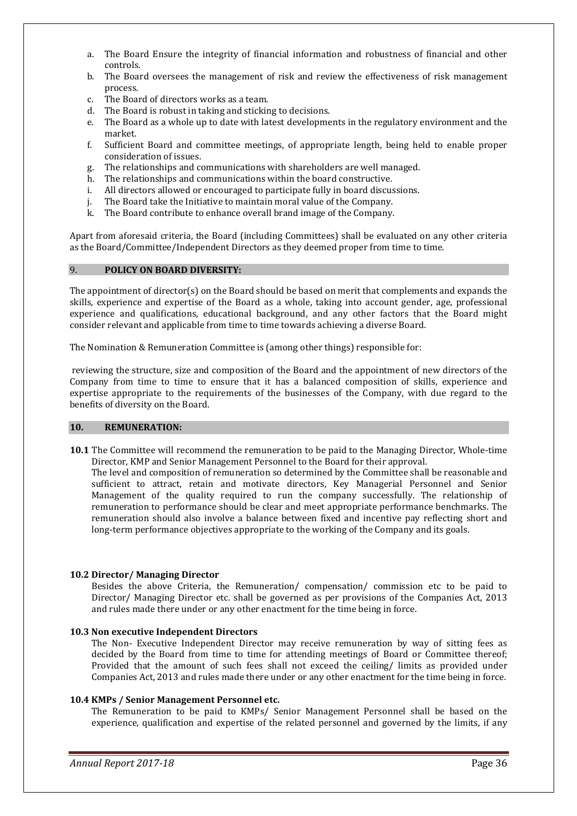- a. The Board Ensure the integrity of financial information and robustness of financial and other controls.
- b. The Board oversees the management of risk and review the effectiveness of risk management process.
- c. The Board of directors works as a team.
- d. The Board is robust in taking and sticking to decisions.
- e. The Board as a whole up to date with latest developments in the regulatory environment and the market.
- f. Sufficient Board and committee meetings, of appropriate length, being held to enable proper consideration of issues.
- g. The relationships and communications with shareholders are well managed.
- h. The relationships and communications within the board constructive.
- i. All directors allowed or encouraged to participate fully in board discussions.
- j. The Board take the Initiative to maintain moral value of the Company.
- k. The Board contribute to enhance overall brand image of the Company.

Apart from aforesaid criteria, the Board (including Committees) shall be evaluated on any other criteria as the Board/Committee/Independent Directors as they deemed proper from time to time.

#### 9. **POLICY ON BOARD DIVERSITY:**

The appointment of director(s) on the Board should be based on merit that complements and expands the skills, experience and expertise of the Board as a whole, taking into account gender, age, professional experience and qualifications, educational background, and any other factors that the Board might consider relevant and applicable from time to time towards achieving a diverse Board.

The Nomination & Remuneration Committee is (among other things) responsible for:

 reviewing the structure, size and composition of the Board and the appointment of new directors of the Company from time to time to ensure that it has a balanced composition of skills, experience and expertise appropriate to the requirements of the businesses of the Company, with due regard to the benefits of diversity on the Board.

#### **10. REMUNERATION:**

**10.1** The Committee will recommend the remuneration to be paid to the Managing Director, Whole-time Director, KMP and Senior Management Personnel to the Board for their approval.

The level and composition of remuneration so determined by the Committee shall be reasonable and sufficient to attract, retain and motivate directors, Key Managerial Personnel and Senior Management of the quality required to run the company successfully. The relationship of remuneration to performance should be clear and meet appropriate performance benchmarks. The remuneration should also involve a balance between fixed and incentive pay reflecting short and long-term performance objectives appropriate to the working of the Company and its goals.

#### **10.2 Director/ Managing Director**

Besides the above Criteria, the Remuneration/ compensation/ commission etc to be paid to Director/ Managing Director etc. shall be governed as per provisions of the Companies Act, 2013 and rules made there under or any other enactment for the time being in force.

#### **10.3 Non executive Independent Directors**

The Non- Executive Independent Director may receive remuneration by way of sitting fees as decided by the Board from time to time for attending meetings of Board or Committee thereof; Provided that the amount of such fees shall not exceed the ceiling/ limits as provided under Companies Act, 2013 and rules made there under or any other enactment for the time being in force.

#### **10.4 KMPs / Senior Management Personnel etc.**

The Remuneration to be paid to KMPs/ Senior Management Personnel shall be based on the experience, qualification and expertise of the related personnel and governed by the limits, if any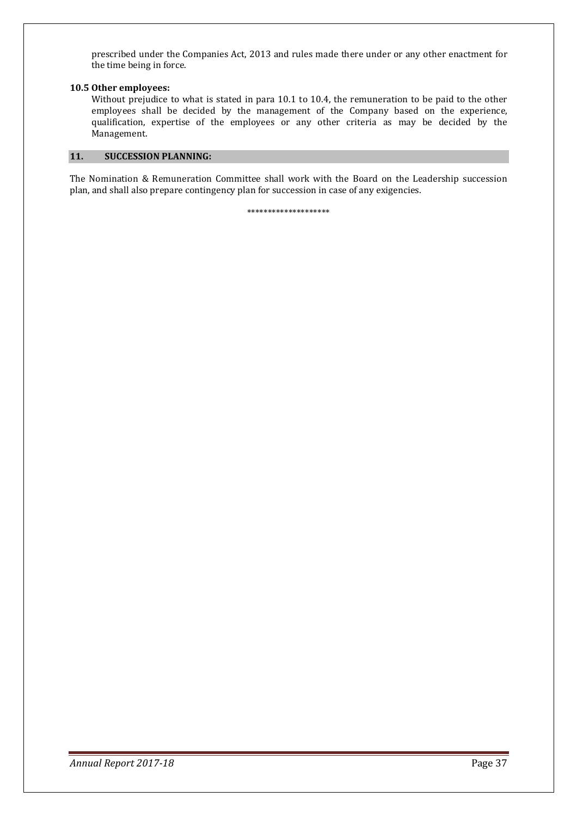prescribed under the Companies Act, 2013 and rules made there under or any other enactment for the time being in force.

#### **10.5 Other employees:**

 Without prejudice to what is stated in para 10.1 to 10.4, the remuneration to be paid to the other employees shall be decided by the management of the Company based on the experience, qualification, expertise of the employees or any other criteria as may be decided by the Management.

### **11. SUCCESSION PLANNING:**

The Nomination & Remuneration Committee shall work with the Board on the Leadership succession plan, and shall also prepare contingency plan for succession in case of any exigencies.

\*\*\*\*\*\*\*\*\*\*\*\*\*\*\*\*\*\*\*\*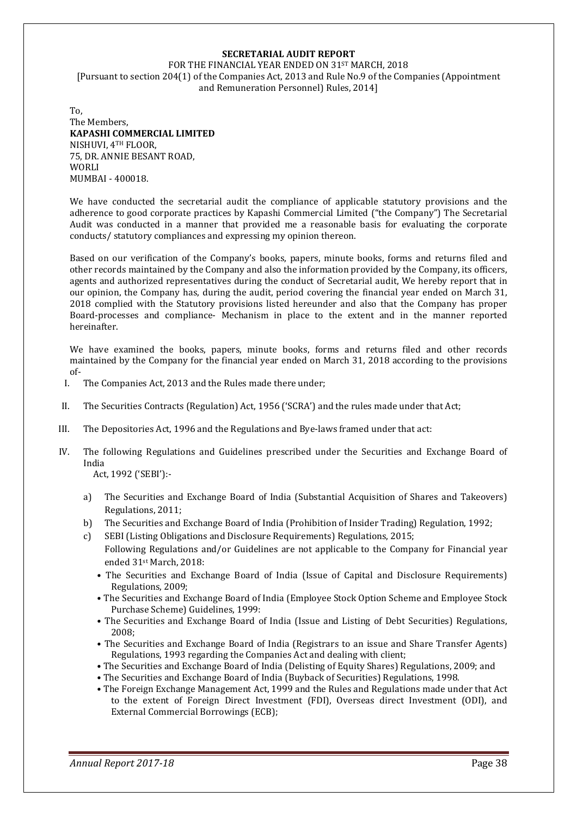#### **SECRETARIAL AUDIT REPORT**

FOR THE FINANCIAL YEAR ENDED ON 31ST MARCH, 2018 [Pursuant to section 204(1) of the Companies Act, 2013 and Rule No.9 of the Companies (Appointment and Remuneration Personnel) Rules, 2014]

To, The Members, **KAPASHI COMMERCIAL LIMITED**  NISHUVI, 4TH FLOOR, 75, DR. ANNIE BESANT ROAD, WORLI MUMBAI - 400018.

We have conducted the secretarial audit the compliance of applicable statutory provisions and the adherence to good corporate practices by Kapashi Commercial Limited ("the Company") The Secretarial Audit was conducted in a manner that provided me a reasonable basis for evaluating the corporate conducts/ statutory compliances and expressing my opinion thereon.

Based on our verification of the Company's books, papers, minute books, forms and returns filed and other records maintained by the Company and also the information provided by the Company, its officers, agents and authorized representatives during the conduct of Secretarial audit, We hereby report that in our opinion, the Company has, during the audit, period covering the financial year ended on March 31, 2018 complied with the Statutory provisions listed hereunder and also that the Company has proper Board-processes and compliance- Mechanism in place to the extent and in the manner reported hereinafter.

We have examined the books, papers, minute books, forms and returns filed and other records maintained by the Company for the financial year ended on March 31, 2018 according to the provisions of-

- I. The Companies Act, 2013 and the Rules made there under;
- II. The Securities Contracts (Regulation) Act, 1956 ('SCRA') and the rules made under that Act;
- III. The Depositories Act, 1996 and the Regulations and Bye-laws framed under that act:
- IV. The following Regulations and Guidelines prescribed under the Securities and Exchange Board of India

Act, 1992 ('SEBI'):-

- a) The Securities and Exchange Board of India (Substantial Acquisition of Shares and Takeovers) Regulations, 2011;
- b) The Securities and Exchange Board of India (Prohibition of Insider Trading) Regulation, 1992;
- c) SEBI (Listing Obligations and Disclosure Requirements) Regulations, 2015; Following Regulations and/or Guidelines are not applicable to the Company for Financial year ended 31st March, 2018:
	- The Securities and Exchange Board of India (Issue of Capital and Disclosure Requirements) Regulations, 2009;
	- The Securities and Exchange Board of India (Employee Stock Option Scheme and Employee Stock Purchase Scheme) Guidelines, 1999:
	- The Securities and Exchange Board of India (Issue and Listing of Debt Securities) Regulations, 2008;
	- The Securities and Exchange Board of India (Registrars to an issue and Share Transfer Agents) Regulations, 1993 regarding the Companies Act and dealing with client;
	- The Securities and Exchange Board of India (Delisting of Equity Shares) Regulations, 2009; and
	- The Securities and Exchange Board of India (Buyback of Securities) Regulations, 1998.
	- The Foreign Exchange Management Act, 1999 and the Rules and Regulations made under that Act to the extent of Foreign Direct Investment (FDI), Overseas direct Investment (ODI), and External Commercial Borrowings (ECB);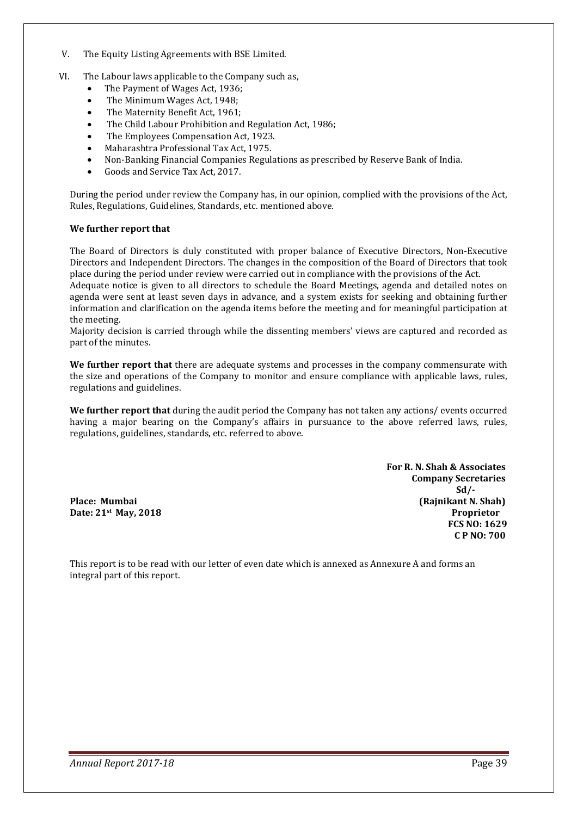- V. The Equity Listing Agreements with BSE Limited.
- VI. The Labour laws applicable to the Company such as,
	- The Payment of Wages Act, 1936;
	- The Minimum Wages Act, 1948;
	- The Maternity Benefit Act, 1961;
	- The Child Labour Prohibition and Regulation Act, 1986;
	- The Employees Compensation Act, 1923.
	- Maharashtra Professional Tax Act, 1975.
	- Non-Banking Financial Companies Regulations as prescribed by Reserve Bank of India.
	- Goods and Service Tax Act, 2017.

During the period under review the Company has, in our opinion, complied with the provisions of the Act, Rules, Regulations, Guidelines, Standards, etc. mentioned above.

#### **We further report that**

the meeting.

The Board of Directors is duly constituted with proper balance of Executive Directors, Non-Executive Directors and Independent Directors. The changes in the composition of the Board of Directors that took place during the period under review were carried out in compliance with the provisions of the Act. Adequate notice is given to all directors to schedule the Board Meetings, agenda and detailed notes on agenda were sent at least seven days in advance, and a system exists for seeking and obtaining further information and clarification on the agenda items before the meeting and for meaningful participation at

Majority decision is carried through while the dissenting members' views are captured and recorded as part of the minutes.

**We further report that** there are adequate systems and processes in the company commensurate with the size and operations of the Company to monitor and ensure compliance with applicable laws, rules, regulations and guidelines.

**We further report that** during the audit period the Company has not taken any actions/ events occurred having a major bearing on the Company's affairs in pursuance to the above referred laws, rules, regulations, guidelines, standards, etc. referred to above.

 **For R. N. Shah & Associates Company Secretaries Sd/- Sd/-Place: Mumbai (Rajnikant N. Shah) Date: 21<sup>st</sup> May, 2018 Proprietor Proprietor FCS NO: 1629 C P NO: 700** 

This report is to be read with our letter of even date which is annexed as Annexure A and forms an integral part of this report.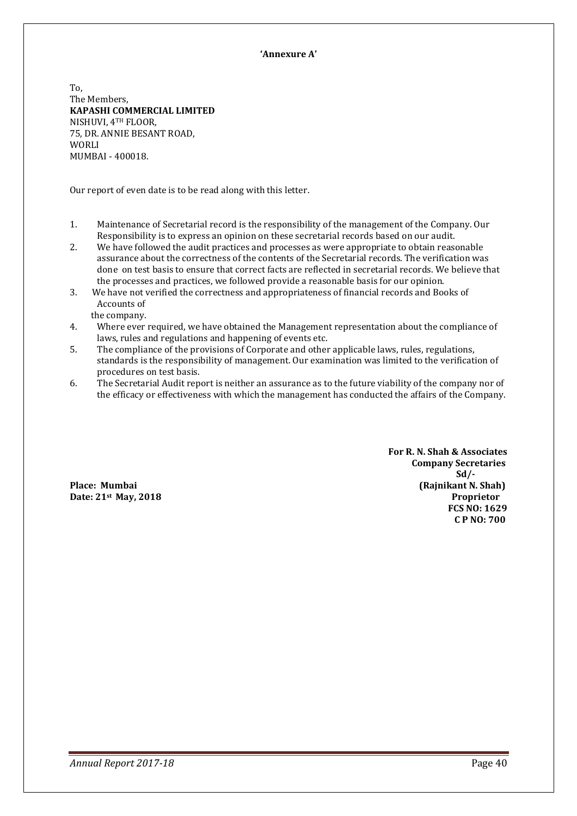#### **'Annexure A'**

To, The Members, **KAPASHI COMMERCIAL LIMITED**  NISHUVI, 4TH FLOOR, 75, DR. ANNIE BESANT ROAD, WORLI MUMBAI - 400018.

Our report of even date is to be read along with this letter.

- 1. Maintenance of Secretarial record is the responsibility of the management of the Company. Our Responsibility is to express an opinion on these secretarial records based on our audit.
- 2. We have followed the audit practices and processes as were appropriate to obtain reasonable assurance about the correctness of the contents of the Secretarial records. The verification was done on test basis to ensure that correct facts are reflected in secretarial records. We believe that the processes and practices, we followed provide a reasonable basis for our opinion.
- 3. We have not verified the correctness and appropriateness of financial records and Books of Accounts of
	- the company.
- 4. Where ever required, we have obtained the Management representation about the compliance of laws, rules and regulations and happening of events etc.
- 5. The compliance of the provisions of Corporate and other applicable laws, rules, regulations, standards is the responsibility of management. Our examination was limited to the verification of procedures on test basis.
- 6. The Secretarial Audit report is neither an assurance as to the future viability of the company nor of the efficacy or effectiveness with which the management has conducted the affairs of the Company.

 **For R. N. Shah & Associates Company Secretaries Sd/- Sd/-Place: Mumbai (Rajnikant N. Shah) (Rajnikant N. Shah) Date: 21<sup>st</sup> May, 2018 Proprietor Proprietor FCS NO: 1629 C P NO: 700**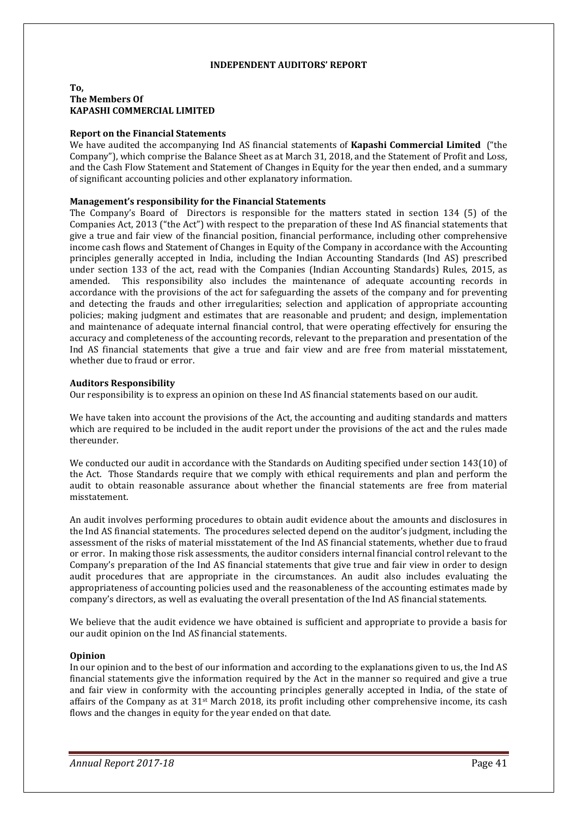#### **INDEPENDENT AUDITORS' REPORT**

#### **To, The Members Of KAPASHI COMMERCIAL LIMITED**

#### **Report on the Financial Statements**

We have audited the accompanying Ind AS financial statements of **Kapashi Commercial Limited** ("the Company"), which comprise the Balance Sheet as at March 31, 2018, and the Statement of Profit and Loss, and the Cash Flow Statement and Statement of Changes in Equity for the year then ended, and a summary of significant accounting policies and other explanatory information.

#### **Management's responsibility for the Financial Statements**

The Company's Board of Directors is responsible for the matters stated in section 134 (5) of the Companies Act, 2013 ("the Act") with respect to the preparation of these Ind AS financial statements that give a true and fair view of the financial position, financial performance, including other comprehensive income cash flows and Statement of Changes in Equity of the Company in accordance with the Accounting principles generally accepted in India, including the Indian Accounting Standards (Ind AS) prescribed under section 133 of the act, read with the Companies (Indian Accounting Standards) Rules, 2015, as amended. This responsibility also includes the maintenance of adequate accounting records in accordance with the provisions of the act for safeguarding the assets of the company and for preventing and detecting the frauds and other irregularities; selection and application of appropriate accounting policies; making judgment and estimates that are reasonable and prudent; and design, implementation and maintenance of adequate internal financial control, that were operating effectively for ensuring the accuracy and completeness of the accounting records, relevant to the preparation and presentation of the Ind AS financial statements that give a true and fair view and are free from material misstatement, whether due to fraud or error.

#### **Auditors Responsibility**

Our responsibility is to express an opinion on these Ind AS financial statements based on our audit.

We have taken into account the provisions of the Act, the accounting and auditing standards and matters which are required to be included in the audit report under the provisions of the act and the rules made thereunder.

We conducted our audit in accordance with the Standards on Auditing specified under section 143(10) of the Act. Those Standards require that we comply with ethical requirements and plan and perform the audit to obtain reasonable assurance about whether the financial statements are free from material misstatement.

An audit involves performing procedures to obtain audit evidence about the amounts and disclosures in the Ind AS financial statements. The procedures selected depend on the auditor's judgment, including the assessment of the risks of material misstatement of the Ind AS financial statements, whether due to fraud or error. In making those risk assessments, the auditor considers internal financial control relevant to the Company's preparation of the Ind AS financial statements that give true and fair view in order to design audit procedures that are appropriate in the circumstances. An audit also includes evaluating the appropriateness of accounting policies used and the reasonableness of the accounting estimates made by company's directors, as well as evaluating the overall presentation of the Ind AS financial statements.

We believe that the audit evidence we have obtained is sufficient and appropriate to provide a basis for our audit opinion on the Ind AS financial statements.

#### **Opinion**

In our opinion and to the best of our information and according to the explanations given to us, the Ind AS financial statements give the information required by the Act in the manner so required and give a true and fair view in conformity with the accounting principles generally accepted in India, of the state of affairs of the Company as at  $31<sup>st</sup>$  March 2018, its profit including other comprehensive income, its cash flows and the changes in equity for the year ended on that date.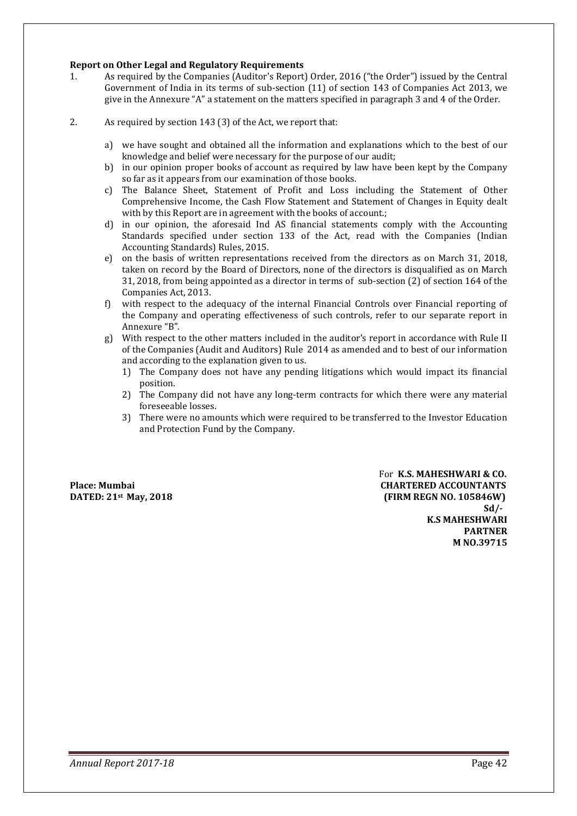#### **Report on Other Legal and Regulatory Requirements**

- 1. As required by the Companies (Auditor's Report) Order, 2016 ("the Order") issued by the Central Government of India in its terms of sub-section (11) of section 143 of Companies Act 2013, we give in the Annexure "A" a statement on the matters specified in paragraph 3 and 4 of the Order.
- 2. As required by section 143 (3) of the Act, we report that:
	- a) we have sought and obtained all the information and explanations which to the best of our knowledge and belief were necessary for the purpose of our audit;
	- b) in our opinion proper books of account as required by law have been kept by the Company so far as it appears from our examination of those books.
	- c) The Balance Sheet, Statement of Profit and Loss including the Statement of Other Comprehensive Income, the Cash Flow Statement and Statement of Changes in Equity dealt with by this Report are in agreement with the books of account.;
	- d) in our opinion, the aforesaid Ind AS financial statements comply with the Accounting Standards specified under section 133 of the Act, read with the Companies (Indian Accounting Standards) Rules, 2015.
	- e) on the basis of written representations received from the directors as on March 31, 2018, taken on record by the Board of Directors, none of the directors is disqualified as on March 31, 2018, from being appointed as a director in terms of sub-section (2) of section 164 of the Companies Act, 2013.
	- f) with respect to the adequacy of the internal Financial Controls over Financial reporting of the Company and operating effectiveness of such controls, refer to our separate report in Annexure "B".
	- g) With respect to the other matters included in the auditor's report in accordance with Rule II of the Companies (Audit and Auditors) Rule 2014 as amended and to best of our information and according to the explanation given to us.
		- 1) The Company does not have any pending litigations which would impact its financial position.
		- 2) The Company did not have any long-term contracts for which there were any material foreseeable losses.
		- 3) There were no amounts which were required to be transferred to the Investor Education and Protection Fund by the Company.

**For K.S. MAHESHWARI & CO.**<br>**Place: Mumbai CHARTERED ACCOUNTANTS CHARTERED ACCOUNTANTS DATED:**  $21$ <sup>st</sup> **May, 2018 (FIRM REGN NO. 105846W) Sd/- Sd/-K.S MAHESHWARI PARTNER M NO.39715**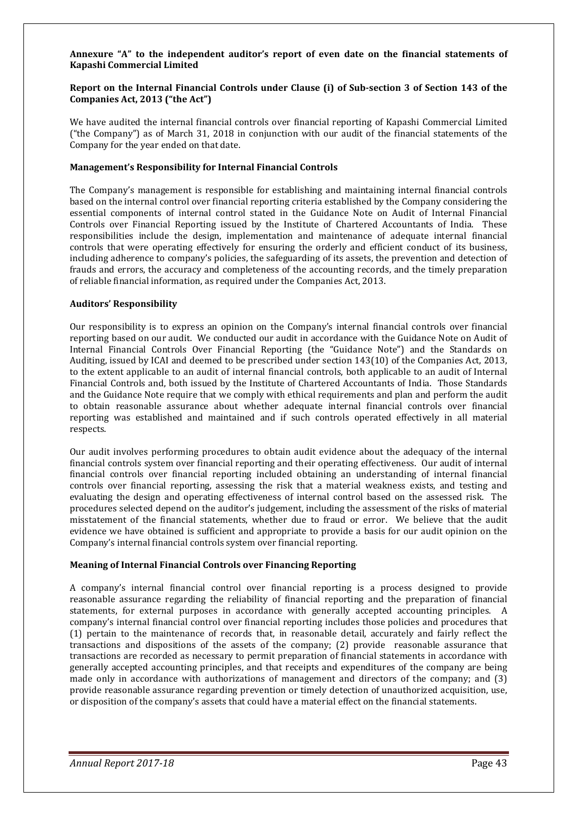#### **Annexure "A" to the independent auditor's report of even date on the financial statements of Kapashi Commercial Limited**

#### **Report on the Internal Financial Controls under Clause (i) of Sub-section 3 of Section 143 of the Companies Act, 2013 ("the Act")**

We have audited the internal financial controls over financial reporting of Kapashi Commercial Limited ("the Company") as of March 31, 2018 in conjunction with our audit of the financial statements of the Company for the year ended on that date.

#### **Management's Responsibility for Internal Financial Controls**

The Company's management is responsible for establishing and maintaining internal financial controls based on the internal control over financial reporting criteria established by the Company considering the essential components of internal control stated in the Guidance Note on Audit of Internal Financial Controls over Financial Reporting issued by the Institute of Chartered Accountants of India. These responsibilities include the design, implementation and maintenance of adequate internal financial controls that were operating effectively for ensuring the orderly and efficient conduct of its business, including adherence to company's policies, the safeguarding of its assets, the prevention and detection of frauds and errors, the accuracy and completeness of the accounting records, and the timely preparation of reliable financial information, as required under the Companies Act, 2013.

#### **Auditors' Responsibility**

Our responsibility is to express an opinion on the Company's internal financial controls over financial reporting based on our audit. We conducted our audit in accordance with the Guidance Note on Audit of Internal Financial Controls Over Financial Reporting (the "Guidance Note") and the Standards on Auditing, issued by ICAI and deemed to be prescribed under section 143(10) of the Companies Act, 2013, to the extent applicable to an audit of internal financial controls, both applicable to an audit of Internal Financial Controls and, both issued by the Institute of Chartered Accountants of India. Those Standards and the Guidance Note require that we comply with ethical requirements and plan and perform the audit to obtain reasonable assurance about whether adequate internal financial controls over financial reporting was established and maintained and if such controls operated effectively in all material respects.

Our audit involves performing procedures to obtain audit evidence about the adequacy of the internal financial controls system over financial reporting and their operating effectiveness. Our audit of internal financial controls over financial reporting included obtaining an understanding of internal financial controls over financial reporting, assessing the risk that a material weakness exists, and testing and evaluating the design and operating effectiveness of internal control based on the assessed risk. The procedures selected depend on the auditor's judgement, including the assessment of the risks of material misstatement of the financial statements, whether due to fraud or error. We believe that the audit evidence we have obtained is sufficient and appropriate to provide a basis for our audit opinion on the Company's internal financial controls system over financial reporting.

#### **Meaning of Internal Financial Controls over Financing Reporting**

A company's internal financial control over financial reporting is a process designed to provide reasonable assurance regarding the reliability of financial reporting and the preparation of financial statements, for external purposes in accordance with generally accepted accounting principles. A company's internal financial control over financial reporting includes those policies and procedures that (1) pertain to the maintenance of records that, in reasonable detail, accurately and fairly reflect the transactions and dispositions of the assets of the company; (2) provide reasonable assurance that transactions are recorded as necessary to permit preparation of financial statements in accordance with generally accepted accounting principles, and that receipts and expenditures of the company are being made only in accordance with authorizations of management and directors of the company; and (3) provide reasonable assurance regarding prevention or timely detection of unauthorized acquisition, use, or disposition of the company's assets that could have a material effect on the financial statements.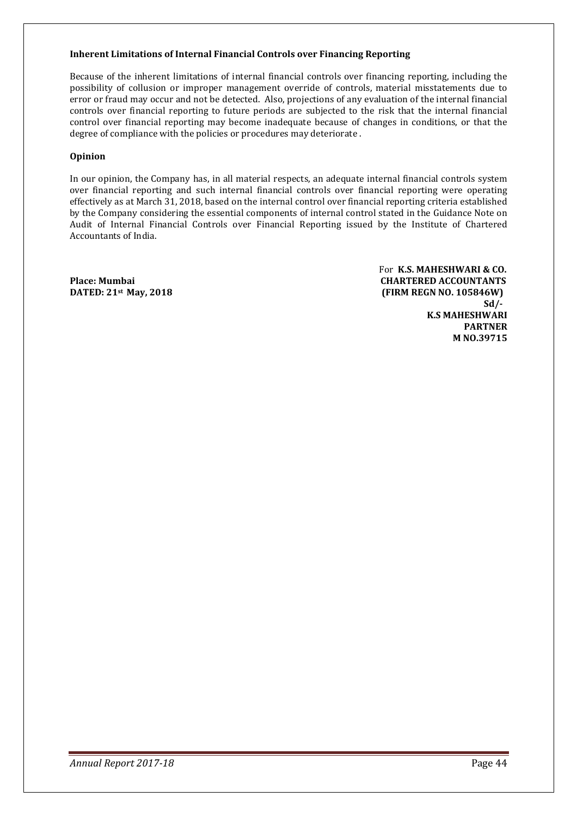#### **Inherent Limitations of Internal Financial Controls over Financing Reporting**

Because of the inherent limitations of internal financial controls over financing reporting, including the possibility of collusion or improper management override of controls, material misstatements due to error or fraud may occur and not be detected. Also, projections of any evaluation of the internal financial controls over financial reporting to future periods are subjected to the risk that the internal financial control over financial reporting may become inadequate because of changes in conditions, or that the degree of compliance with the policies or procedures may deteriorate .

#### **Opinion**

In our opinion, the Company has, in all material respects, an adequate internal financial controls system over financial reporting and such internal financial controls over financial reporting were operating effectively as at March 31, 2018, based on the internal control over financial reporting criteria established by the Company considering the essential components of internal control stated in the Guidance Note on Audit of Internal Financial Controls over Financial Reporting issued by the Institute of Chartered Accountants of India.

For **K.S. MAHESHWARI & CO.**  Place: Mumbai **CHARTERED ACCOUNTANTS**<br>
DATED: 21<sup>st</sup> May, 2018 **CHARTERED ACCOUNTANTS DATED: 21st May, 2018 (FIRM REGN NO. 105846W) Sd/- Sd/- Sd K.S MAHESHWARI PARTNER M NO.39715**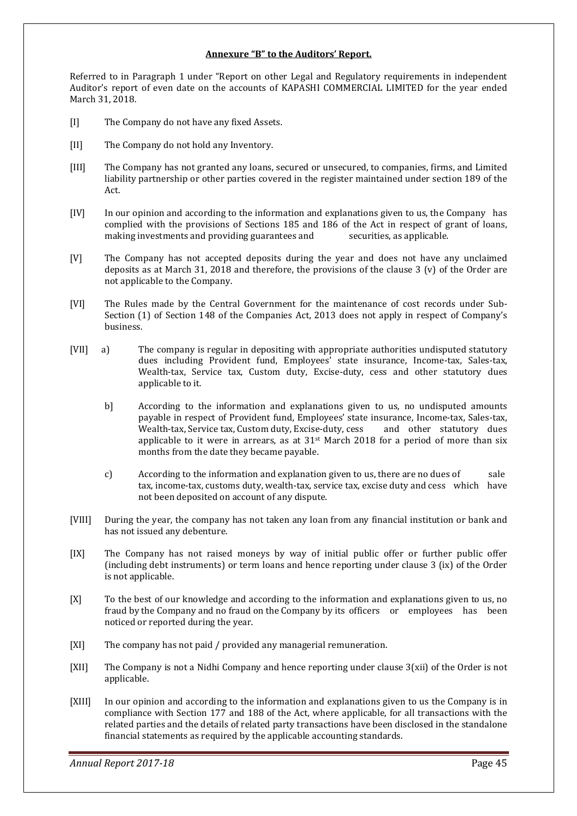#### **Annexure "B" to the Auditors' Report.**

Referred to in Paragraph 1 under "Report on other Legal and Regulatory requirements in independent Auditor's report of even date on the accounts of KAPASHI COMMERCIAL LIMITED for the year ended March 31, 2018.

- [I] The Company do not have any fixed Assets.
- [II] The Company do not hold any Inventory.
- [III] The Company has not granted any loans, secured or unsecured, to companies, firms, and Limited liability partnership or other parties covered in the register maintained under section 189 of the Act.
- [IV] In our opinion and according to the information and explanations given to us, the Company has complied with the provisions of Sections 185 and 186 of the Act in respect of grant of loans, making investments and providing guarantees and securities, as applicable.
- [V] The Company has not accepted deposits during the year and does not have any unclaimed deposits as at March 31, 2018 and therefore, the provisions of the clause 3 (v) of the Order are not applicable to the Company.
- [VI] The Rules made by the Central Government for the maintenance of cost records under Sub-Section (1) of Section 148 of the Companies Act, 2013 does not apply in respect of Company's business.
- [VII] a) The company is regular in depositing with appropriate authorities undisputed statutory dues including Provident fund, Employees' state insurance, Income-tax, Sales-tax, Wealth-tax, Service tax, Custom duty, Excise-duty, cess and other statutory dues applicable to it.
	- b] According to the information and explanations given to us, no undisputed amounts payable in respect of Provident fund, Employees' state insurance, Income-tax, Sales-tax, Wealth-tax, Service tax, Custom duty, Excise-duty, cess and other statutory dues applicable to it were in arrears, as at  $31<sup>st</sup>$  March 2018 for a period of more than six months from the date they became payable.
	- c) According to the information and explanation given to us, there are no dues of sale tax, income-tax, customs duty, wealth-tax, service tax, excise duty and cess which have not been deposited on account of any dispute.
- [VIII] During the year, the company has not taken any loan from any financial institution or bank and has not issued any debenture.
- [IX] The Company has not raised moneys by way of initial public offer or further public offer (including debt instruments) or term loans and hence reporting under clause 3 (ix) of the Order is not applicable.
- [X] To the best of our knowledge and according to the information and explanations given to us, no fraud by the Company and no fraud on the Company by its officers or employees has been noticed or reported during the year.
- [XI] The company has not paid / provided any managerial remuneration.
- $[XII]$  The Company is not a Nidhi Company and hence reporting under clause  $3(xii)$  of the Order is not applicable.
- [XIII] In our opinion and according to the information and explanations given to us the Company is in compliance with Section 177 and 188 of the Act, where applicable, for all transactions with the related parties and the details of related party transactions have been disclosed in the standalone financial statements as required by the applicable accounting standards.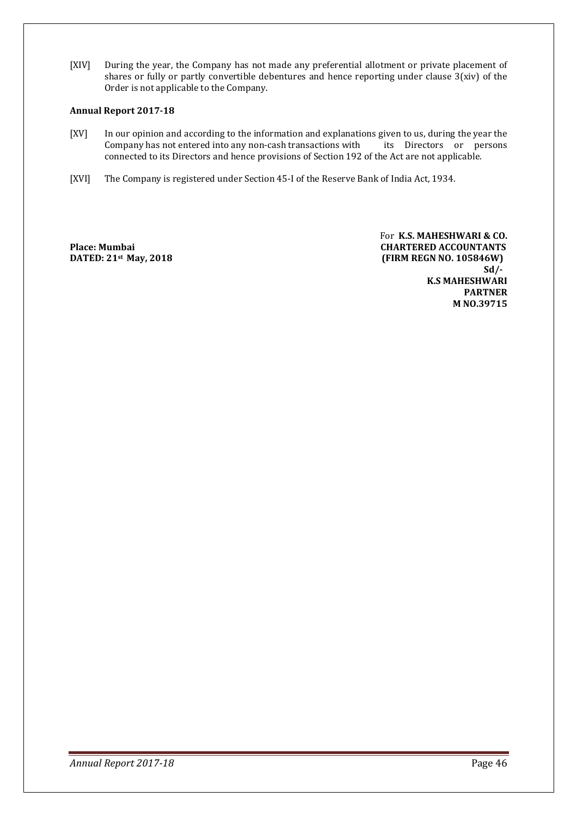[XIV] During the year, the Company has not made any preferential allotment or private placement of shares or fully or partly convertible debentures and hence reporting under clause 3(xiv) of the Order is not applicable to the Company.

#### **Annual Report 2017-18**

- [XV] In our opinion and according to the information and explanations given to us, during the year the Company has not entered into any non-cash transactions with its Directors or persons Company has not entered into any non-cash transactions with connected to its Directors and hence provisions of Section 192 of the Act are not applicable.
- [XVI] The Company is registered under Section 45-I of the Reserve Bank of India Act, 1934.

For **K.S. MAHESHWARI & CO. Place: Mumbai CHARTERED ACCOUNTANTS DATED: 21st May, 2018 (FIRM REGN NO. 105846W) Sd/- Sd/-K.S MAHESHWARI PARTNER M NO.39715**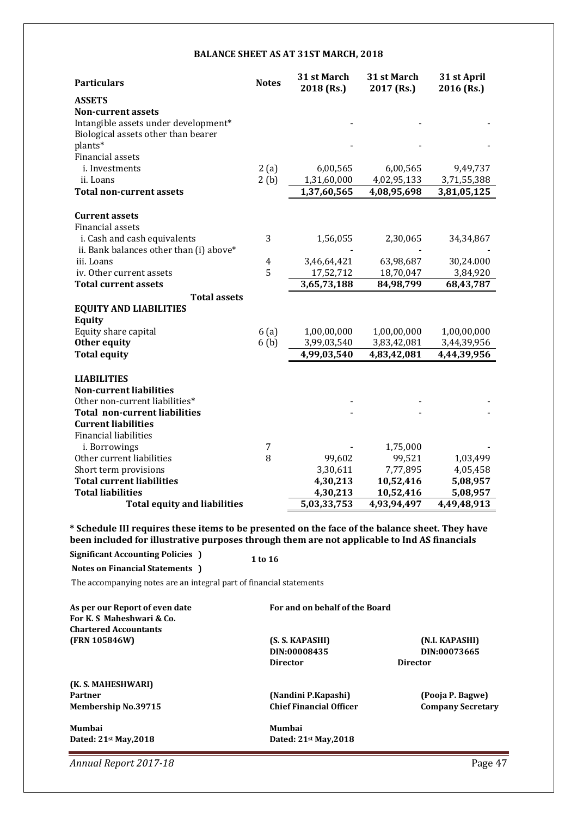#### **BALANCE SHEET AS AT 31ST MARCH, 2018**

| <b>Particulars</b>                      | <b>Notes</b>   | 31 st March<br>2018 (Rs.) | 31 st March<br>2017 (Rs.) | 31 st April<br>2016 (Rs.) |
|-----------------------------------------|----------------|---------------------------|---------------------------|---------------------------|
| <b>ASSETS</b>                           |                |                           |                           |                           |
| <b>Non-current assets</b>               |                |                           |                           |                           |
| Intangible assets under development*    |                |                           |                           |                           |
| Biological assets other than bearer     |                |                           |                           |                           |
| plants*                                 |                |                           |                           |                           |
| Financial assets                        |                |                           |                           |                           |
| i. Investments                          | 2(a)           | 6,00,565                  | 6,00,565                  | 9,49,737                  |
| ii. Loans                               | 2(b)           | 1,31,60,000               | 4,02,95,133               | 3,71,55,388               |
| <b>Total non-current assets</b>         |                | 1,37,60,565               | 4,08,95,698               | 3,81,05,125               |
| <b>Current assets</b>                   |                |                           |                           |                           |
| Financial assets                        |                |                           |                           |                           |
| i. Cash and cash equivalents            | 3              | 1,56,055                  | 2,30,065                  | 34, 34, 867               |
| ii. Bank balances other than (i) above* |                |                           |                           |                           |
| iii. Loans                              | $\overline{4}$ | 3,46,64,421               | 63,98,687                 | 30,24.000                 |
| iv. Other current assets                | 5              | 17,52,712                 | 18,70,047                 | 3,84,920                  |
| <b>Total current assets</b>             |                | 3,65,73,188               | 84,98,799                 | 68,43,787                 |
| <b>Total assets</b>                     |                |                           |                           |                           |
| <b>EQUITY AND LIABILITIES</b>           |                |                           |                           |                           |
| <b>Equity</b>                           |                |                           |                           |                           |
| Equity share capital                    | 6(a)           | 1,00,00,000               | 1,00,00,000               | 1,00,00,000               |
| Other equity                            | 6(b)           | 3,99,03,540               | 3,83,42,081               | 3,44,39,956               |
| <b>Total equity</b>                     |                | 4,99,03,540               | 4,83,42,081               | 4,44,39,956               |
| <b>LIABILITIES</b>                      |                |                           |                           |                           |
| <b>Non-current liabilities</b>          |                |                           |                           |                           |
| Other non-current liabilities*          |                |                           |                           |                           |
| <b>Total non-current liabilities</b>    |                |                           |                           |                           |
| <b>Current liabilities</b>              |                |                           |                           |                           |
| <b>Financial liabilities</b>            |                |                           |                           |                           |
| i. Borrowings                           | 7              |                           | 1,75,000                  |                           |
| Other current liabilities               | 8              | 99,602                    | 99,521                    | 1,03,499                  |
| Short term provisions                   |                | 3,30,611                  | 7,77,895                  | 4,05,458                  |
| <b>Total current liabilities</b>        |                | 4,30,213                  | 10,52,416                 | 5,08,957                  |
| <b>Total liabilities</b>                |                | 4,30,213                  | 10,52,416                 | 5,08,957                  |
| <b>Total equity and liabilities</b>     |                | 5,03,33,753               | 4,93,94,497               | 4,49,48,913               |
|                                         |                |                           |                           |                           |

**\* Schedule III requires these items to be presented on the face of the balance sheet. They have been included for illustrative purposes through them are not applicable to Ind AS financials** 

**Significant Accounting Policies ) 1 to 16 Notes on Financial Statements )** 

The accompanying notes are an integral part of financial statements

As per our Report of even date **For and on behalf of the Board For K. S Maheshwari & Co. Chartered Accountants** 

**(K. S. MAHESHWARI)** 

**Director Director** 

**(FRN 105846W) (S. S. KAPASHI) (N.I. KAPASHI) DIN:00008435 DIN:00073665** 

Partner **(Nandini P.Kapashi)** (Pooja P. Bagwe)<br>Membership No.39715 **1989 - Chief Financial Officer** (Pooja P. Bagwe) **Membership No.39715** 

**Mumbai Mumbai** 

**Dated: 21st May,2018 Dated: 21st May,2018**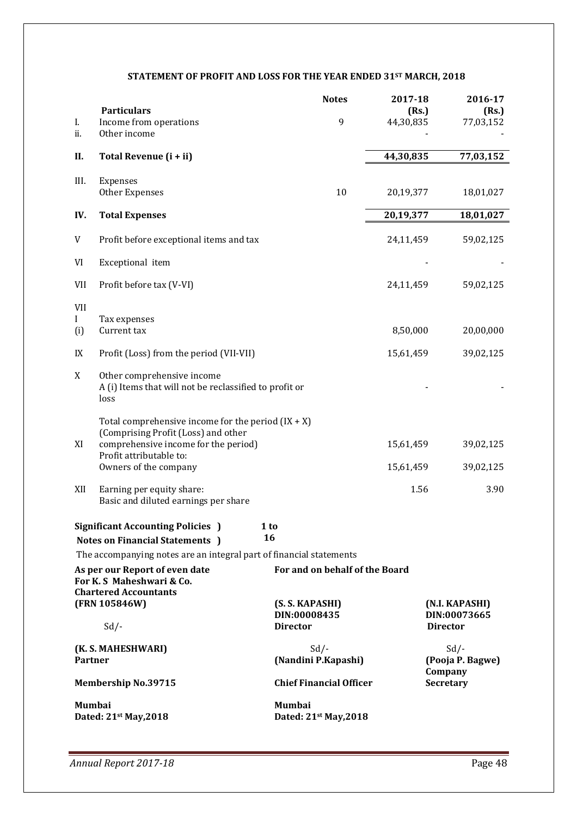# **STATEMENT OF PROFIT AND LOSS FOR THE YEAR ENDED 31ST MARCH, 2018**

| I.<br>ii.                         | <b>Particulars</b><br>Income from operations<br>Other income                                                                                                                                                         | <b>Notes</b><br>9                                  | 2017-18<br>(Rs.)<br>44,30,835  | 2016-17<br>(Rs.)<br>77,03,152                     |
|-----------------------------------|----------------------------------------------------------------------------------------------------------------------------------------------------------------------------------------------------------------------|----------------------------------------------------|--------------------------------|---------------------------------------------------|
| Н.                                | Total Revenue (i + ii)                                                                                                                                                                                               |                                                    | 44,30,835                      | 77,03,152                                         |
| III.                              | Expenses<br>Other Expenses                                                                                                                                                                                           | 10                                                 | 20,19,377                      | 18,01,027                                         |
| IV.                               | <b>Total Expenses</b>                                                                                                                                                                                                |                                                    | 20,19,377                      | 18,01,027                                         |
| V                                 | Profit before exceptional items and tax                                                                                                                                                                              |                                                    | 24,11,459                      | 59,02,125                                         |
| VI                                | Exceptional item                                                                                                                                                                                                     |                                                    |                                |                                                   |
| <b>VII</b>                        | Profit before tax (V-VI)                                                                                                                                                                                             |                                                    | 24,11,459                      | 59,02,125                                         |
| <b>VII</b><br>$\mathbf{I}$<br>(i) | Tax expenses<br>Current tax                                                                                                                                                                                          |                                                    | 8,50,000                       | 20,00,000                                         |
| IX                                | Profit (Loss) from the period (VII-VII)                                                                                                                                                                              |                                                    | 15,61,459                      | 39,02,125                                         |
| X                                 | Other comprehensive income<br>A (i) Items that will not be reclassified to profit or<br>loss                                                                                                                         |                                                    |                                |                                                   |
| XI<br>XII                         | Total comprehensive income for the period $(IX + X)$<br>(Comprising Profit (Loss) and other<br>comprehensive income for the period)<br>Profit attributable to:<br>Owners of the company<br>Earning per equity share: |                                                    | 15,61,459<br>15,61,459<br>1.56 | 39,02,125<br>39,02,125<br>3.90                    |
|                                   | Basic and diluted earnings per share                                                                                                                                                                                 |                                                    |                                |                                                   |
|                                   | <b>Significant Accounting Policies</b> )<br><b>Notes on Financial Statements</b> )<br>The accompanying notes are an integral part of financial statements                                                            | 1 to<br>16                                         |                                |                                                   |
|                                   | As per our Report of even date                                                                                                                                                                                       | For and on behalf of the Board                     |                                |                                                   |
|                                   | For K. S Maheshwari & Co.<br><b>Chartered Accountants</b><br>(FRN 105846W)<br>$Sd$ /-                                                                                                                                | (S. S. KAPASHI)<br>DIN:00008435<br><b>Director</b> |                                | (N.I. KAPASHI)<br>DIN:00073665<br><b>Director</b> |
| <b>Partner</b>                    | (K. S. MAHESHWARI)                                                                                                                                                                                                   | $Sd$ /-<br>(Nandini P.Kapashi)                     |                                | $Sd$ /-<br>(Pooja P. Bagwe)                       |
|                                   | <b>Membership No.39715</b>                                                                                                                                                                                           | <b>Chief Financial Officer</b>                     |                                | Company<br><b>Secretary</b>                       |
| <b>Mumbai</b>                     | Dated: 21st May, 2018                                                                                                                                                                                                | <b>Mumbai</b><br>Dated: 21st May, 2018             |                                |                                                   |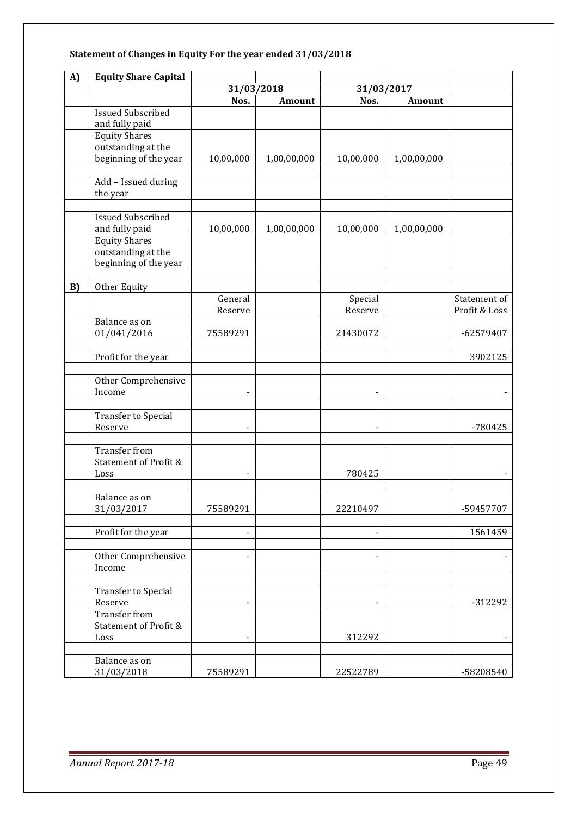# **Statement of Changes in Equity For the year ended 31/03/2018**

| A) | <b>Equity Share Capital</b>                                                                                       |                    |               |                          |             |                               |
|----|-------------------------------------------------------------------------------------------------------------------|--------------------|---------------|--------------------------|-------------|-------------------------------|
|    |                                                                                                                   | 31/03/2018         |               | 31/03/2017               |             |                               |
|    |                                                                                                                   | Nos.               | <b>Amount</b> | Nos.                     | Amount      |                               |
|    | <b>Issued Subscribed</b><br>and fully paid                                                                        |                    |               |                          |             |                               |
|    | <b>Equity Shares</b><br>outstanding at the<br>beginning of the year                                               | 10,00,000          | 1,00,00,000   | 10,00,000                | 1,00,00,000 |                               |
|    | Add - Issued during<br>the year                                                                                   |                    |               |                          |             |                               |
|    | <b>Issued Subscribed</b><br>and fully paid<br><b>Equity Shares</b><br>outstanding at the<br>beginning of the year | 10,00,000          | 1,00,00,000   | 10,00,000                | 1,00,00,000 |                               |
|    |                                                                                                                   |                    |               |                          |             |                               |
| B) | Other Equity                                                                                                      | General<br>Reserve |               | Special<br>Reserve       |             | Statement of<br>Profit & Loss |
|    | Balance as on<br>01/041/2016                                                                                      | 75589291           |               | 21430072                 |             | -62579407                     |
|    | Profit for the year                                                                                               |                    |               |                          |             | 3902125                       |
|    | Other Comprehensive<br>Income                                                                                     |                    |               |                          |             |                               |
|    | <b>Transfer to Special</b><br>Reserve                                                                             |                    |               | $\blacksquare$           |             | $-780425$                     |
|    | <b>Transfer from</b><br>Statement of Profit &<br>Loss                                                             |                    |               | 780425                   |             |                               |
|    | Balance as on<br>31/03/2017                                                                                       | 75589291           |               | 22210497                 |             | -59457707                     |
|    | Profit for the year                                                                                               |                    |               | $\blacksquare$           |             | 1561459                       |
|    | Other Comprehensive<br>Income                                                                                     |                    |               | $\overline{\phantom{a}}$ |             |                               |
|    | Transfer to Special<br>Reserve                                                                                    |                    |               |                          |             | $-312292$                     |
|    | <b>Transfer from</b><br><b>Statement of Profit &amp;</b><br>Loss                                                  |                    |               | 312292                   |             |                               |
|    | Balance as on<br>31/03/2018                                                                                       | 75589291           |               | 22522789                 |             | -58208540                     |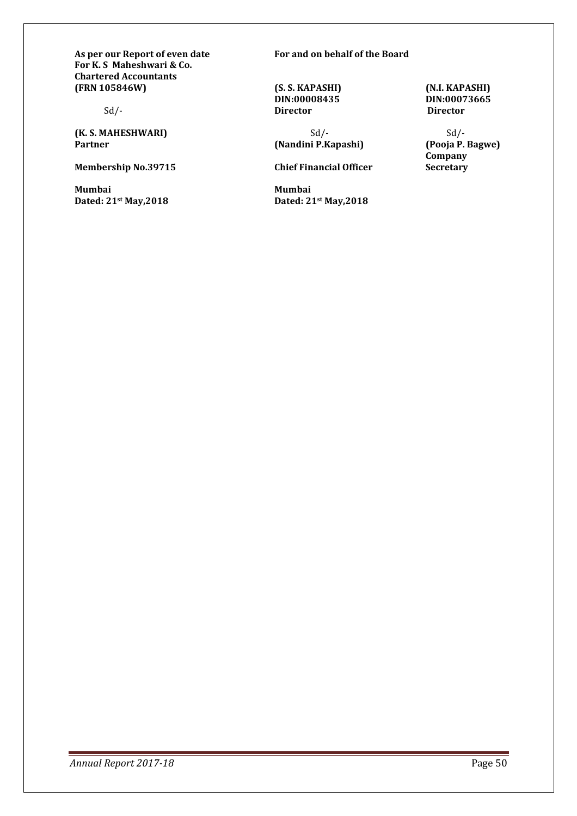As per our Report of even date For and on behalf of the Board **For K. S Maheshwari & Co. Chartered Accountants (FRN 105846W) (S. S. KAPASHI) (N.I. KAPASHI)** 

**(K. S. MAHESHWARI)** Sd/-<br> **Sd/-** Sd/-<br> **(Nandini P.Kapashi)** (Pooja P. Bagwe)

**Mumbai Mumbai** 

Sd/- **Director Director** 

**(Nandini P.Kapashi)** 

**Membership No.39715 Chief Financial Officer** 

**Dated: 21**<sup>st</sup> May,2018

**DIN:00008435 DIN:00073665** 

**Company Secretary**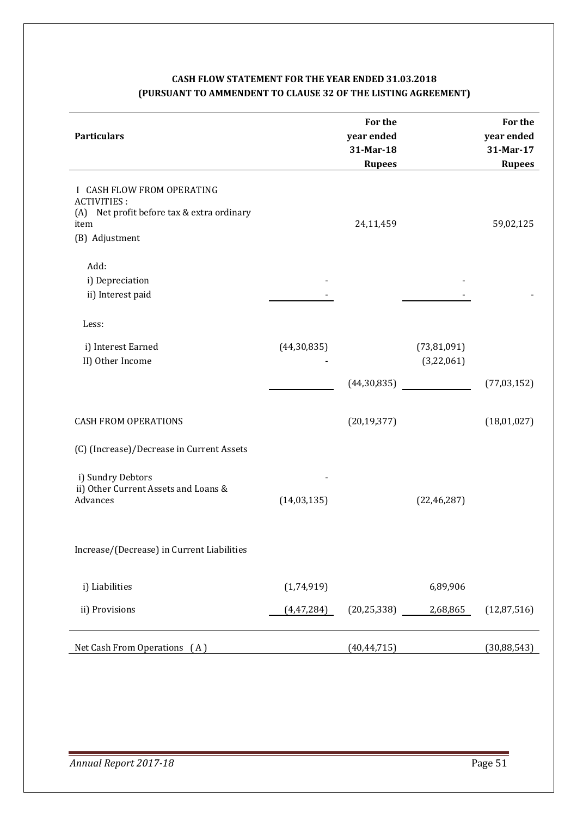# **CASH FLOW STATEMENT FOR THE YEAR ENDED 31.03.2018 (PURSUANT TO AMMENDENT TO CLAUSE 32 OF THE LISTING AGREEMENT)**

| <b>Particulars</b>                                                                                                       |               | For the<br>year ended<br>31-Mar-18<br><b>Rupees</b> |                           | For the<br>year ended<br>31-Mar-17<br><b>Rupees</b> |
|--------------------------------------------------------------------------------------------------------------------------|---------------|-----------------------------------------------------|---------------------------|-----------------------------------------------------|
| I CASH FLOW FROM OPERATING<br><b>ACTIVITIES:</b><br>(A) Net profit before tax & extra ordinary<br>item<br>(B) Adjustment |               | 24,11,459                                           |                           | 59,02,125                                           |
| Add:<br>i) Depreciation<br>ii) Interest paid                                                                             |               |                                                     |                           |                                                     |
| Less:                                                                                                                    |               |                                                     |                           |                                                     |
| i) Interest Earned<br>II) Other Income                                                                                   | (44,30,835)   |                                                     | (73,81,091)<br>(3,22,061) |                                                     |
|                                                                                                                          |               | (44,30,835)                                         |                           | (77, 03, 152)                                       |
| <b>CASH FROM OPERATIONS</b>                                                                                              |               | (20, 19, 377)                                       |                           | (18,01,027)                                         |
| (C) (Increase)/Decrease in Current Assets                                                                                |               |                                                     |                           |                                                     |
| i) Sundry Debtors<br>ii) Other Current Assets and Loans &<br>Advances                                                    | (14, 03, 135) |                                                     | (22, 46, 287)             |                                                     |
| Increase/(Decrease) in Current Liabilities                                                                               |               |                                                     |                           |                                                     |
| i) Liabilities                                                                                                           | (1,74,919)    |                                                     | 6,89,906                  |                                                     |
| ii) Provisions                                                                                                           | (4, 47, 284)  | (20, 25, 338)                                       | 2,68,865                  | (12, 87, 516)                                       |
| Net Cash From Operations (A)                                                                                             |               | (40, 44, 715)                                       |                           | (30, 88, 543)                                       |
|                                                                                                                          |               |                                                     |                           |                                                     |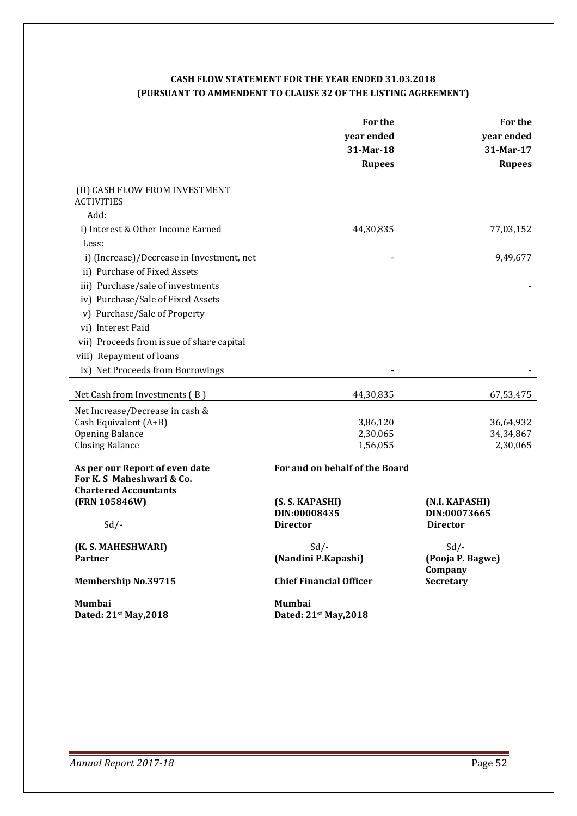# **CASH FLOW STATEMENT FOR THE YEAR ENDED 31.03.2018 (PURSUANT TO AMMENDENT TO CLAUSE 32 OF THE LISTING AGREEMENT)**

|                                                                                             | For the<br>year ended          | For the<br>year ended       |
|---------------------------------------------------------------------------------------------|--------------------------------|-----------------------------|
|                                                                                             | 31-Mar-18                      | 31-Mar-17                   |
|                                                                                             | <b>Rupees</b>                  | <b>Rupees</b>               |
| (II) CASH FLOW FROM INVESTMENT<br><b>ACTIVITIES</b>                                         |                                |                             |
| Add:                                                                                        |                                |                             |
| i) Interest & Other Income Earned                                                           | 44,30,835                      | 77,03,152                   |
| Less:                                                                                       |                                |                             |
| i) (Increase)/Decrease in Investment, net                                                   |                                | 9,49,677                    |
| ii) Purchase of Fixed Assets                                                                |                                |                             |
| iii) Purchase/sale of investments                                                           |                                |                             |
| iv) Purchase/Sale of Fixed Assets                                                           |                                |                             |
| v) Purchase/Sale of Property                                                                |                                |                             |
| vi) Interest Paid                                                                           |                                |                             |
| vii) Proceeds from issue of share capital                                                   |                                |                             |
| viii) Repayment of loans                                                                    |                                |                             |
| ix) Net Proceeds from Borrowings                                                            |                                |                             |
| Net Cash from Investments (B)                                                               | 44,30,835                      | 67,53,475                   |
| Net Increase/Decrease in cash &                                                             |                                |                             |
| Cash Equivalent (A+B)                                                                       | 3,86,120                       | 36,64,932                   |
| <b>Opening Balance</b><br><b>Closing Balance</b>                                            | 2,30,065<br>1,56,055           | 34, 34, 867<br>2,30,065     |
|                                                                                             |                                |                             |
| As per our Report of even date<br>For K. S Maheshwari & Co.<br><b>Chartered Accountants</b> | For and on behalf of the Board |                             |
| (FRN 105846W)                                                                               | (S. S. KAPASHI)                | (N.I. KAPASHI)              |
|                                                                                             | DIN:00008435                   | DIN:00073665                |
| $Sd$ /-                                                                                     | <b>Director</b>                | <b>Director</b>             |
| (K. S. MAHESHWARI)                                                                          | $Sd$ /-                        | $Sd$ /-                     |
| <b>Partner</b>                                                                              | (Nandini P.Kapashi)            | (Pooja P. Bagwe)<br>Company |
| <b>Membership No.39715</b>                                                                  | <b>Chief Financial Officer</b> | <b>Secretary</b>            |
| Mumbai                                                                                      | Mumbai                         |                             |
| Dated: 21st May, 2018                                                                       | Dated: 21st May, 2018          |                             |
|                                                                                             |                                |                             |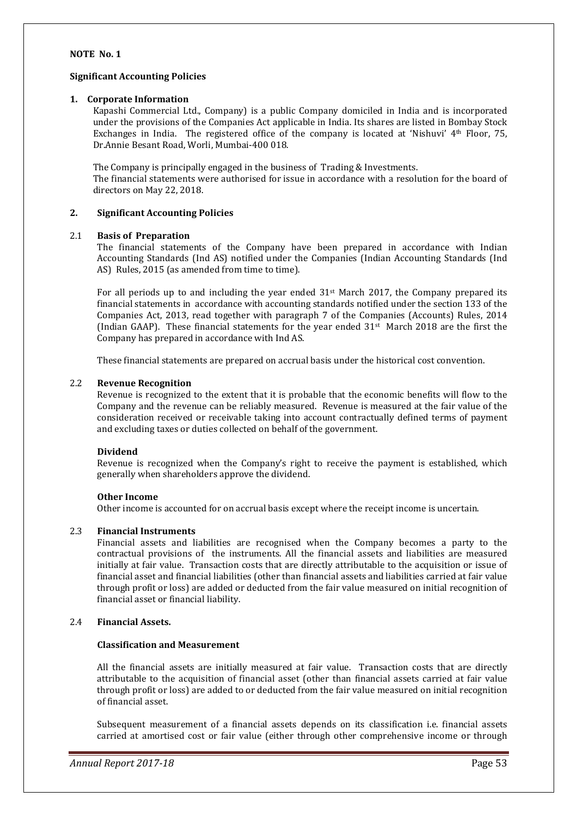#### **NOTE No. 1**

#### **Significant Accounting Policies**

#### **1. Corporate Information**

Kapashi Commercial Ltd., Company) is a public Company domiciled in India and is incorporated under the provisions of the Companies Act applicable in India. Its shares are listed in Bombay Stock Exchanges in India. The registered office of the company is located at 'Nishuvi' 4th Floor, 75, Dr.Annie Besant Road, Worli, Mumbai-400 018.

The Company is principally engaged in the business of Trading & Investments. The financial statements were authorised for issue in accordance with a resolution for the board of directors on May 22, 2018.

#### **2. Significant Accounting Policies**

#### 2.1 **Basis of Preparation**

The financial statements of the Company have been prepared in accordance with Indian Accounting Standards (Ind AS) notified under the Companies (Indian Accounting Standards (Ind AS) Rules, 2015 (as amended from time to time).

For all periods up to and including the year ended  $31<sup>st</sup>$  March 2017, the Company prepared its financial statements in accordance with accounting standards notified under the section 133 of the Companies Act, 2013, read together with paragraph 7 of the Companies (Accounts) Rules, 2014 (Indian GAAP). These financial statements for the year ended  $31^{st}$  March 2018 are the first the Company has prepared in accordance with Ind AS.

These financial statements are prepared on accrual basis under the historical cost convention.

#### 2.2 **Revenue Recognition**

Revenue is recognized to the extent that it is probable that the economic benefits will flow to the Company and the revenue can be reliably measured. Revenue is measured at the fair value of the consideration received or receivable taking into account contractually defined terms of payment and excluding taxes or duties collected on behalf of the government.

#### **Dividend**

Revenue is recognized when the Company's right to receive the payment is established, which generally when shareholders approve the dividend.

#### **Other Income**

Other income is accounted for on accrual basis except where the receipt income is uncertain.

#### 2.3 **Financial Instruments**

Financial assets and liabilities are recognised when the Company becomes a party to the contractual provisions of the instruments. All the financial assets and liabilities are measured initially at fair value. Transaction costs that are directly attributable to the acquisition or issue of financial asset and financial liabilities (other than financial assets and liabilities carried at fair value through profit or loss) are added or deducted from the fair value measured on initial recognition of financial asset or financial liability.

#### 2.4 **Financial Assets.**

#### **Classification and Measurement**

All the financial assets are initially measured at fair value. Transaction costs that are directly attributable to the acquisition of financial asset (other than financial assets carried at fair value through profit or loss) are added to or deducted from the fair value measured on initial recognition of financial asset.

Subsequent measurement of a financial assets depends on its classification i.e. financial assets carried at amortised cost or fair value (either through other comprehensive income or through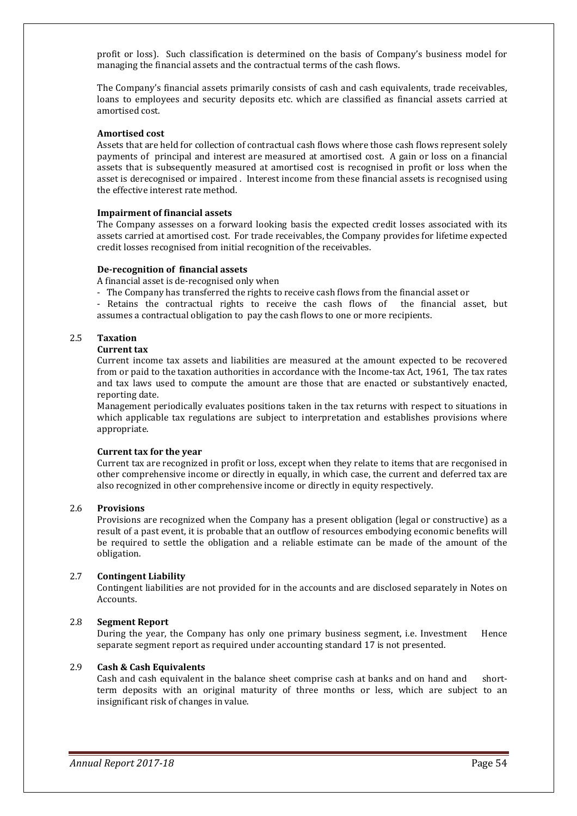profit or loss). Such classification is determined on the basis of Company's business model for managing the financial assets and the contractual terms of the cash flows.

The Company's financial assets primarily consists of cash and cash equivalents, trade receivables, loans to employees and security deposits etc. which are classified as financial assets carried at amortised cost.

#### **Amortised cost**

Assets that are held for collection of contractual cash flows where those cash flows represent solely payments of principal and interest are measured at amortised cost. A gain or loss on a financial assets that is subsequently measured at amortised cost is recognised in profit or loss when the asset is derecognised or impaired . Interest income from these financial assets is recognised using the effective interest rate method.

#### **Impairment of financial assets**

The Company assesses on a forward looking basis the expected credit losses associated with its assets carried at amortised cost. For trade receivables, the Company provides for lifetime expected credit losses recognised from initial recognition of the receivables.

#### **De-recognition of financial assets**

A financial asset is de-recognised only when

- The Company has transferred the rights to receive cash flows from the financial asset or

- Retains the contractual rights to receive the cash flows of the financial asset, but assumes a contractual obligation to pay the cash flows to one or more recipients.

#### 2.5 **Taxation**

#### **Current tax**

Current income tax assets and liabilities are measured at the amount expected to be recovered from or paid to the taxation authorities in accordance with the Income-tax Act, 1961, The tax rates and tax laws used to compute the amount are those that are enacted or substantively enacted, reporting date.

Management periodically evaluates positions taken in the tax returns with respect to situations in which applicable tax regulations are subject to interpretation and establishes provisions where appropriate.

#### **Current tax for the year**

Current tax are recognized in profit or loss, except when they relate to items that are recgonised in other comprehensive income or directly in equally, in which case, the current and deferred tax are also recognized in other comprehensive income or directly in equity respectively.

#### 2.6 **Provisions**

Provisions are recognized when the Company has a present obligation (legal or constructive) as a result of a past event, it is probable that an outflow of resources embodying economic benefits will be required to settle the obligation and a reliable estimate can be made of the amount of the obligation.

#### 2.7 **Contingent Liability**

 Contingent liabilities are not provided for in the accounts and are disclosed separately in Notes on Accounts.

#### 2.8 **Segment Report**

During the year, the Company has only one primary business segment, i.e. Investment Hence separate segment report as required under accounting standard 17 is not presented.

#### 2.9 **Cash & Cash Equivalents**

 Cash and cash equivalent in the balance sheet comprise cash at banks and on hand and shortterm deposits with an original maturity of three months or less, which are subject to an insignificant risk of changes in value.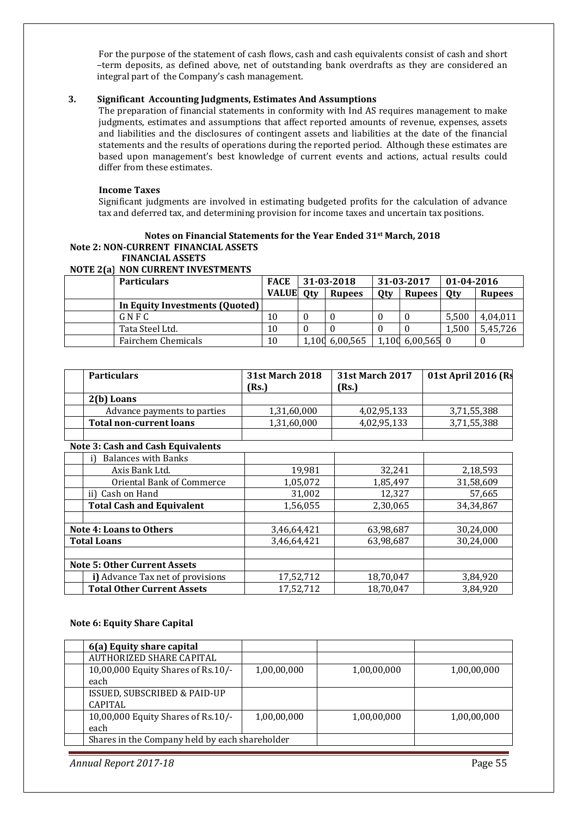For the purpose of the statement of cash flows, cash and cash equivalents consist of cash and short –term deposits, as defined above, net of outstanding bank overdrafts as they are considered an integral part of the Company's cash management.

#### **3. Significant Accounting Judgments, Estimates And Assumptions**

The preparation of financial statements in conformity with Ind AS requires management to make judgments, estimates and assumptions that affect reported amounts of revenue, expenses, assets and liabilities and the disclosures of contingent assets and liabilities at the date of the financial statements and the results of operations during the reported period. Although these estimates are based upon management's best knowledge of current events and actions, actual results could differ from these estimates.

#### **Income Taxes**

Significant judgments are involved in estimating budgeted profits for the calculation of advance tax and deferred tax, and determining provision for income taxes and uncertain tax positions.

### **Notes on Financial Statements for the Year Ended 31st March, 2018 Note 2: NON-CURRENT FINANCIAL ASSETS**

#### **FINANCIAL ASSETS**

#### **NOTE 2(a) NON CURRENT INVESTMENTS**

| <b>Particulars</b>             | <b>FACE</b>  |            | 31-03-2018    |     | 31-03-2017       | $01 - 04 - 2016$ |               |
|--------------------------------|--------------|------------|---------------|-----|------------------|------------------|---------------|
|                                | <b>VALUE</b> | <b>Qty</b> | <b>Rupees</b> | Qty | <b>Rupees</b>    | 0 <sub>tv</sub>  | <b>Rupees</b> |
| In Equity Investments (Quoted) |              |            |               |     |                  |                  |               |
| $G \vee F C$                   | 10           |            |               |     |                  | 5.500            | 4.04.011      |
| Tata Steel Ltd.                | 10           |            |               |     |                  | 1.500            | 5,45,726      |
| Fairchem Chemicals             | 10           | 1.100      | 6,00,565      |     | 1,100 6,00,565 0 |                  |               |

| <b>Particulars</b>             | <b>31st March 2018</b><br>(Rs.) | <b>31st March 2017</b><br>(Rs.) | 01st April 2016 (Rs |
|--------------------------------|---------------------------------|---------------------------------|---------------------|
| 2(b) Loans                     |                                 |                                 |                     |
| Advance payments to parties    | 1,31,60,000                     | 4,02,95,133                     | 3,71,55,388         |
| <b>Total non-current loans</b> | 1,31,60,000                     | 4,02,95,133                     | 3,71,55,388         |
|                                |                                 |                                 |                     |

#### **Note 3: Cash and Cash Equivalents**

|                                | <b>Balances with Banks</b>          |             |           |             |  |
|--------------------------------|-------------------------------------|-------------|-----------|-------------|--|
|                                | Axis Bank Ltd.                      | 19,981      | 32,241    | 2,18,593    |  |
|                                | Oriental Bank of Commerce           | 1,05,072    | 1,85,497  | 31,58,609   |  |
|                                | ii) Cash on Hand                    | 31,002      | 12,327    | 57,665      |  |
|                                | <b>Total Cash and Equivalent</b>    | 1,56,055    | 2,30,065  | 34, 34, 867 |  |
|                                |                                     |             |           |             |  |
| <b>Note 4: Loans to Others</b> |                                     | 3,46,64,421 | 63,98,687 | 30,24,000   |  |
| <b>Total Loans</b>             |                                     | 3,46,64,421 | 63,98,687 | 30,24,000   |  |
|                                |                                     |             |           |             |  |
|                                | <b>Note 5: Other Current Assets</b> |             |           |             |  |
|                                | i) Advance Tax net of provisions    | 17,52,712   | 18,70,047 | 3,84,920    |  |
|                                | <b>Total Other Current Assets</b>   | 17,52,712   | 18,70,047 | 3,84,920    |  |

#### **Note 6: Equity Share Capital**

| 6(a) Equity share capital                      |             |             |             |
|------------------------------------------------|-------------|-------------|-------------|
| AUTHORIZED SHARE CAPITAL                       |             |             |             |
| 10,00,000 Equity Shares of Rs.10/-             | 1,00,00,000 | 1,00,00,000 | 1,00,00,000 |
| each                                           |             |             |             |
| ISSUED, SUBSCRIBED & PAID-UP                   |             |             |             |
| <b>CAPITAL</b>                                 |             |             |             |
| 10,00,000 Equity Shares of Rs.10/-             | 1,00,00,000 | 1,00,00,000 | 1,00,00,000 |
| each                                           |             |             |             |
| Shares in the Company held by each shareholder |             |             |             |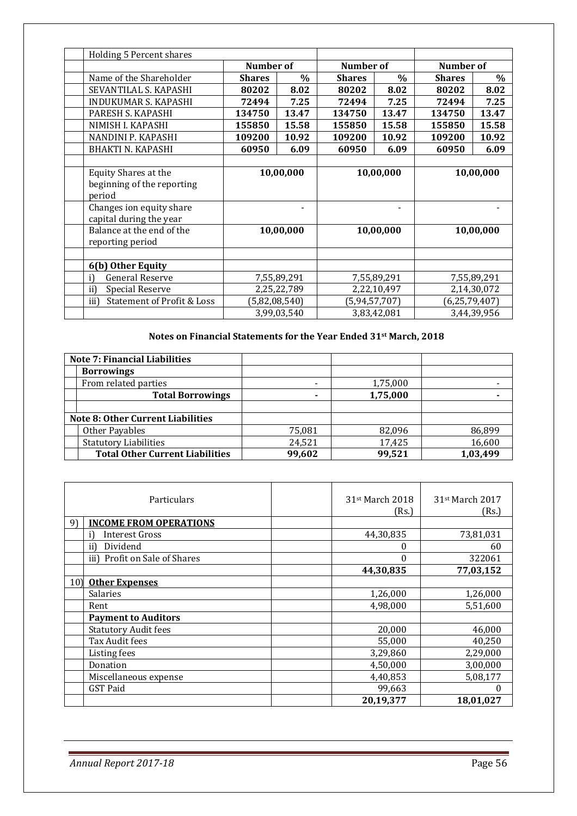| Holding 5 Percent shares                      |               |             |                  |                          |               |                  |  |
|-----------------------------------------------|---------------|-------------|------------------|--------------------------|---------------|------------------|--|
|                                               | Number of     |             | Number of        |                          |               | <b>Number</b> of |  |
| Name of the Shareholder                       | <b>Shares</b> | $\%$        | <b>Shares</b>    | $\%$                     | <b>Shares</b> | $\%$             |  |
| SEVANTILAL S. KAPASHI                         | 80202         | 8.02        | 80202            | 8.02                     | 80202         | 8.02             |  |
| INDUKUMAR S. KAPASHI                          | 72494         | 7.25        | 72494            | 7.25                     | 72494         | 7.25             |  |
| PARESH S. KAPASHI                             | 134750        | 13.47       | 134750           | 13.47                    | 134750        | 13.47            |  |
| NIMISH I. KAPASHI                             | 155850        | 15.58       | 155850           | 15.58                    | 155850        | 15.58            |  |
| NANDINI P. KAPASHI                            | 109200        | 10.92       | 109200           | 10.92                    | 109200        | 10.92            |  |
| <b>BHAKTI N. KAPASHI</b>                      | 60950         | 6.09        | 60950            | 6.09                     | 60950         | 6.09             |  |
|                                               |               |             |                  |                          |               |                  |  |
| <b>Equity Shares at the</b>                   | 10,00,000     |             | 10,00,000        |                          | 10,00,000     |                  |  |
| beginning of the reporting                    |               |             |                  |                          |               |                  |  |
| period                                        |               |             |                  |                          |               |                  |  |
| Changes ion equity share                      | ۰             |             |                  | $\overline{\phantom{0}}$ |               |                  |  |
| capital during the year                       |               |             |                  |                          |               |                  |  |
| Balance at the end of the                     |               | 10,00,000   |                  | 10,00,000                |               | 10,00,000        |  |
| reporting period                              |               |             |                  |                          |               |                  |  |
|                                               |               |             |                  |                          |               |                  |  |
| 6(b) Other Equity                             |               |             |                  |                          |               |                  |  |
| <b>General Reserve</b><br>7,55,89,291<br>i)   |               |             |                  | 7,55,89,291              |               | 7,55,89,291      |  |
| ii)<br><b>Special Reserve</b>                 |               | 2,25,22,789 | 2,22,10,497      |                          | 2,14,30,072   |                  |  |
| <b>Statement of Profit &amp; Loss</b><br>iii) | (5,82,08,540) |             | (5, 94, 57, 707) |                          | (6,25,79,407) |                  |  |
|                                               |               | 3,99,03,540 | 3,83,42,081      |                          | 3,44,39,956   |                  |  |

# **Notes on Financial Statements for the Year Ended 31st March, 2018**

| <b>Note 7: Financial Liabilities</b>     |                          |          |          |
|------------------------------------------|--------------------------|----------|----------|
| <b>Borrowings</b>                        |                          |          |          |
| From related parties                     | $\overline{\phantom{a}}$ | 1,75,000 |          |
| <b>Total Borrowings</b>                  | $\overline{\phantom{a}}$ | 1,75,000 |          |
|                                          |                          |          |          |
| <b>Note 8: Other Current Liabilities</b> |                          |          |          |
| Other Payables                           | 75,081                   | 82,096   | 86,899   |
| <b>Statutory Liabilities</b>             | 24,521                   | 17,425   | 16,600   |
| <b>Total Other Current Liabilities</b>   | 99,602                   | 99,521   | 1,03,499 |

| Particulars                        | 31 <sup>st</sup> March 2018<br>(Rs.) | 31st March 2017<br>(Rs.) |
|------------------------------------|--------------------------------------|--------------------------|
| <b>INCOME FROM OPERATIONS</b><br>9 |                                      |                          |
| Interest Gross                     | 44,30,835                            | 73,81,031                |
| Dividend<br>ii)                    | 0                                    | 60                       |
| iii) Profit on Sale of Shares      | $\boldsymbol{0}$                     | 322061                   |
|                                    | 44,30,835                            | 77,03,152                |
| 10)<br><b>Other Expenses</b>       |                                      |                          |
| <b>Salaries</b>                    | 1,26,000                             | 1,26,000                 |
| Rent                               | 4,98,000                             | 5,51,600                 |
| <b>Payment to Auditors</b>         |                                      |                          |
| <b>Statutory Audit fees</b>        | 20,000                               | 46,000                   |
| Tax Audit fees                     | 55,000                               | 40,250                   |
| Listing fees                       | 3,29,860                             | 2,29,000                 |
| Donation                           | 4,50,000                             | 3,00,000                 |
| Miscellaneous expense              | 4,40,853                             | 5,08,177                 |
| <b>GST Paid</b>                    | 99,663                               |                          |
|                                    | 20,19,377                            | 18,01,027                |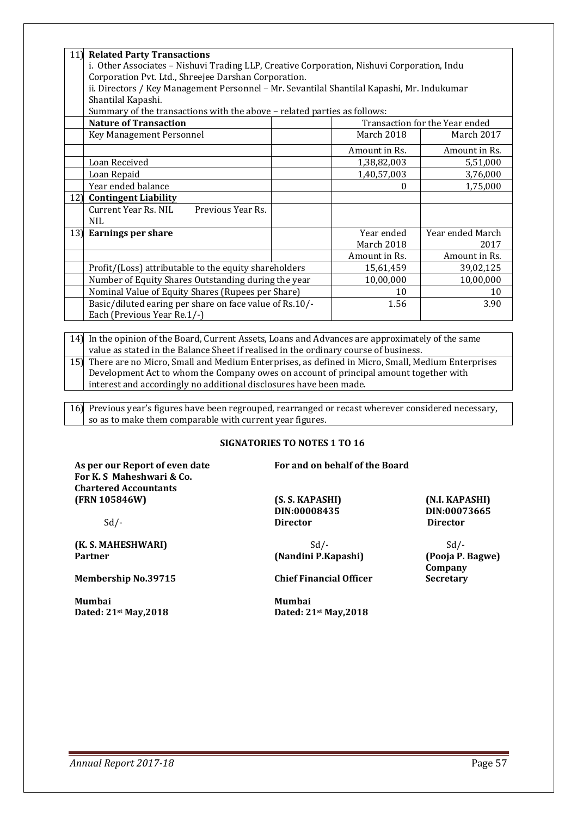| 11) | <b>Related Party Transactions</b><br>i. Other Associates - Nishuvi Trading LLP, Creative Corporation, Nishuvi Corporation, Indu<br>Corporation Pvt. Ltd., Shreejee Darshan Corporation.<br>ii. Directors / Key Management Personnel - Mr. Sevantilal Shantilal Kapashi, Mr. Indukumar<br>Shantilal Kapashi.<br>Summary of the transactions with the above - related parties as follows: |  |               |                                |  |
|-----|-----------------------------------------------------------------------------------------------------------------------------------------------------------------------------------------------------------------------------------------------------------------------------------------------------------------------------------------------------------------------------------------|--|---------------|--------------------------------|--|
|     | <b>Nature of Transaction</b>                                                                                                                                                                                                                                                                                                                                                            |  |               | Transaction for the Year ended |  |
|     | Key Management Personnel                                                                                                                                                                                                                                                                                                                                                                |  | March 2018    | March 2017                     |  |
|     |                                                                                                                                                                                                                                                                                                                                                                                         |  | Amount in Rs. | Amount in Rs.                  |  |
|     | Loan Received                                                                                                                                                                                                                                                                                                                                                                           |  | 1,38,82,003   | 5,51,000                       |  |
|     | Loan Repaid                                                                                                                                                                                                                                                                                                                                                                             |  | 1,40,57,003   | 3,76,000                       |  |
|     | Year ended balance                                                                                                                                                                                                                                                                                                                                                                      |  | $\Omega$      | 1,75,000                       |  |
| 12) | <b>Contingent Liability</b>                                                                                                                                                                                                                                                                                                                                                             |  |               |                                |  |
|     | Current Year Rs. NIL<br>Previous Year Rs.<br><b>NIL</b>                                                                                                                                                                                                                                                                                                                                 |  |               |                                |  |
|     | 13) Earnings per share                                                                                                                                                                                                                                                                                                                                                                  |  | Year ended    | Year ended March               |  |
|     |                                                                                                                                                                                                                                                                                                                                                                                         |  | March 2018    | 2017                           |  |
|     |                                                                                                                                                                                                                                                                                                                                                                                         |  | Amount in Rs. | Amount in Rs.                  |  |
|     | Profit/(Loss) attributable to the equity shareholders                                                                                                                                                                                                                                                                                                                                   |  | 15,61,459     | 39,02,125                      |  |
|     | Number of Equity Shares Outstanding during the year                                                                                                                                                                                                                                                                                                                                     |  | 10,00,000     | 10,00,000                      |  |
|     | Nominal Value of Equity Shares (Rupees per Share)                                                                                                                                                                                                                                                                                                                                       |  | 10            | 10                             |  |
|     | Basic/diluted earing per share on face value of Rs.10/-<br>Each (Previous Year Re.1/-)                                                                                                                                                                                                                                                                                                  |  | 1.56          | 3.90                           |  |

14) In the opinion of the Board, Current Assets, Loans and Advances are approximately of the same value as stated in the Balance Sheet if realised in the ordinary course of business.

15) There are no Micro, Small and Medium Enterprises, as defined in Micro, Small, Medium Enterprises Development Act to whom the Company owes on account of principal amount together with interest and accordingly no additional disclosures have been made.

16) Previous year's figures have been regrouped, rearranged or recast wherever considered necessary, so as to make them comparable with current year figures.

#### **SIGNATORIES TO NOTES 1 TO 16**

As per our Report of even date **For and on behalf of the Board For K. S Maheshwari & Co. Chartered Accountants (FRN 105846W) (S. S. KAPASHI) (N.I. KAPASHI)** 

Sd/- **Director Director** 

**(Nandini P.Kapashi)** 

**Dated: 21<sup>st</sup> May,2018** 

**DIN:00008435 DIN:00073665** 

**Company Secretary** 

**(K. S. MAHESHWARI)** Sd/-<br> **Sd/-** Sd/-<br> **(Nandini P.Kapashi)** (Pooja P. Bagwe)

**Membership No.39715 Chief Financial Officer** 

Mumbai **Mumbai**<br>Dated: 21<sup>st</sup> May.2018 **1998 12:33 Dated: 21**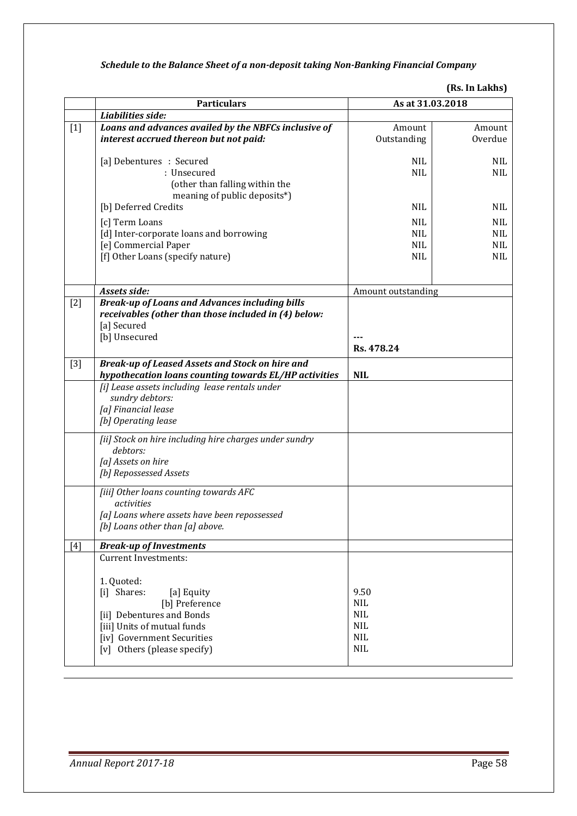# *Schedule to the Balance Sheet of a non-deposit taking Non-Banking Financial Company*

| (Rs. In Lakhs) |  |
|----------------|--|
|----------------|--|

|       | <b>Particulars</b>                                                                                                                                                                                                | As at 31.03.2018                                                           |                                                      |
|-------|-------------------------------------------------------------------------------------------------------------------------------------------------------------------------------------------------------------------|----------------------------------------------------------------------------|------------------------------------------------------|
|       | Liabilities side:                                                                                                                                                                                                 |                                                                            |                                                      |
| $[1]$ | Loans and advances availed by the NBFCs inclusive of<br>interest accrued thereon but not paid:                                                                                                                    | Amount<br>Outstanding                                                      | Amount<br>Overdue                                    |
|       | [a] Debentures : Secured<br>: Unsecured<br>(other than falling within the<br>meaning of public deposits*)                                                                                                         | <b>NIL</b><br><b>NIL</b>                                                   | NIL<br>NIL                                           |
|       | [b] Deferred Credits                                                                                                                                                                                              | <b>NIL</b>                                                                 | <b>NIL</b>                                           |
|       | [c] Term Loans<br>[d] Inter-corporate loans and borrowing<br>[e] Commercial Paper<br>[f] Other Loans (specify nature)                                                                                             | <b>NIL</b><br><b>NIL</b><br><b>NIL</b><br><b>NIL</b>                       | <b>NIL</b><br><b>NIL</b><br><b>NIL</b><br><b>NIL</b> |
|       | Assets side:                                                                                                                                                                                                      | Amount outstanding                                                         |                                                      |
| $[2]$ | <b>Break-up of Loans and Advances including bills</b><br>receivables (other than those included in (4) below:<br>[a] Secured<br>[b] Unsecured                                                                     | Rs. 478.24                                                                 |                                                      |
| $[3]$ | <b>Break-up of Leased Assets and Stock on hire and</b><br>hypothecation loans counting towards EL/HP activities                                                                                                   | <b>NIL</b>                                                                 |                                                      |
|       | [i] Lease assets including lease rentals under<br>sundry debtors:<br>[a] Financial lease<br>[b] Operating lease                                                                                                   |                                                                            |                                                      |
|       | [ii] Stock on hire including hire charges under sundry<br>debtors:<br>[a] Assets on hire<br>[b] Repossessed Assets                                                                                                |                                                                            |                                                      |
|       | [iii] Other loans counting towards AFC<br>activities<br>[a] Loans where assets have been repossessed<br>[b] Loans other than [a] above.                                                                           |                                                                            |                                                      |
| [4]   | <b>Break-up of Investments</b>                                                                                                                                                                                    |                                                                            |                                                      |
|       | <b>Current Investments:</b><br>1. Quoted:<br>[i] Shares:<br>[a] Equity<br>[b] Preference<br>[ii] Debentures and Bonds<br>[iii] Units of mutual funds<br>[iv] Government Securities<br>[v] Others (please specify) | 9.50<br><b>NIL</b><br><b>NIL</b><br><b>NIL</b><br><b>NIL</b><br><b>NIL</b> |                                                      |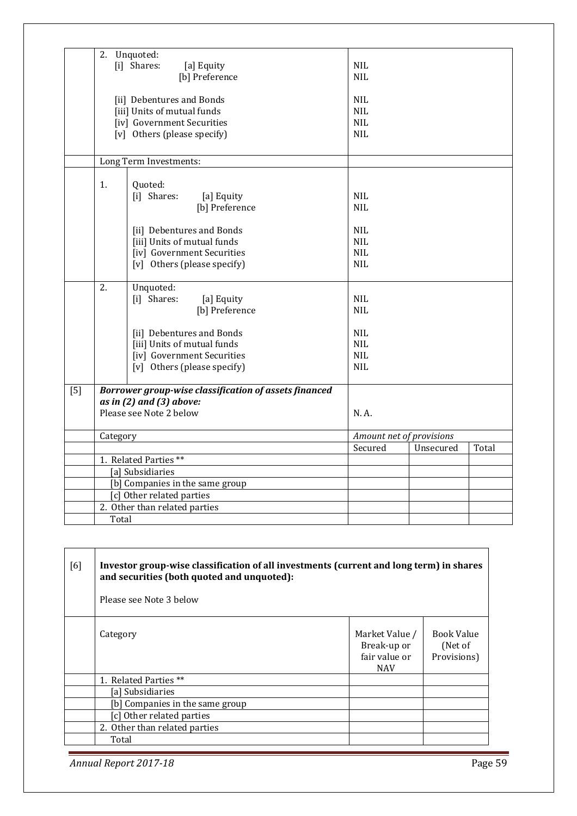|       |                | 2. Unquoted:<br>[i] Shares:<br>[a] Equity                  | <b>NIL</b>               |           |       |
|-------|----------------|------------------------------------------------------------|--------------------------|-----------|-------|
|       | [b] Preference |                                                            | <b>NIL</b>               |           |       |
|       |                | [ii] Debentures and Bonds<br>[iii] Units of mutual funds   | <b>NIL</b><br><b>NIL</b> |           |       |
|       |                | [iv] Government Securities                                 | <b>NIL</b>               |           |       |
|       |                | [v] Others (please specify)                                | <b>NIL</b>               |           |       |
|       |                | Long Term Investments:                                     |                          |           |       |
|       | 1.             | Quoted:<br>[i] Shares:<br>[a] Equity                       | <b>NIL</b>               |           |       |
|       |                | [b] Preference                                             | <b>NIL</b>               |           |       |
|       |                | [ii] Debentures and Bonds                                  | <b>NIL</b>               |           |       |
|       |                | [iii] Units of mutual funds                                | <b>NIL</b>               |           |       |
|       |                | [iv] Government Securities                                 | <b>NIL</b><br><b>NIL</b> |           |       |
|       |                | [v] Others (please specify)                                |                          |           |       |
|       | 2.             | Unquoted:                                                  |                          |           |       |
|       |                | [i] Shares:<br>[a] Equity                                  | <b>NIL</b>               |           |       |
|       |                | [b] Preference                                             | <b>NIL</b>               |           |       |
|       |                | [ii] Debentures and Bonds                                  | <b>NIL</b>               |           |       |
|       |                | [iii] Units of mutual funds                                | <b>NIL</b>               |           |       |
|       |                | [iv] Government Securities                                 | <b>NIL</b>               |           |       |
|       |                | [v] Others (please specify)                                | <b>NIL</b>               |           |       |
| $[5]$ |                | Borrower group-wise classification of assets financed      |                          |           |       |
|       |                | as in $(2)$ and $(3)$ above:<br>Please see Note 2 below    | N.A.                     |           |       |
|       |                |                                                            |                          |           |       |
|       | Category       |                                                            | Amount net of provisions |           |       |
|       |                |                                                            | Secured                  | Unsecured | Total |
|       |                | 1. Related Parties **                                      |                          |           |       |
|       |                | [a] Subsidiaries                                           |                          |           |       |
|       |                | [b] Companies in the same group                            |                          |           |       |
|       |                | [c] Other related parties<br>2. Other than related parties |                          |           |       |
|       | Total          |                                                            |                          |           |       |
|       |                |                                                            |                          |           |       |

| [6] | Investor group-wise classification of all investments (current and long term) in shares<br>and securities (both quoted and unquoted):<br>Please see Note 3 below |                                                              |                                      |
|-----|------------------------------------------------------------------------------------------------------------------------------------------------------------------|--------------------------------------------------------------|--------------------------------------|
|     | Category                                                                                                                                                         | Market Value /<br>Break-up or<br>fair value or<br><b>NAV</b> | Book Value<br>(Net of<br>Provisions) |
|     | 1. Related Parties **                                                                                                                                            |                                                              |                                      |
|     | [a] Subsidiaries                                                                                                                                                 |                                                              |                                      |
|     | [b] Companies in the same group                                                                                                                                  |                                                              |                                      |
|     | [c] Other related parties                                                                                                                                        |                                                              |                                      |
|     | 2. Other than related parties                                                                                                                                    |                                                              |                                      |
|     | Total                                                                                                                                                            |                                                              |                                      |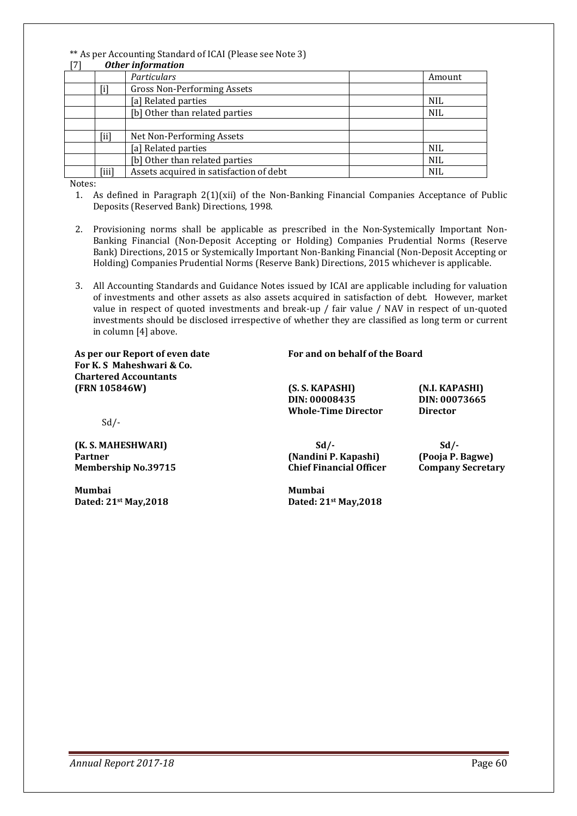#### \*\* As per Accounting Standard of ICAI (Please see Note 3) [7] *Other information*

| <b>Uther Information</b> |                                         |            |  |  |
|--------------------------|-----------------------------------------|------------|--|--|
|                          | Particulars                             | Amount     |  |  |
| $[1]$                    | Gross Non-Performing Assets             |            |  |  |
|                          | [a] Related parties                     | <b>NIL</b> |  |  |
|                          | [b] Other than related parties          | <b>NIL</b> |  |  |
|                          |                                         |            |  |  |
| $\left[\text{ii}\right]$ | Net Non-Performing Assets               |            |  |  |
|                          | [a] Related parties                     | <b>NIL</b> |  |  |
|                          | [b] Other than related parties          | <b>NIL</b> |  |  |
| [iii]                    | Assets acquired in satisfaction of debt | <b>NIL</b> |  |  |

Notes:

- 1. As defined in Paragraph  $2(1)(xii)$  of the Non-Banking Financial Companies Acceptance of Public Deposits (Reserved Bank) Directions, 1998.
- 2. Provisioning norms shall be applicable as prescribed in the Non-Systemically Important Non-Banking Financial (Non-Deposit Accepting or Holding) Companies Prudential Norms (Reserve Bank) Directions, 2015 or Systemically Important Non-Banking Financial (Non-Deposit Accepting or Holding) Companies Prudential Norms (Reserve Bank) Directions, 2015 whichever is applicable.
- 3. All Accounting Standards and Guidance Notes issued by ICAI are applicable including for valuation of investments and other assets as also assets acquired in satisfaction of debt. However, market value in respect of quoted investments and break-up / fair value / NAV in respect of un-quoted investments should be disclosed irrespective of whether they are classified as long term or current in column [4] above.

**For K. S Maheshwari & Co. Chartered Accountants (FRN 105846W) (S. S. KAPASHI) (N.I. KAPASHI)** 

#### As per our Report of even date **For and on behalf of the Board**

**DIN: 00008435 DIN: 00073665 Whole-Time Director Director** 

 $Sd$  /-

**(K. S. MAHESHWARI) Sd/- Sd/- Partner (Nandini P. Kapashi) (Pooja P. Bagwe) Membership No.39715 Chief Financial Officer Company Secretary** 

**Mumbai Mumbai** 

**Dated: 21st May,2018 Dated: 21st May,2018**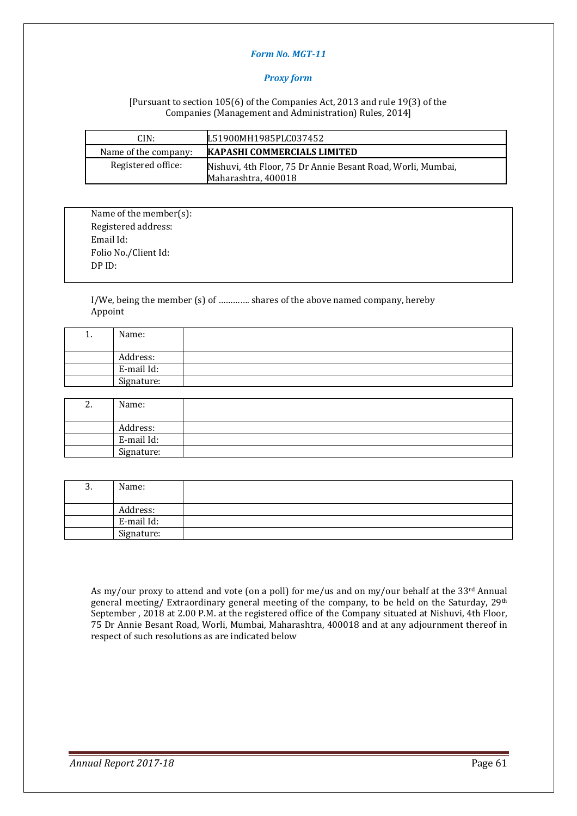#### *Form No. MGT-11*

#### *Proxy form*

[Pursuant to section 105(6) of the Companies Act, 2013 and rule 19(3) of the Companies (Management and Administration) Rules, 2014]

| CIN:                 | L51900MH1985PLC037452                                                              |
|----------------------|------------------------------------------------------------------------------------|
| Name of the company: | <b>KAPASHI COMMERCIALS LIMITED</b>                                                 |
| Registered office:   | Nishuvi, 4th Floor, 75 Dr Annie Besant Road, Worli, Mumbai,<br>Maharashtra, 400018 |

Name of the member(s): Registered address: Email Id: Folio No./Client Id: DP ID:

I/We, being the member (s) of …………. shares of the above named company, hereby Appoint

| . . | Name:      |  |
|-----|------------|--|
|     |            |  |
|     | Address:   |  |
|     | E-mail Id: |  |
|     | Signature: |  |

| Ζ. | Name:      |  |
|----|------------|--|
|    | Address:   |  |
|    | E-mail Id: |  |
|    | Signature: |  |

| 3. | Name:      |  |
|----|------------|--|
|    | Address:   |  |
|    | E-mail Id: |  |
|    | Signature: |  |

As my/our proxy to attend and vote (on a poll) for me/us and on my/our behalf at the 33rd Annual general meeting/ Extraordinary general meeting of the company, to be held on the Saturday, 29th September , 2018 at 2.00 P.M. at the registered office of the Company situated at Nishuvi, 4th Floor, 75 Dr Annie Besant Road, Worli, Mumbai, Maharashtra, 400018 and at any adjournment thereof in respect of such resolutions as are indicated below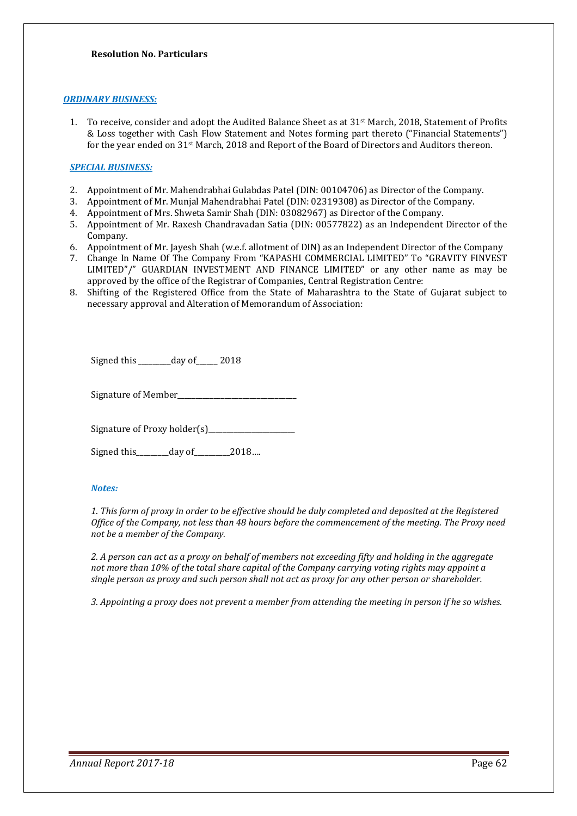#### *ORDINARY BUSINESS:*

1. To receive, consider and adopt the Audited Balance Sheet as at 31<sup>st</sup> March, 2018, Statement of Profits & Loss together with Cash Flow Statement and Notes forming part thereto ("Financial Statements") for the year ended on 31st March, 2018 and Report of the Board of Directors and Auditors thereon.

#### *SPECIAL BUSINESS:*

- 2. Appointment of Mr. Mahendrabhai Gulabdas Patel (DIN: 00104706) as Director of the Company.
- 3. Appointment of Mr. Munjal Mahendrabhai Patel (DIN: 02319308) as Director of the Company.
- 4. Appointment of Mrs. Shweta Samir Shah (DIN: 03082967) as Director of the Company.
- 5. Appointment of Mr. Raxesh Chandravadan Satia (DIN: 00577822) as an Independent Director of the Company.
- 6. Appointment of Mr. Jayesh Shah (w.e.f. allotment of DIN) as an Independent Director of the Company
- 7. Change In Name Of The Company From "KAPASHI COMMERCIAL LIMITED" To "GRAVITY FINVEST LIMITED"/" GUARDIAN INVESTMENT AND FINANCE LIMITED" or any other name as may be approved by the office of the Registrar of Companies, Central Registration Centre:
- 8. Shifting of the Registered Office from the State of Maharashtra to the State of Gujarat subject to necessary approval and Alteration of Memorandum of Association:

Signed this \_\_\_\_\_\_\_\_day of \_\_\_\_\_\_ 2018

Signature of Member\_\_\_\_\_\_\_\_\_\_\_\_\_\_\_\_\_\_\_\_\_\_\_\_\_\_\_\_\_\_\_\_\_

Signature of Proxy holder(s)\_\_\_\_\_\_\_\_\_\_\_\_\_\_\_\_\_\_\_\_\_\_\_\_

Signed this\_\_\_\_\_\_\_\_\_day of\_\_\_\_\_\_\_\_\_\_2018….

#### *Notes:*

*1. This form of proxy in order to be effective should be duly completed and deposited at the Registered Office of the Company, not less than 48 hours before the commencement of the meeting. The Proxy need not be a member of the Company.* 

*2. A person can act as a proxy on behalf of members not exceeding fifty and holding in the aggregate not more than 10% of the total share capital of the Company carrying voting rights may appoint a single person as proxy and such person shall not act as proxy for any other person or shareholder.* 

*3. Appointing a proxy does not prevent a member from attending the meeting in person if he so wishes.*